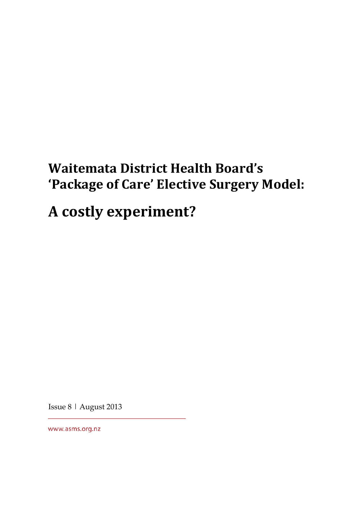# **Waitemata District Health Board's 'Package of Care' Elective Surgery Model:**

# **A costly experiment?**

Issue 8 | August 2013

www.asms.org.nz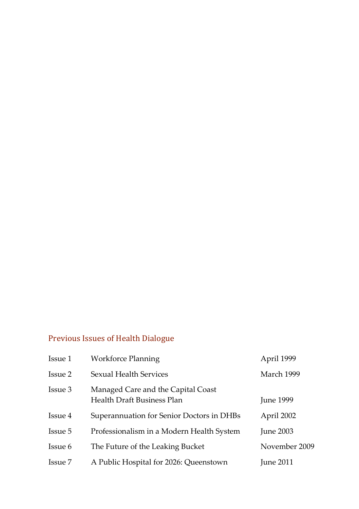### Previous Issues of Health Dialogue

| Issue 1 | <b>Workforce Planning</b>                                        | April 1999       |
|---------|------------------------------------------------------------------|------------------|
| Issue 2 | Sexual Health Services                                           | March 1999       |
| Issue 3 | Managed Care and the Capital Coast<br>Health Draft Business Plan | <b>Iune 1999</b> |
| Issue 4 | Superannuation for Senior Doctors in DHBs                        | April 2002       |
| Issue 5 | Professionalism in a Modern Health System                        | June 2003        |
| Issue 6 | The Future of the Leaking Bucket                                 | November 2009    |
| Issue 7 | A Public Hospital for 2026: Queenstown                           | <b>Iune 2011</b> |
|         |                                                                  |                  |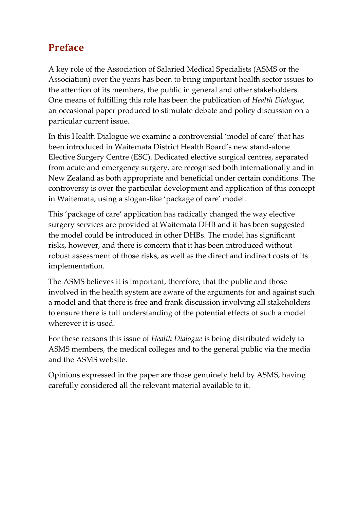### **Preface**

A key role of the Association of Salaried Medical Specialists (ASMS or the Association) over the years has been to bring important health sector issues to the attention of its members, the public in general and other stakeholders. One means of fulfilling this role has been the publication of *Health Dialogue*, an occasional paper produced to stimulate debate and policy discussion on a particular current issue.

In this Health Dialogue we examine a controversial 'model of care' that has been introduced in Waitemata District Health Board's new stand-alone Elective Surgery Centre (ESC). Dedicated elective surgical centres, separated from acute and emergency surgery, are recognised both internationally and in New Zealand as both appropriate and beneficial under certain conditions. The controversy is over the particular development and application of this concept in Waitemata, using a slogan-like 'package of care' model.

This 'package of care' application has radically changed the way elective surgery services are provided at Waitemata DHB and it has been suggested the model could be introduced in other DHBs. The model has significant risks, however, and there is concern that it has been introduced without robust assessment of those risks, as well as the direct and indirect costs of its implementation.

The ASMS believes it is important, therefore, that the public and those involved in the health system are aware of the arguments for and against such a model and that there is free and frank discussion involving all stakeholders to ensure there is full understanding of the potential effects of such a model wherever it is used.

For these reasons this issue of *Health Dialogue* is being distributed widely to ASMS members, the medical colleges and to the general public via the media and the ASMS website.

Opinions expressed in the paper are those genuinely held by ASMS, having carefully considered all the relevant material available to it.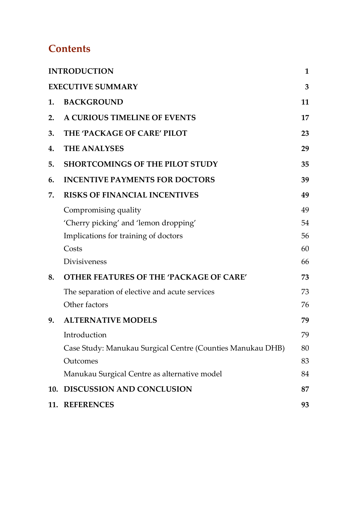## **Contents**

|     | <b>INTRODUCTION</b>                                        | 1  |
|-----|------------------------------------------------------------|----|
|     | <b>EXECUTIVE SUMMARY</b>                                   | 3  |
| 1.  | <b>BACKGROUND</b>                                          | 11 |
| 2.  | A CURIOUS TIMELINE OF EVENTS                               | 17 |
| 3.  | THE 'PACKAGE OF CARE' PILOT                                | 23 |
| 4.  | <b>THE ANALYSES</b>                                        | 29 |
| 5.  | <b>SHORTCOMINGS OF THE PILOT STUDY</b>                     | 35 |
| 6.  | <b>INCENTIVE PAYMENTS FOR DOCTORS</b>                      | 39 |
| 7.  | <b>RISKS OF FINANCIAL INCENTIVES</b>                       | 49 |
|     | Compromising quality                                       | 49 |
|     | 'Cherry picking' and 'lemon dropping'                      | 54 |
|     | Implications for training of doctors                       | 56 |
|     | Costs                                                      | 60 |
|     | Divisiveness                                               | 66 |
| 8.  | <b>OTHER FEATURES OF THE 'PACKAGE OF CARE'</b>             | 73 |
|     | The separation of elective and acute services              | 73 |
|     | Other factors                                              | 76 |
| 9.  | <b>ALTERNATIVE MODELS</b>                                  | 79 |
|     | Introduction                                               | 79 |
|     | Case Study: Manukau Surgical Centre (Counties Manukau DHB) | 80 |
|     | Outcomes                                                   | 83 |
|     | Manukau Surgical Centre as alternative model               | 84 |
| 10. | <b>DISCUSSION AND CONCLUSION</b>                           | 87 |
|     | <b>11. REFERENCES</b>                                      | 93 |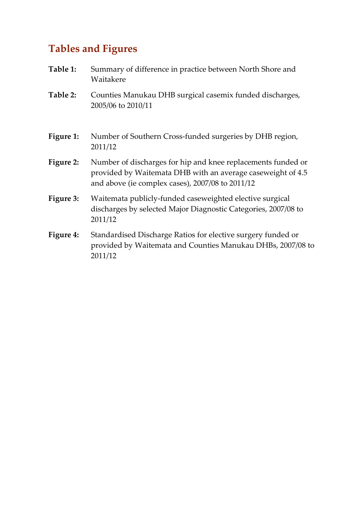# **Tables and Figures**

| Table 1:         | Summary of difference in practice between North Shore and<br>Waitakere                                                                                                          |
|------------------|---------------------------------------------------------------------------------------------------------------------------------------------------------------------------------|
| Table 2:         | Counties Manukau DHB surgical casemix funded discharges,<br>2005/06 to 2010/11                                                                                                  |
| Figure 1:        | Number of Southern Cross-funded surgeries by DHB region,<br>2011/12                                                                                                             |
| <b>Figure 2:</b> | Number of discharges for hip and knee replacements funded or<br>provided by Waitemata DHB with an average caseweight of 4.5<br>and above (ie complex cases), 2007/08 to 2011/12 |
| Figure 3:        | Waitemata publicly-funded caseweighted elective surgical<br>discharges by selected Major Diagnostic Categories, 2007/08 to<br>2011/12                                           |
| <b>Figure 4:</b> | Standardised Discharge Ratios for elective surgery funded or<br>provided by Waitemata and Counties Manukau DHBs, 2007/08 to<br>2011/12                                          |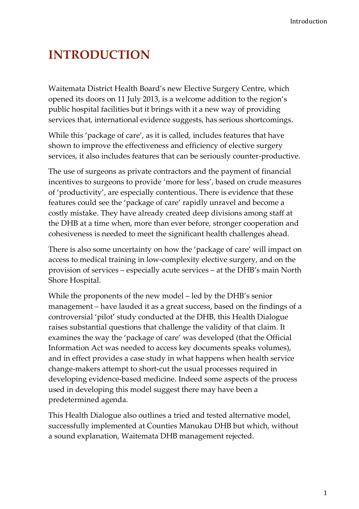# <span id="page-6-0"></span>**INTRODUCTION**

Waitemata District Health Board's new Elective Surgery Centre, which opened its doors on 11 July 2013, is a welcome addition to the region's public hospital facilities but it brings with it a new way of providing services that, international evidence suggests, has serious shortcomings.

While this 'package of care', as it is called, includes features that have shown to improve the effectiveness and efficiency of elective surgery services, it also includes features that can be seriously counter-productive.

The use of surgeons as private contractors and the payment of financial incentives to surgeons to provide 'more for less', based on crude measures of 'productivity', are especially contentious. There is evidence that these features could see the 'package of care' rapidly unravel and become a costly mistake. They have already created deep divisions among staff at the DHB at a time when, more than ever before, stronger cooperation and cohesiveness is needed to meet the significant health challenges ahead.

There is also some uncertainty on how the 'package of care' will impact on access to medical training in low-complexity elective surgery, and on the provision of services – especially acute services – at the DHB's main North Shore Hospital.

While the proponents of the new model – led by the DHB's senior management – have lauded it as a great success, based on the findings of a controversial 'pilot' study conducted at the DHB, this Health Dialogue raises substantial questions that challenge the validity of that claim. It examines the way the 'package of care' was developed (that the Official Information Act was needed to access key documents speaks volumes), and in effect provides a case study in what happens when health service change-makers attempt to short-cut the usual processes required in developing evidence-based medicine. Indeed some aspects of the process used in developing this model suggest there may have been a predetermined agenda.

This Health Dialogue also outlines a tried and tested alternative model, successfully implemented at Counties Manukau DHB but which, without a sound explanation, Waitemata DHB management rejected.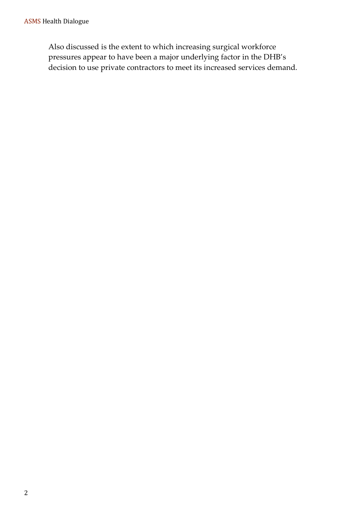Also discussed is the extent to which increasing surgical workforce pressures appear to have been a major underlying factor in the DHB's decision to use private contractors to meet its increased services demand.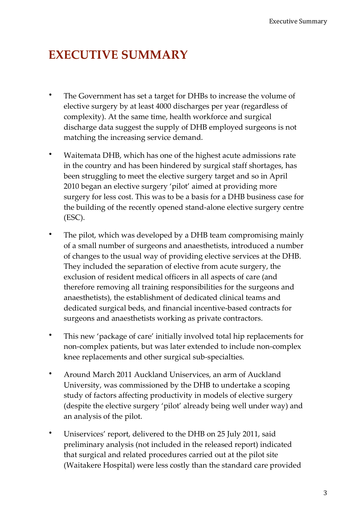## <span id="page-8-0"></span>**EXECUTIVE SUMMARY**

- The Government has set a target for DHBs to increase the volume of elective surgery by at least 4000 discharges per year (regardless of complexity). At the same time, health workforce and surgical discharge data suggest the supply of DHB employed surgeons is not matching the increasing service demand.
- ⋅ Waitemata DHB, which has one of the highest acute admissions rate in the country and has been hindered by surgical staff shortages, has been struggling to meet the elective surgery target and so in April 2010 began an elective surgery 'pilot' aimed at providing more surgery for less cost. This was to be a basis for a DHB business case for the building of the recently opened stand-alone elective surgery centre (ESC).
- The pilot, which was developed by a DHB team compromising mainly of a small number of surgeons and anaesthetists, introduced a number of changes to the usual way of providing elective services at the DHB. They included the separation of elective from acute surgery, the exclusion of resident medical officers in all aspects of care (and therefore removing all training responsibilities for the surgeons and anaesthetists), the establishment of dedicated clinical teams and dedicated surgical beds, and financial incentive-based contracts for surgeons and anaesthetists working as private contractors.
- ⋅ This new 'package of care' initially involved total hip replacements for non-complex patients, but was later extended to include non-complex knee replacements and other surgical sub-specialties.
- ⋅ Around March 2011 Auckland Uniservices, an arm of Auckland University, was commissioned by the DHB to undertake a scoping study of factors affecting productivity in models of elective surgery (despite the elective surgery 'pilot' already being well under way) and an analysis of the pilot.
- Uniservices' report, delivered to the DHB on 25 July 2011, said preliminary analysis (not included in the released report) indicated that surgical and related procedures carried out at the pilot site (Waitakere Hospital) were less costly than the standard care provided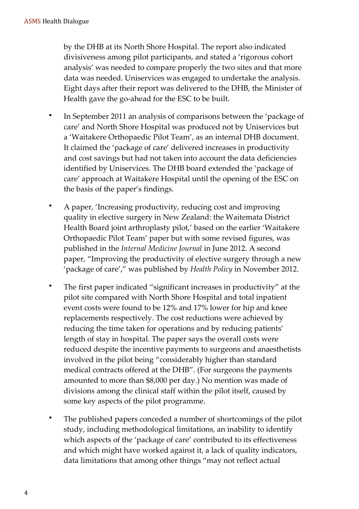by the DHB at its North Shore Hospital. The report also indicated divisiveness among pilot participants, and stated a 'rigorous cohort analysis' was needed to compare properly the two sites and that more data was needed. Uniservices was engaged to undertake the analysis. Eight days after their report was delivered to the DHB, the Minister of Health gave the go-ahead for the ESC to be built.

- In September 2011 an analysis of comparisons between the 'package of care' and North Shore Hospital was produced not by Uniservices but a 'Waitakere Orthopaedic Pilot Team', as an internal DHB document. It claimed the 'package of care' delivered increases in productivity and cost savings but had not taken into account the data deficiencies identified by Uniservices. The DHB board extended the 'package of care' approach at Waitakere Hospital until the opening of the ESC on the basis of the paper's findings.
- A paper, 'Increasing productivity, reducing cost and improving quality in elective surgery in New Zealand: the Waitemata District Health Board joint arthroplasty pilot,' based on the earlier 'Waitakere Orthopaedic Pilot Team' paper but with some revised figures, was published in the *Internal Medicine Journal* in June 2012. A second paper, "Improving the productivity of elective surgery through a new 'package of care'," was published by *Health Policy* in November 2012.
- The first paper indicated "significant increases in productivity" at the pilot site compared with North Shore Hospital and total inpatient event costs were found to be 12% and 17% lower for hip and knee replacements respectively. The cost reductions were achieved by reducing the time taken for operations and by reducing patients' length of stay in hospital. The paper says the overall costs were reduced despite the incentive payments to surgeons and anaesthetists involved in the pilot being "considerably higher than standard medical contracts offered at the DHB". (For surgeons the payments amounted to more than \$8,000 per day.) No mention was made of divisions among the clinical staff within the pilot itself, caused by some key aspects of the pilot programme.
- The published papers conceded a number of shortcomings of the pilot study, including methodological limitations, an inability to identify which aspects of the 'package of care' contributed to its effectiveness and which might have worked against it, a lack of quality indicators, data limitations that among other things "may not reflect actual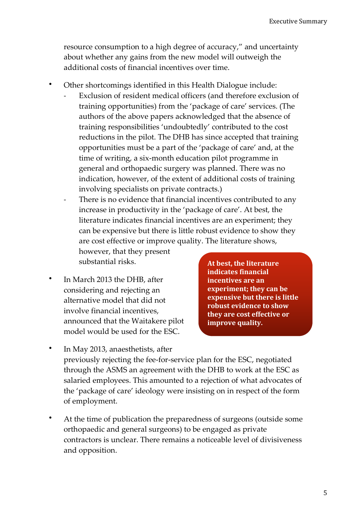resource consumption to a high degree of accuracy," and uncertainty about whether any gains from the new model will outweigh the additional costs of financial incentives over time.

- Other shortcomings identified in this Health Dialogue include:
	- Exclusion of resident medical officers (and therefore exclusion of training opportunities) from the 'package of care' services. (The authors of the above papers acknowledged that the absence of training responsibilities 'undoubtedly' contributed to the cost reductions in the pilot. The DHB has since accepted that training opportunities must be a part of the 'package of care' and, at the time of writing, a six-month education pilot programme in general and orthopaedic surgery was planned. There was no indication, however, of the extent of additional costs of training involving specialists on private contracts.)
	- There is no evidence that financial incentives contributed to any increase in productivity in the 'package of care'. At best, the literature indicates financial incentives are an experiment; they can be expensive but there is little robust evidence to show they are cost effective or improve quality. The literature shows,

however, that they present substantial risks.

In March 2013 the DHB, after considering and rejecting an alternative model that did not involve financial incentives, announced that the Waitakere pilot model would be used for the ESC.

**At best, the literature indicates financial incentives are an experiment; they can be expensive but there is little robust evidence to show they are cost effective or improve quality.**

- ⋅ In May 2013, anaesthetists, after previously rejecting the fee-for-service plan for the ESC, negotiated through the ASMS an agreement with the DHB to work at the ESC as salaried employees. This amounted to a rejection of what advocates of the 'package of care' ideology were insisting on in respect of the form of employment.
- At the time of publication the preparedness of surgeons (outside some orthopaedic and general surgeons) to be engaged as private contractors is unclear. There remains a noticeable level of divisiveness and opposition.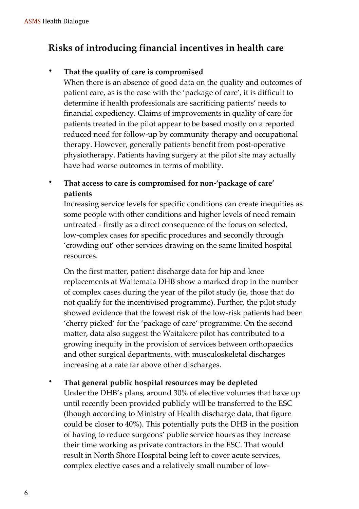### **Risks of introducing financial incentives in health care**

#### ⋅ **That the quality of care is compromised**

When there is an absence of good data on the quality and outcomes of patient care, as is the case with the 'package of care', it is difficult to determine if health professionals are sacrificing patients' needs to financial expediency. Claims of improvements in quality of care for patients treated in the pilot appear to be based mostly on a reported reduced need for follow-up by community therapy and occupational therapy. However, generally patients benefit from post-operative physiotherapy. Patients having surgery at the pilot site may actually have had worse outcomes in terms of mobility.

#### ⋅ **That access to care is compromised for non-'package of care' patients**

Increasing service levels for specific conditions can create inequities as some people with other conditions and higher levels of need remain untreated - firstly as a direct consequence of the focus on selected, low-complex cases for specific procedures and secondly through 'crowding out' other services drawing on the same limited hospital resources.

On the first matter, patient discharge data for hip and knee replacements at Waitemata DHB show a marked drop in the number of complex cases during the year of the pilot study (ie, those that do not qualify for the incentivised programme). Further, the pilot study showed evidence that the lowest risk of the low-risk patients had been 'cherry picked' for the 'package of care' programme. On the second matter, data also suggest the Waitakere pilot has contributed to a growing inequity in the provision of services between orthopaedics and other surgical departments, with musculoskeletal discharges increasing at a rate far above other discharges.

#### ⋅ **That general public hospital resources may be depleted**

Under the DHB's plans, around 30% of elective volumes that have up until recently been provided publicly will be transferred to the ESC (though according to Ministry of Health discharge data, that figure could be closer to 40%). This potentially puts the DHB in the position of having to reduce surgeons' public service hours as they increase their time working as private contractors in the ESC. That would result in North Shore Hospital being left to cover acute services, complex elective cases and a relatively small number of low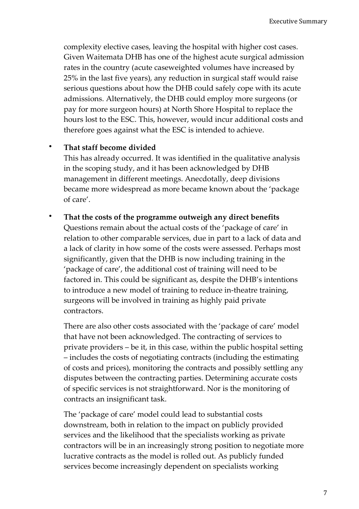complexity elective cases, leaving the hospital with higher cost cases. Given Waitemata DHB has one of the highest acute surgical admission rates in the country (acute caseweighted volumes have increased by 25% in the last five years), any reduction in surgical staff would raise serious questions about how the DHB could safely cope with its acute admissions. Alternatively, the DHB could employ more surgeons (or pay for more surgeon hours) at North Shore Hospital to replace the hours lost to the ESC. This, however, would incur additional costs and therefore goes against what the ESC is intended to achieve.

#### ⋅ **That staff become divided**

This has already occurred. It was identified in the qualitative analysis in the scoping study, and it has been acknowledged by DHB management in different meetings. Anecdotally, deep divisions became more widespread as more became known about the 'package of care'.

#### ⋅ **That the costs of the programme outweigh any direct benefits**

Questions remain about the actual costs of the 'package of care' in relation to other comparable services, due in part to a lack of data and a lack of clarity in how some of the costs were assessed. Perhaps most significantly, given that the DHB is now including training in the 'package of care', the additional cost of training will need to be factored in. This could be significant as, despite the DHB's intentions to introduce a new model of training to reduce in-theatre training, surgeons will be involved in training as highly paid private contractors.

There are also other costs associated with the 'package of care' model that have not been acknowledged. The contracting of services to private providers – be it, in this case, within the public hospital setting – includes the costs of negotiating contracts (including the estimating of costs and prices), monitoring the contracts and possibly settling any disputes between the contracting parties. Determining accurate costs of specific services is not straightforward. Nor is the monitoring of contracts an insignificant task.

The 'package of care' model could lead to substantial costs downstream, both in relation to the impact on publicly provided services and the likelihood that the specialists working as private contractors will be in an increasingly strong position to negotiate more lucrative contracts as the model is rolled out. As publicly funded services become increasingly dependent on specialists working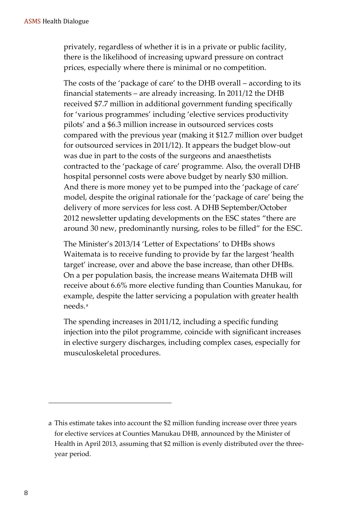privately, regardless of whether it is in a private or public facility, there is the likelihood of increasing upward pressure on contract prices, especially where there is minimal or no competition.

The costs of the 'package of care' to the DHB overall – according to its financial statements – are already increasing. In 2011/12 the DHB received \$7.7 million in additional government funding specifically for 'various programmes' including 'elective services productivity pilots' and a \$6.3 million increase in outsourced services costs compared with the previous year (making it \$12.7 million over budget for outsourced services in 2011/12). It appears the budget blow-out was due in part to the costs of the surgeons and anaesthetists contracted to the 'package of care' programme. Also, the overall DHB hospital personnel costs were above budget by nearly \$30 million. And there is more money yet to be pumped into the 'package of care' model, despite the original rationale for the 'package of care' being the delivery of more services for less cost. A DHB September/October 2012 newsletter updating developments on the ESC states "there are around 30 new, predominantly nursing, roles to be filled" for the ESC.

The Minister's 2013/14 'Letter of Expectations' to DHBs shows Waitemata is to receive funding to provide by far the largest 'health target' increase, over and above the base increase, than other DHBs. On a per population basis, the increase means Waitemata DHB will receive about 6.6% more elective funding than Counties Manukau, for example, despite the latter servicing a population with greater health needs[.a](#page-13-0)

The spending increases in 2011/12, including a specific funding injection into the pilot programme, coincide with significant increases in elective surgery discharges, including complex cases, especially for musculoskeletal procedures.

1

<span id="page-13-0"></span>a This estimate takes into account the \$2 million funding increase over three years for elective services at Counties Manukau DHB, announced by the Minister of Health in April 2013, assuming that \$2 million is evenly distributed over the threeyear period.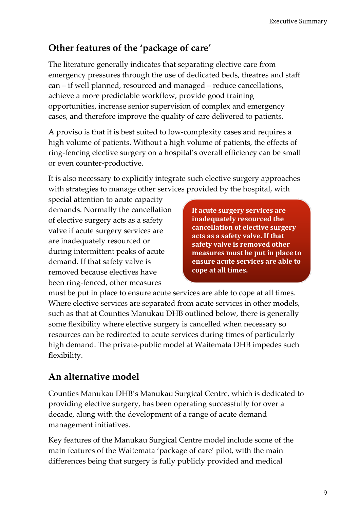### **Other features of the 'package of care'**

The literature generally indicates that separating elective care from emergency pressures through the use of dedicated beds, theatres and staff can – if well planned, resourced and managed – reduce cancellations, achieve a more predictable workflow, provide good training opportunities, increase senior supervision of complex and emergency cases, and therefore improve the quality of care delivered to patients.

A proviso is that it is best suited to low-complexity cases and requires a high volume of patients. Without a high volume of patients, the effects of ring-fencing elective surgery on a hospital's overall efficiency can be small or even counter-productive.

It is also necessary to explicitly integrate such elective surgery approaches with strategies to manage other services provided by the hospital, with

special attention to acute capacity demands. Normally the cancellation of elective surgery acts as a safety valve if acute surgery services are are inadequately resourced or during intermittent peaks of acute demand. If that safety valve is removed because electives have been ring-fenced, other measures

**If acute surgery services are inadequately resourced the cancellation of elective surgery acts as a safety valve. If that safety valve is removed other measures must be put in place to ensure acute services are able to cope at all times.**

must be put in place to ensure acute services are able to cope at all times. Where elective services are separated from acute services in other models, such as that at Counties Manukau DHB outlined below, there is generally some flexibility where elective surgery is cancelled when necessary so resources can be redirected to acute services during times of particularly high demand. The private-public model at Waitemata DHB impedes such flexibility.

### **An alternative model**

Counties Manukau DHB's Manukau Surgical Centre, which is dedicated to providing elective surgery, has been operating successfully for over a decade, along with the development of a range of acute demand management initiatives.

Key features of the Manukau Surgical Centre model include some of the main features of the Waitemata 'package of care' pilot, with the main differences being that surgery is fully publicly provided and medical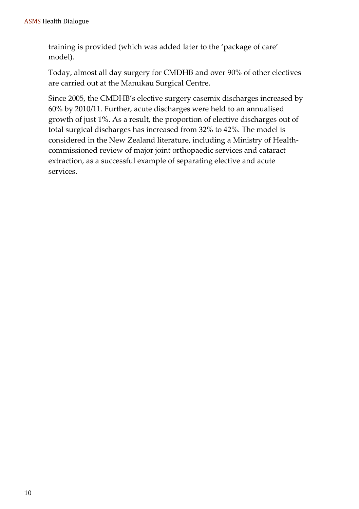training is provided (which was added later to the 'package of care' model).

Today, almost all day surgery for CMDHB and over 90% of other electives are carried out at the Manukau Surgical Centre.

Since 2005, the CMDHB's elective surgery casemix discharges increased by 60% by 2010/11. Further, acute discharges were held to an annualised growth of just 1%. As a result, the proportion of elective discharges out of total surgical discharges has increased from 32% to 42%. The model is considered in the New Zealand literature, including a Ministry of Healthcommissioned review of major joint orthopaedic services and cataract extraction, as a successful example of separating elective and acute services.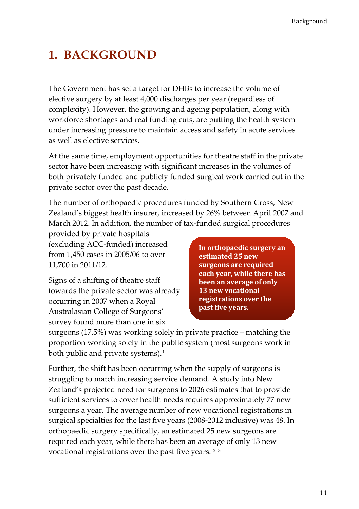# <span id="page-16-0"></span>**1. BACKGROUND**

The Government has set a target for DHBs to increase the volume of elective surgery by at least 4,000 discharges per year (regardless of complexity). However, the growing and ageing population, along with workforce shortages and real funding cuts, are putting the health system under increasing pressure to maintain access and safety in acute services as well as elective services.

At the same time, employment opportunities for theatre staff in the private sector have been increasing with significant increases in the volumes of both privately funded and publicly funded surgical work carried out in the private sector over the past decade.

The number of orthopaedic procedures funded by Southern Cross, New Zealand's biggest health insurer, increased by 26% between April 2007 and March 2012. In addition, the number of tax-funded surgical procedures

provided by private hospitals (excluding ACC-funded) increased from 1,450 cases in 2005/06 to over 11,700 in 2011/12.

Signs of a shifting of theatre staff towards the private sector was already occurring in 2007 when a Royal Australasian College of Surgeons' survey found more than one in six

**In orthopaedic surgery an estimated 25 new surgeons are required each year, while there has been an average of only 13 new vocational registrations over the past five years.**

surgeons (17.5%) was working solely in private practice – matching the proportion working solely in the public system (most surgeons work in both public and private systems).<sup>[1](#page-98-1)</sup>

Further, the shift has been occurring when the supply of surgeons is struggling to match increasing service demand. A study into New Zealand's projected need for surgeons to 2026 estimates that to provide sufficient services to cover health needs requires approximately 77 new surgeons a year. The average number of new vocational registrations in surgical specialties for the last five years (2008-2012 inclusive) was 48. In orthopaedic surgery specifically, an estimated 25 new surgeons are required each year, while there has been an average of only 13 new vocational registrations over the past five years. [2](#page-98-2) [3](#page-98-3)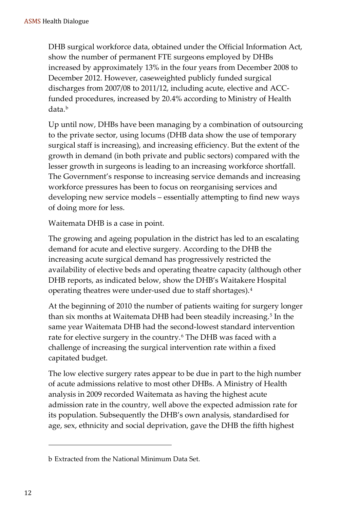DHB surgical workforce data, obtained under the Official Information Act, show the number of permanent FTE surgeons employed by DHBs increased by approximately 13% in the four years from December 2008 to December 2012. However, caseweighted publicly funded surgical discharges from 2007/08 to 2011/12, including acute, elective and ACCfunded procedures, increased by 20.4% according to Ministry of Health data.[b](#page-17-0)

Up until now, DHBs have been managing by a combination of outsourcing to the private sector, using locums (DHB data show the use of temporary surgical staff is increasing), and increasing efficiency. But the extent of the growth in demand (in both private and public sectors) compared with the lesser growth in surgeons is leading to an increasing workforce shortfall. The Government's response to increasing service demands and increasing workforce pressures has been to focus on reorganising services and developing new service models – essentially attempting to find new ways of doing more for less.

Waitemata DHB is a case in point.

The growing and ageing population in the district has led to an escalating demand for acute and elective surgery. According to the DHB the increasing acute surgical demand has progressively restricted the availability of elective beds and operating theatre capacity (although other DHB reports, as indicated below, show the DHB's Waitakere Hospital operating theatres were under-used due to staff shortages)[.4](#page-99-0)

At the beginning of 2010 the number of patients waiting for surgery longer than six months at Waitemata DHB had been steadily increasing.<sup>[5](#page-99-1)</sup> In the same year Waitemata DHB had the second-lowest standard intervention rate for elective surgery in the country.[6](#page-99-2) The DHB was faced with a challenge of increasing the surgical intervention rate within a fixed capitated budget.

The low elective surgery rates appear to be due in part to the high number of acute admissions relative to most other DHBs. A Ministry of Health analysis in 2009 recorded Waitemata as having the highest acute admission rate in the country, well above the expected admission rate for its population. Subsequently the DHB's own analysis, standardised for age, sex, ethnicity and social deprivation, gave the DHB the fifth highest

1

<span id="page-17-0"></span>b Extracted from the National Minimum Data Set.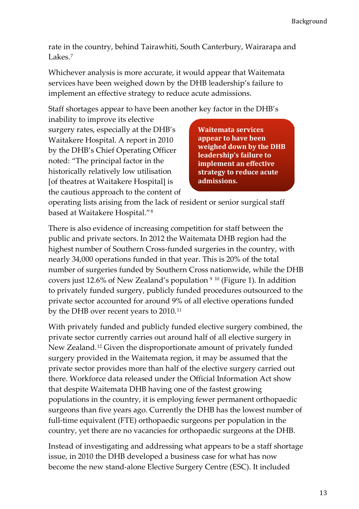rate in the country, behind Tairawhiti, South Canterbury, Wairarapa and Lakes.[7](#page-100-0)

Whichever analysis is more accurate, it would appear that Waitemata services have been weighed down by the DHB leadership's failure to implement an effective strategy to reduce acute admissions.

Staff shortages appear to have been another key factor in the DHB's

inability to improve its elective surgery rates, especially at the DHB's Waitakere Hospital. A report in 2010 by the DHB's Chief Operating Officer noted: "The principal factor in the historically relatively low utilisation [of theatres at Waitakere Hospital] is the cautious approach to the content of

**Waitemata services appear to have been weighed down by the DHB leadership's failure to implement an effective strategy to reduce acute admissions.**

operating lists arising from the lack of resident or senior surgical staff based at Waitakere Hospital."[8](#page-100-1)

There is also evidence of increasing competition for staff between the public and private sectors. In 2012 the Waitemata DHB region had the highest number of Southern Cross-funded surgeries in the country, with nearly 34,000 operations funded in that year. This is 20% of the total number of surgeries funded by Southern Cross nationwide, while the DHB covers just 12.6% of New Zealand's population [9](#page-100-2) [10](#page-100-3) (Figure 1). In addition to privately funded surgery, publicly funded procedures outsourced to the private sector accounted for around 9% of all elective operations funded by the DHB over recent years to 2010.<sup>[11](#page-100-4)</sup>

With privately funded and publicly funded elective surgery combined, the private sector currently carries out around half of all elective surgery in New Zealand.[12](#page-100-5) Given the disproportionate amount of privately funded surgery provided in the Waitemata region, it may be assumed that the private sector provides more than half of the elective surgery carried out there. Workforce data released under the Official Information Act show that despite Waitemata DHB having one of the fastest growing populations in the country, it is employing fewer permanent orthopaedic surgeons than five years ago. Currently the DHB has the lowest number of full-time equivalent (FTE) orthopaedic surgeons per population in the country, yet there are no vacancies for orthopaedic surgeons at the DHB.

Instead of investigating and addressing what appears to be a staff shortage issue, in 2010 the DHB developed a business case for what has now become the new stand-alone Elective Surgery Centre (ESC). It included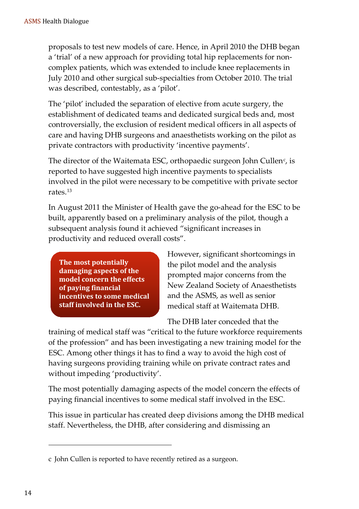proposals to test new models of care. Hence, in April 2010 the DHB began a 'trial' of a new approach for providing total hip replacements for noncomplex patients, which was extended to include knee replacements in July 2010 and other surgical sub-specialties from October 2010. The trial was described, contestably, as a 'pilot'.

The 'pilot' included the separation of elective from acute surgery, the establishment of dedicated teams and dedicated surgical beds and, most controversially, the exclusion of resident medical officers in all aspects of care and having DHB surgeons and anaesthetists working on the pilot as private contractors with productivity 'incentive payments'.

The dire[c](#page-19-0)tor of the Waitemata ESC, orthopaedic surgeon John Cullen $\cdot$ , is reported to have suggested high incentive payments to specialists involved in the pilot were necessary to be competitive with private sector rates[.13](#page-101-0)

In August 2011 the Minister of Health gave the go-ahead for the ESC to be built, apparently based on a preliminary analysis of the pilot, though a subsequent analysis found it achieved "significant increases in productivity and reduced overall costs".

**The most potentially damaging aspects of the model concern the effects of paying financial incentives to some medical staff involved in the ESC.**

However, significant shortcomings in the pilot model and the analysis prompted major concerns from the New Zealand Society of Anaesthetists and the ASMS, as well as senior medical staff at Waitemata DHB.

The DHB later conceded that the

training of medical staff was "critical to the future workforce requirements of the profession" and has been investigating a new training model for the ESC. Among other things it has to find a way to avoid the high cost of having surgeons providing training while on private contract rates and without impeding 'productivity'.

The most potentially damaging aspects of the model concern the effects of paying financial incentives to some medical staff involved in the ESC.

This issue in particular has created deep divisions among the DHB medical staff. Nevertheless, the DHB, after considering and dismissing an

1

<span id="page-19-0"></span>c John Cullen is reported to have recently retired as a surgeon.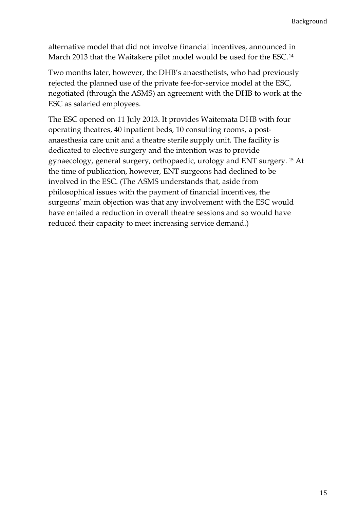alternative model that did not involve financial incentives, announced in March 2013 that the Waitakere pilot model would be used for the ESC.[14](#page-102-0)

Two months later, however, the DHB's anaesthetists, who had previously rejected the planned use of the private fee-for-service model at the ESC, negotiated (through the ASMS) an agreement with the DHB to work at the ESC as salaried employees.

The ESC opened on 11 July 2013. It provides Waitemata DHB with four operating theatres, 40 inpatient beds, 10 consulting rooms, a postanaesthesia care unit and a theatre sterile supply unit. The facility is dedicated to elective surgery and the intention was to provide gynaecology, general surgery, orthopaedic, urology and ENT surgery. [15](#page-102-1) At the time of publication, however, ENT surgeons had declined to be involved in the ESC. (The ASMS understands that, aside from philosophical issues with the payment of financial incentives, the surgeons' main objection was that any involvement with the ESC would have entailed a reduction in overall theatre sessions and so would have reduced their capacity to meet increasing service demand.)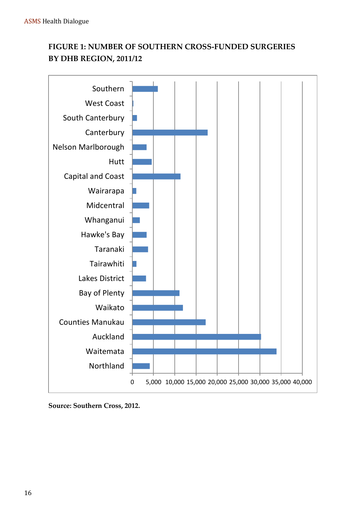### **FIGURE 1: NUMBER OF SOUTHERN CROSS-FUNDED SURGERIES BY DHB REGION, 2011/12**



**Source: Southern Cross, 2012.**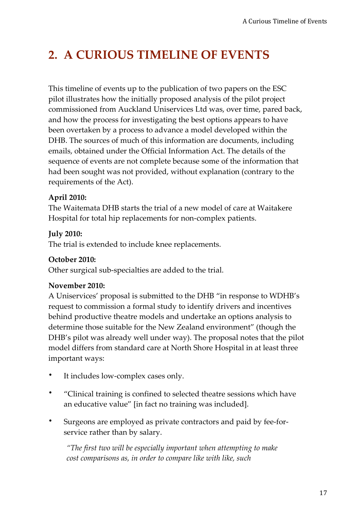# <span id="page-22-0"></span>**2. A CURIOUS TIMELINE OF EVENTS**

This timeline of events up to the publication of two papers on the ESC pilot illustrates how the initially proposed analysis of the pilot project commissioned from Auckland Uniservices Ltd was, over time, pared back, and how the process for investigating the best options appears to have been overtaken by a process to advance a model developed within the DHB. The sources of much of this information are documents, including emails, obtained under the Official Information Act. The details of the sequence of events are not complete because some of the information that had been sought was not provided, without explanation (contrary to the requirements of the Act).

#### **April 2010:**

The Waitemata DHB starts the trial of a new model of care at Waitakere Hospital for total hip replacements for non-complex patients.

#### **July 2010:**

The trial is extended to include knee replacements.

#### **October 2010:**

Other surgical sub-specialties are added to the trial.

#### **November 2010:**

A Uniservices' proposal is submitted to the DHB "in response to WDHB's request to commission a formal study to identify drivers and incentives behind productive theatre models and undertake an options analysis to determine those suitable for the New Zealand environment" (though the DHB's pilot was already well under way). The proposal notes that the pilot model differs from standard care at North Shore Hospital in at least three important ways:

- It includes low-complex cases only.
- ⋅ "Clinical training is confined to selected theatre sessions which have an educative value" [in fact no training was included].
- ⋅ Surgeons are employed as private contractors and paid by fee-forservice rather than by salary.

*"The first two will be especially important when attempting to make cost comparisons as, in order to compare like with like, such*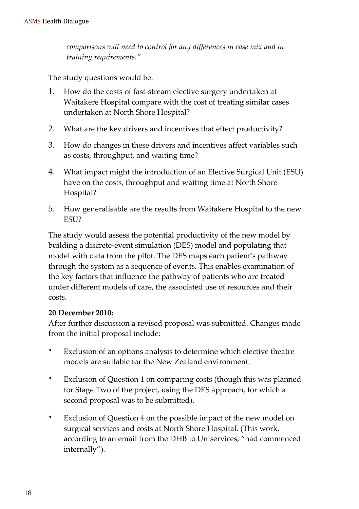*comparisons will need to control for any differences in case mix and in training requirements."*

The study questions would be:

- 1. How do the costs of fast-stream elective surgery undertaken at Waitakere Hospital compare with the cost of treating similar cases undertaken at North Shore Hospital?
- 2. What are the key drivers and incentives that effect productivity?
- 3. How do changes in these drivers and incentives affect variables such as costs, throughput, and waiting time?
- 4. What impact might the introduction of an Elective Surgical Unit (ESU) have on the costs, throughput and waiting time at North Shore Hospital?
- 5. How generalisable are the results from Waitakere Hospital to the new ESU?

The study would assess the potential productivity of the new model by building a discrete-event simulation (DES) model and populating that model with data from the pilot. The DES maps each patient's pathway through the system as a sequence of events. This enables examination of the key factors that influence the pathway of patients who are treated under different models of care, the associated use of resources and their costs.

#### **20 December 2010:**

After further discussion a revised proposal was submitted. Changes made from the initial proposal include:

- ⋅ Exclusion of an options analysis to determine which elective theatre models are suitable for the New Zealand environment.
- Exclusion of Question 1 on comparing costs (though this was planned for Stage Two of the project, using the DES approach, for which a second proposal was to be submitted).
- Exclusion of Question 4 on the possible impact of the new model on surgical services and costs at North Shore Hospital. (This work, according to an email from the DHB to Uniservices, "had commenced internally").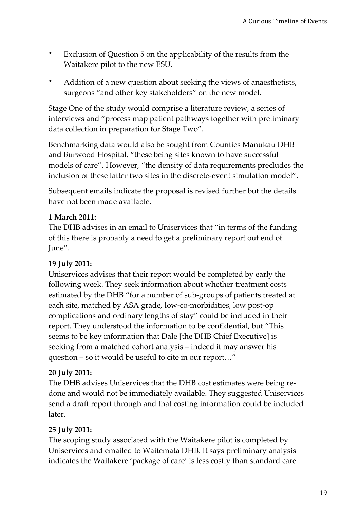- Exclusion of Question 5 on the applicability of the results from the Waitakere pilot to the new ESU.
- Addition of a new question about seeking the views of anaesthetists, surgeons "and other key stakeholders" on the new model.

Stage One of the study would comprise a literature review, a series of interviews and "process map patient pathways together with preliminary data collection in preparation for Stage Two".

Benchmarking data would also be sought from Counties Manukau DHB and Burwood Hospital, "these being sites known to have successful models of care". However, "the density of data requirements precludes the inclusion of these latter two sites in the discrete-event simulation model".

Subsequent emails indicate the proposal is revised further but the details have not been made available.

#### **1 March 2011:**

The DHB advises in an email to Uniservices that "in terms of the funding of this there is probably a need to get a preliminary report out end of June".

#### **19 July 2011:**

Uniservices advises that their report would be completed by early the following week. They seek information about whether treatment costs estimated by the DHB "for a number of sub-groups of patients treated at each site, matched by ASA grade, low-co-morbidities, low post-op complications and ordinary lengths of stay" could be included in their report. They understood the information to be confidential, but "This seems to be key information that Dale [the DHB Chief Executive] is seeking from a matched cohort analysis – indeed it may answer his question – so it would be useful to cite in our report…"

#### **20 July 2011:**

The DHB advises Uniservices that the DHB cost estimates were being redone and would not be immediately available. They suggested Uniservices send a draft report through and that costing information could be included later.

#### **25 July 2011:**

The scoping study associated with the Waitakere pilot is completed by Uniservices and emailed to Waitemata DHB. It says preliminary analysis indicates the Waitakere 'package of care' is less costly than standard care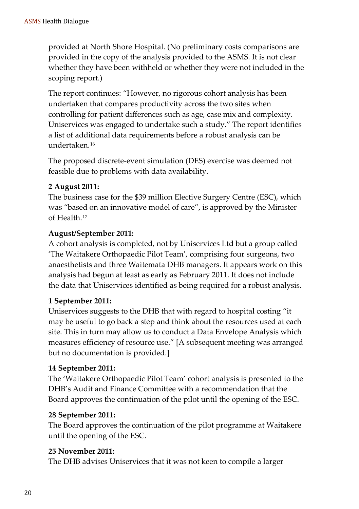provided at North Shore Hospital. (No preliminary costs comparisons are provided in the copy of the analysis provided to the ASMS. It is not clear whether they have been withheld or whether they were not included in the scoping report.)

The report continues: "However, no rigorous cohort analysis has been undertaken that compares productivity across the two sites when controlling for patient differences such as age, case mix and complexity. Uniservices was engaged to undertake such a study." The report identifies a list of additional data requirements before a robust analysis can be undertaken.[16](#page-103-0)

The proposed discrete-event simulation (DES) exercise was deemed not feasible due to problems with data availability.

#### **2 August 2011:**

The business case for the \$39 million Elective Surgery Centre (ESC), which was "based on an innovative model of care", is approved by the Minister of Health.[17](#page-103-1)

#### **August/September 2011:**

A cohort analysis is completed, not by Uniservices Ltd but a group called 'The Waitakere Orthopaedic Pilot Team', comprising four surgeons, two anaesthetists and three Waitemata DHB managers. It appears work on this analysis had begun at least as early as February 2011. It does not include the data that Uniservices identified as being required for a robust analysis.

#### **1 September 2011:**

Uniservices suggests to the DHB that with regard to hospital costing "it may be useful to go back a step and think about the resources used at each site. This in turn may allow us to conduct a Data Envelope Analysis which measures efficiency of resource use." [A subsequent meeting was arranged but no documentation is provided.]

#### **14 September 2011:**

The 'Waitakere Orthopaedic Pilot Team' cohort analysis is presented to the DHB's Audit and Finance Committee with a recommendation that the Board approves the continuation of the pilot until the opening of the ESC.

#### **28 September 2011:**

The Board approves the continuation of the pilot programme at Waitakere until the opening of the ESC.

#### **25 November 2011:**

The DHB advises Uniservices that it was not keen to compile a larger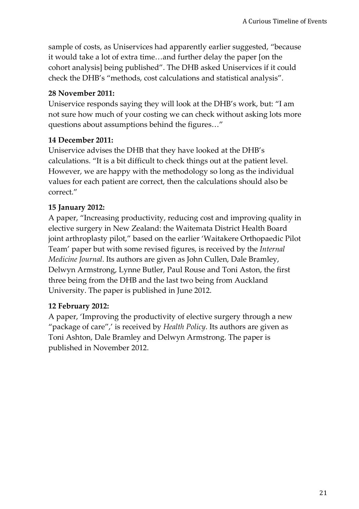sample of costs, as Uniservices had apparently earlier suggested, "because it would take a lot of extra time…and further delay the paper [on the cohort analysis] being published". The DHB asked Uniservices if it could check the DHB's "methods, cost calculations and statistical analysis".

#### **28 November 2011:**

Uniservice responds saying they will look at the DHB's work, but: "I am not sure how much of your costing we can check without asking lots more questions about assumptions behind the figures…"

#### **14 December 2011:**

Uniservice advises the DHB that they have looked at the DHB's calculations. "It is a bit difficult to check things out at the patient level. However, we are happy with the methodology so long as the individual values for each patient are correct, then the calculations should also be correct."

#### **15 January 2012:**

A paper, "Increasing productivity, reducing cost and improving quality in elective surgery in New Zealand: the Waitemata District Health Board joint arthroplasty pilot," based on the earlier 'Waitakere Orthopaedic Pilot Team' paper but with some revised figures, is received by the *Internal Medicine Journal*. Its authors are given as John Cullen, Dale Bramley, Delwyn Armstrong, Lynne Butler, Paul Rouse and Toni Aston, the first three being from the DHB and the last two being from Auckland University. The paper is published in June 2012.

#### **12 February 2012:**

A paper, 'Improving the productivity of elective surgery through a new "package of care",' is received by *Health Policy*. Its authors are given as Toni Ashton, Dale Bramley and Delwyn Armstrong. The paper is published in November 2012.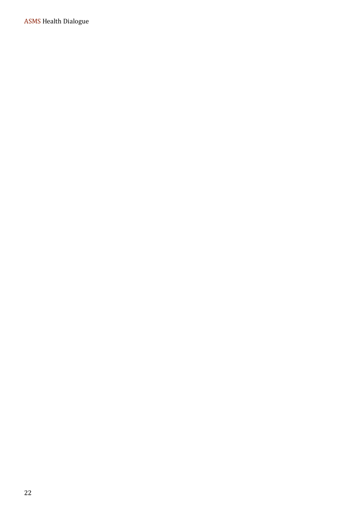ASMS Health Dialogue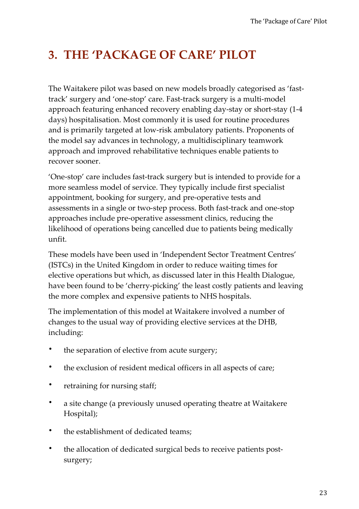# <span id="page-28-0"></span>**3. THE 'PACKAGE OF CARE' PILOT**

The Waitakere pilot was based on new models broadly categorised as 'fasttrack' surgery and 'one-stop' care. Fast-track surgery is a multi-model approach featuring enhanced recovery enabling day-stay or short-stay (1-4 days) hospitalisation. Most commonly it is used for routine procedures and is primarily targeted at low-risk ambulatory patients. Proponents of the model say advances in technology, a multidisciplinary teamwork approach and improved rehabilitative techniques enable patients to recover sooner.

'One-stop' care includes fast-track surgery but is intended to provide for a more seamless model of service. They typically include first specialist appointment, booking for surgery, and pre-operative tests and assessments in a single or two-step process. Both fast-track and one-stop approaches include pre-operative assessment clinics, reducing the likelihood of operations being cancelled due to patients being medically unfit.

These models have been used in 'Independent Sector Treatment Centres' (ISTCs) in the United Kingdom in order to reduce waiting times for elective operations but which, as discussed later in this Health Dialogue, have been found to be 'cherry-picking' the least costly patients and leaving the more complex and expensive patients to NHS hospitals.

The implementation of this model at Waitakere involved a number of changes to the usual way of providing elective services at the DHB, including:

- the separation of elective from acute surgery;
- the exclusion of resident medical officers in all aspects of care;
- retraining for nursing staff;
- a site change (a previously unused operating theatre at Waitakere Hospital);
- the establishment of dedicated teams;
- the allocation of dedicated surgical beds to receive patients postsurgery;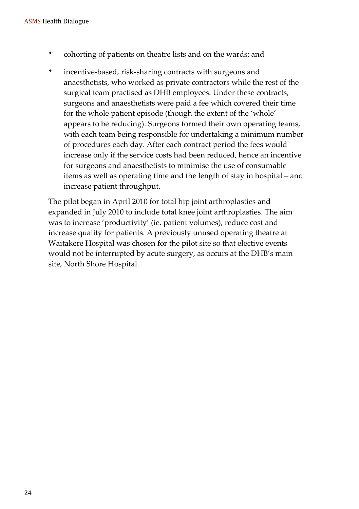- cohorting of patients on theatre lists and on the wards; and
- incentive-based, risk-sharing contracts with surgeons and anaesthetists, who worked as private contractors while the rest of the surgical team practised as DHB employees. Under these contracts, surgeons and anaesthetists were paid a fee which covered their time for the whole patient episode (though the extent of the 'whole' appears to be reducing). Surgeons formed their own operating teams, with each team being responsible for undertaking a minimum number of procedures each day. After each contract period the fees would increase only if the service costs had been reduced, hence an incentive for surgeons and anaesthetists to minimise the use of consumable items as well as operating time and the length of stay in hospital – and increase patient throughput.

The pilot began in April 2010 for total hip joint arthroplasties and expanded in July 2010 to include total knee joint arthroplasties. The aim was to increase 'productivity' (ie, patient volumes), reduce cost and increase quality for patients. A previously unused operating theatre at Waitakere Hospital was chosen for the pilot site so that elective events would not be interrupted by acute surgery, as occurs at the DHB's main site, North Shore Hospital.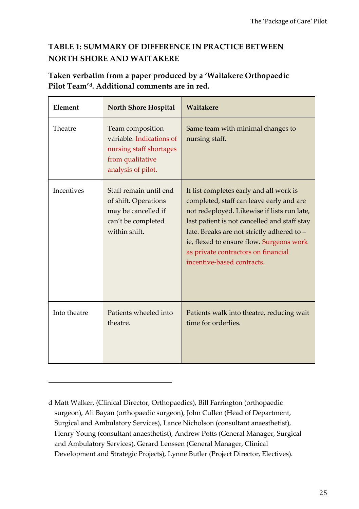### **TABLE 1: SUMMARY OF DIFFERENCE IN PRACTICE BETWEEN NORTH SHORE AND WAITAKERE**

| Taken verbatim from a paper produced by a 'Waitakere Orthopaedic |
|------------------------------------------------------------------|
| Pilot Team' <sup>d</sup> . Additional comments are in red.       |

| Element           | <b>North Shore Hospital</b>                                                                                       | Waitakere                                                                                                                                                                                                                                                                                                                                         |
|-------------------|-------------------------------------------------------------------------------------------------------------------|---------------------------------------------------------------------------------------------------------------------------------------------------------------------------------------------------------------------------------------------------------------------------------------------------------------------------------------------------|
| Theatre           | Team composition<br>variable. Indications of<br>nursing staff shortages<br>from qualitative<br>analysis of pilot. | Same team with minimal changes to<br>nursing staff.                                                                                                                                                                                                                                                                                               |
| <b>Incentives</b> | Staff remain until end<br>of shift. Operations<br>may be cancelled if<br>can't be completed<br>within shift.      | If list completes early and all work is<br>completed, staff can leave early and are<br>not redeployed. Likewise if lists run late,<br>last patient is not cancelled and staff stay<br>late. Breaks are not strictly adhered to -<br>ie, flexed to ensure flow. Surgeons work<br>as private contractors on financial<br>incentive-based contracts. |
| Into theatre      | Patients wheeled into<br>theatre.                                                                                 | Patients walk into theatre, reducing wait<br>time for orderlies.                                                                                                                                                                                                                                                                                  |

1

<span id="page-30-0"></span>d Matt Walker, (Clinical Director, Orthopaedics), Bill Farrington (orthopaedic surgeon), Ali Bayan (orthopaedic surgeon), John Cullen (Head of Department, Surgical and Ambulatory Services), Lance Nicholson (consultant anaesthetist), Henry Young (consultant anaesthetist), Andrew Potts (General Manager, Surgical and Ambulatory Services), Gerard Lenssen (General Manager, Clinical Development and Strategic Projects), Lynne Butler (Project Director, Electives).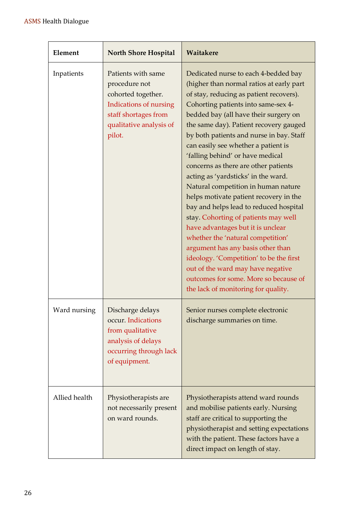| Element       | <b>North Shore Hospital</b>                                                                                                                      | Waitakere                                                                                                                                                                                                                                                                                                                                                                                                                                                                                                                                                                                                                                                                                                                                                                                                                                                                                                     |
|---------------|--------------------------------------------------------------------------------------------------------------------------------------------------|---------------------------------------------------------------------------------------------------------------------------------------------------------------------------------------------------------------------------------------------------------------------------------------------------------------------------------------------------------------------------------------------------------------------------------------------------------------------------------------------------------------------------------------------------------------------------------------------------------------------------------------------------------------------------------------------------------------------------------------------------------------------------------------------------------------------------------------------------------------------------------------------------------------|
| Inpatients    | Patients with same<br>procedure not<br>cohorted together.<br>Indications of nursing<br>staff shortages from<br>qualitative analysis of<br>pilot. | Dedicated nurse to each 4-bedded bay<br>(higher than normal ratios at early part<br>of stay, reducing as patient recovers).<br>Cohorting patients into same-sex 4-<br>bedded bay (all have their surgery on<br>the same day). Patient recovery gauged<br>by both patients and nurse in bay. Staff<br>can easily see whether a patient is<br>'falling behind' or have medical<br>concerns as there are other patients<br>acting as 'yardsticks' in the ward.<br>Natural competition in human nature<br>helps motivate patient recovery in the<br>bay and helps lead to reduced hospital<br>stay. Cohorting of patients may well<br>have advantages but it is unclear<br>whether the 'natural competition'<br>argument has any basis other than<br>ideology. 'Competition' to be the first<br>out of the ward may have negative<br>outcomes for some. More so because of<br>the lack of monitoring for quality. |
| Ward nursing  | Discharge delays<br>occur. Indications<br>from qualitative<br>analysis of delays<br>occurring through lack<br>of equipment.                      | Senior nurses complete electronic<br>discharge summaries on time.                                                                                                                                                                                                                                                                                                                                                                                                                                                                                                                                                                                                                                                                                                                                                                                                                                             |
| Allied health | Physiotherapists are<br>not necessarily present<br>on ward rounds.                                                                               | Physiotherapists attend ward rounds<br>and mobilise patients early. Nursing<br>staff are critical to supporting the<br>physiotherapist and setting expectations<br>with the patient. These factors have a<br>direct impact on length of stay.                                                                                                                                                                                                                                                                                                                                                                                                                                                                                                                                                                                                                                                                 |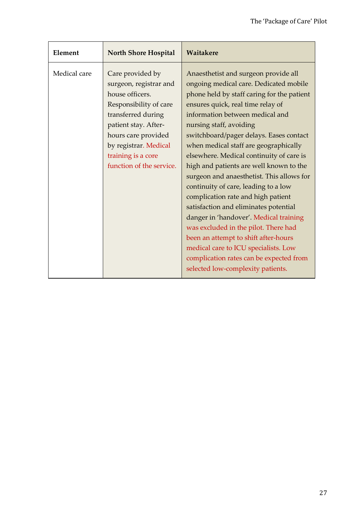| Element      | <b>North Shore Hospital</b>                                                                                                                                                                                                             | Waitakere                                                                                                                                                                                                                                                                                                                                                                                                                                                                                                                                                                                                                                                                                                                                                                                                                        |
|--------------|-----------------------------------------------------------------------------------------------------------------------------------------------------------------------------------------------------------------------------------------|----------------------------------------------------------------------------------------------------------------------------------------------------------------------------------------------------------------------------------------------------------------------------------------------------------------------------------------------------------------------------------------------------------------------------------------------------------------------------------------------------------------------------------------------------------------------------------------------------------------------------------------------------------------------------------------------------------------------------------------------------------------------------------------------------------------------------------|
| Medical care | Care provided by<br>surgeon, registrar and<br>house officers.<br>Responsibility of care<br>transferred during<br>patient stay. After-<br>hours care provided<br>by registrar. Medical<br>training is a core<br>function of the service. | Anaesthetist and surgeon provide all<br>ongoing medical care. Dedicated mobile<br>phone held by staff caring for the patient<br>ensures quick, real time relay of<br>information between medical and<br>nursing staff, avoiding<br>switchboard/pager delays. Eases contact<br>when medical staff are geographically<br>elsewhere. Medical continuity of care is<br>high and patients are well known to the<br>surgeon and anaesthetist. This allows for<br>continuity of care, leading to a low<br>complication rate and high patient<br>satisfaction and eliminates potential<br>danger in 'handover'. Medical training<br>was excluded in the pilot. There had<br>been an attempt to shift after-hours<br>medical care to ICU specialists. Low<br>complication rates can be expected from<br>selected low-complexity patients. |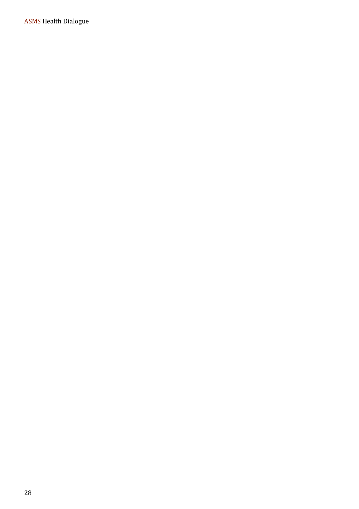ASMS Health Dialogue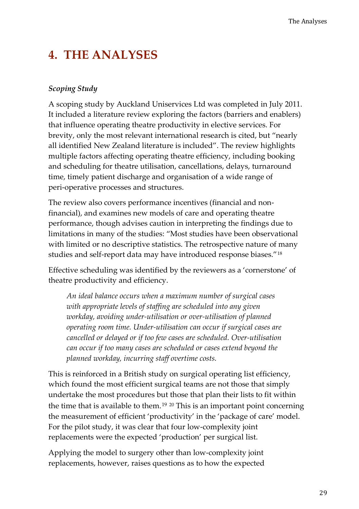# <span id="page-34-0"></span>**4. THE ANALYSES**

#### *Scoping Study*

A scoping study by Auckland Uniservices Ltd was completed in July 2011. It included a literature review exploring the factors (barriers and enablers) that influence operating theatre productivity in elective services. For brevity, only the most relevant international research is cited, but "nearly all identified New Zealand literature is included". The review highlights multiple factors affecting operating theatre efficiency, including booking and scheduling for theatre utilisation, cancellations, delays, turnaround time, timely patient discharge and organisation of a wide range of peri-operative processes and structures.

The review also covers performance incentives (financial and nonfinancial), and examines new models of care and operating theatre performance, though advises caution in interpreting the findings due to limitations in many of the studies: "Most studies have been observational with limited or no descriptive statistics. The retrospective nature of many studies and self-report data may have introduced response biases.["18](#page-103-2)

Effective scheduling was identified by the reviewers as a 'cornerstone' of theatre productivity and efficiency.

*An ideal balance occurs when a maximum number of surgical cases with appropriate levels of staffing are scheduled into any given workday, avoiding under‐utilisation or over‐utilisation of planned operating room time. Under‐utilisation can occur if surgical cases are cancelled or delayed or if too few cases are scheduled. Over‐utilisation can occur if too many cases are scheduled or cases extend beyond the planned workday, incurring staff overtime costs.*

This is reinforced in a British study on surgical operating list efficiency, which found the most efficient surgical teams are not those that simply undertake the most procedures but those that plan their lists to fit within the time that is available to them.<sup>[19](#page-103-3) [20](#page-103-4)</sup> This is an important point concerning the measurement of efficient 'productivity' in the 'package of care' model. For the pilot study, it was clear that four low-complexity joint replacements were the expected 'production' per surgical list.

Applying the model to surgery other than low-complexity joint replacements, however, raises questions as to how the expected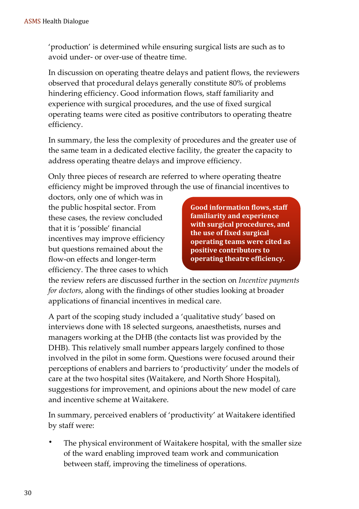'production' is determined while ensuring surgical lists are such as to avoid under- or over-use of theatre time.

In discussion on operating theatre delays and patient flows, the reviewers observed that procedural delays generally constitute 80% of problems hindering efficiency. Good information flows, staff familiarity and experience with surgical procedures, and the use of fixed surgical operating teams were cited as positive contributors to operating theatre efficiency.

In summary, the less the complexity of procedures and the greater use of the same team in a dedicated elective facility, the greater the capacity to address operating theatre delays and improve efficiency.

Only three pieces of research are referred to where operating theatre efficiency might be improved through the use of financial incentives to

doctors, only one of which was in the public hospital sector. From these cases, the review concluded that it is 'possible' financial incentives may improve efficiency but questions remained about the flow-on effects and longer-term efficiency. The three cases to which

**Good information flows, staff familiarity and experience with surgical procedures, and the use of fixed surgical operating teams were cited as positive contributors to operating theatre efficiency.**

the review refers are discussed further in the section on *Incentive payments for doctors*, along with the findings of other studies looking at broader applications of financial incentives in medical care.

A part of the scoping study included a 'qualitative study' based on interviews done with 18 selected surgeons, anaesthetists, nurses and managers working at the DHB (the contacts list was provided by the DHB). This relatively small number appears largely confined to those involved in the pilot in some form. Questions were focused around their perceptions of enablers and barriers to 'productivity' under the models of care at the two hospital sites (Waitakere, and North Shore Hospital), suggestions for improvement, and opinions about the new model of care and incentive scheme at Waitakere.

In summary, perceived enablers of 'productivity' at Waitakere identified by staff were:

The physical environment of Waitakere hospital, with the smaller size of the ward enabling improved team work and communication between staff, improving the timeliness of operations.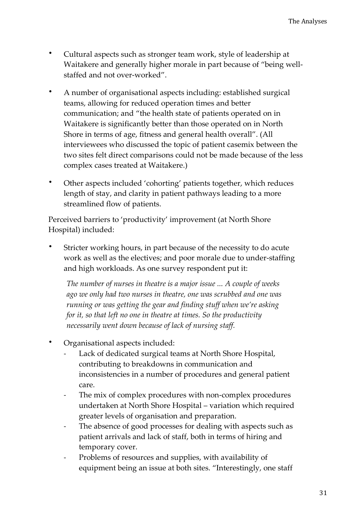- ⋅ Cultural aspects such as stronger team work, style of leadership at Waitakere and generally higher morale in part because of "being wellstaffed and not over-worked".
- ⋅ A number of organisational aspects including: established surgical teams, allowing for reduced operation times and better communication; and "the health state of patients operated on in Waitakere is significantly better than those operated on in North Shore in terms of age, fitness and general health overall". (All interviewees who discussed the topic of patient casemix between the two sites felt direct comparisons could not be made because of the less complex cases treated at Waitakere.)
- ⋅ Other aspects included 'cohorting' patients together, which reduces length of stay, and clarity in patient pathways leading to a more streamlined flow of patients.

Perceived barriers to 'productivity' improvement (at North Shore Hospital) included:

⋅ Stricter working hours, in part because of the necessity to do acute work as well as the electives; and poor morale due to under-staffing and high workloads. As one survey respondent put it:

*The number of nurses in theatre is a major issue ... A couple of weeks ago we only had two nurses in theatre, one was scrubbed and one was running or was getting the gear and finding stuff when we're asking for it, so that left no one in theatre at times. So the productivity necessarily went down because of lack of nursing staff.*

- ⋅ Organisational aspects included:
	- Lack of dedicated surgical teams at North Shore Hospital, contributing to breakdowns in communication and inconsistencies in a number of procedures and general patient care.
	- The mix of complex procedures with non-complex procedures undertaken at North Shore Hospital – variation which required greater levels of organisation and preparation.
	- The absence of good processes for dealing with aspects such as patient arrivals and lack of staff, both in terms of hiring and temporary cover.
	- Problems of resources and supplies, with availability of equipment being an issue at both sites. "Interestingly, one staff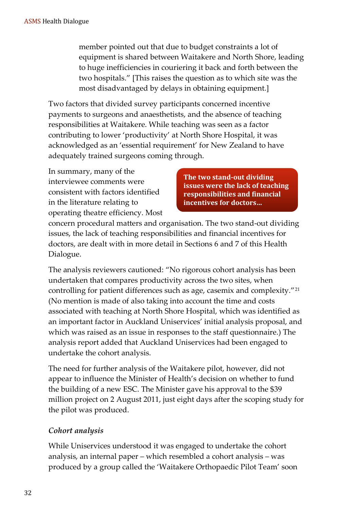member pointed out that due to budget constraints a lot of equipment is shared between Waitakere and North Shore, leading to huge inefficiencies in couriering it back and forth between the two hospitals." [This raises the question as to which site was the most disadvantaged by delays in obtaining equipment.]

Two factors that divided survey participants concerned incentive payments to surgeons and anaesthetists, and the absence of teaching responsibilities at Waitakere. While teaching was seen as a factor contributing to lower 'productivity' at North Shore Hospital, it was acknowledged as an 'essential requirement' for New Zealand to have adequately trained surgeons coming through.

In summary, many of the interviewee comments were consistent with factors identified in the literature relating to operating theatre efficiency. Most

**The two stand-out dividing issues were the lack of teaching responsibilities and financial incentives for doctors…**

concern procedural matters and organisation. The two stand-out dividing issues, the lack of teaching responsibilities and financial incentives for doctors, are dealt with in more detail in Sections 6 and 7 of this Health Dialogue.

The analysis reviewers cautioned: "No rigorous cohort analysis has been undertaken that compares productivity across the two sites, when controlling for patient differences such as age, casemix and complexity."[21](#page-104-0) (No mention is made of also taking into account the time and costs associated with teaching at North Shore Hospital, which was identified as an important factor in Auckland Uniservices' initial analysis proposal, and which was raised as an issue in responses to the staff questionnaire.) The analysis report added that Auckland Uniservices had been engaged to undertake the cohort analysis.

The need for further analysis of the Waitakere pilot, however, did not appear to influence the Minister of Health's decision on whether to fund the building of a new ESC. The Minister gave his approval to the \$39 million project on 2 August 2011, just eight days after the scoping study for the pilot was produced.

### *Cohort analysis*

While Uniservices understood it was engaged to undertake the cohort analysis, an internal paper – which resembled a cohort analysis – was produced by a group called the 'Waitakere Orthopaedic Pilot Team' soon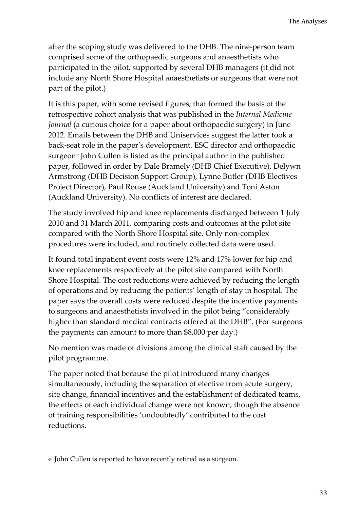after the scoping study was delivered to the DHB. The nine-person team comprised some of the orthopaedic surgeons and anaesthetists who participated in the pilot, supported by several DHB managers (it did not include any North Shore Hospital anaesthetists or surgeons that were not part of the pilot.)

It is this paper, with some revised figures, that formed the basis of the retrospective cohort analysis that was published in the *Internal Medicine Journal* (a curious choice for a paper about orthopaedic surgery) in June 2012. Emails between the DHB and Uniservices suggest the latter took a back-seat role in the paper's development. ESC director and orthopaedic surg[e](#page-38-0)on<sup>e</sup> John Cullen is listed as the principal author in the published paper, followed in order by Dale Bramely (DHB Chief Executive), Delywn Armstrong (DHB Decision Support Group), Lynne Butler (DHB Electives Project Director), Paul Rouse (Auckland University) and Toni Aston (Auckland University). No conflicts of interest are declared.

The study involved hip and knee replacements discharged between 1 July 2010 and 31 March 2011, comparing costs and outcomes at the pilot site compared with the North Shore Hospital site. Only non-complex procedures were included, and routinely collected data were used.

It found total inpatient event costs were 12% and 17% lower for hip and knee replacements respectively at the pilot site compared with North Shore Hospital. The cost reductions were achieved by reducing the length of operations and by reducing the patients' length of stay in hospital. The paper says the overall costs were reduced despite the incentive payments to surgeons and anaesthetists involved in the pilot being "considerably higher than standard medical contracts offered at the DHB". (For surgeons the payments can amount to more than \$8,000 per day.)

No mention was made of divisions among the clinical staff caused by the pilot programme.

The paper noted that because the pilot introduced many changes simultaneously, including the separation of elective from acute surgery, site change, financial incentives and the establishment of dedicated teams, the effects of each individual change were not known, though the absence of training responsibilities 'undoubtedly' contributed to the cost reductions.

1

<span id="page-38-0"></span>e John Cullen is reported to have recently retired as a surgeon.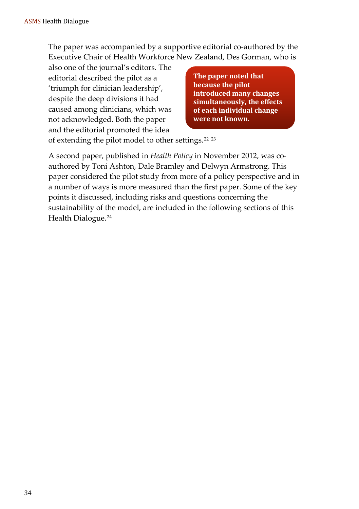The paper was accompanied by a supportive editorial co-authored by the Executive Chair of Health Workforce New Zealand, Des Gorman, who is

also one of the journal's editors. The editorial described the pilot as a 'triumph for clinician leadership', despite the deep divisions it had caused among clinicians, which was not acknowledged. Both the paper and the editorial promoted the idea

**The paper noted that because the pilot introduced many changes simultaneously, the effects of each individual change were not known.**

of extending the pilot model to other settings.[22](#page-105-0) [23](#page-105-1)

A second paper, published in *Health Policy* in November 2012, was coauthored by Toni Ashton, Dale Bramley and Delwyn Armstrong. This paper considered the pilot study from more of a policy perspective and in a number of ways is more measured than the first paper. Some of the key points it discussed, including risks and questions concerning the sustainability of the model, are included in the following sections of this Health Dialogue.<sup>[24](#page-105-2)</sup>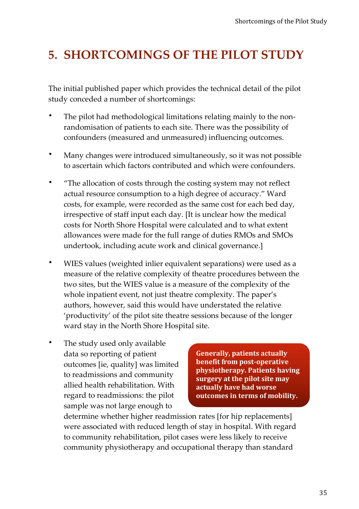# **5. SHORTCOMINGS OF THE PILOT STUDY**

The initial published paper which provides the technical detail of the pilot study conceded a number of shortcomings:

- The pilot had methodological limitations relating mainly to the nonrandomisation of patients to each site. There was the possibility of confounders (measured and unmeasured) influencing outcomes.
- Many changes were introduced simultaneously, so it was not possible to ascertain which factors contributed and which were confounders.
- ⋅ "The allocation of costs through the costing system may not reflect actual resource consumption to a high degree of accuracy." Ward costs, for example, were recorded as the same cost for each bed day, irrespective of staff input each day. [It is unclear how the medical costs for North Shore Hospital were calculated and to what extent allowances were made for the full range of duties RMOs and SMOs undertook, including acute work and clinical governance.]
- ⋅ WIES values (weighted inlier equivalent separations) were used as a measure of the relative complexity of theatre procedures between the two sites, but the WIES value is a measure of the complexity of the whole inpatient event, not just theatre complexity. The paper's authors, however, said this would have understated the relative 'productivity' of the pilot site theatre sessions because of the longer ward stay in the North Shore Hospital site.
- The study used only available data so reporting of patient outcomes [ie, quality] was limited to readmissions and community allied health rehabilitation. With regard to readmissions: the pilot sample was not large enough to

**Generally, patients actually benefit from post-operative physiotherapy. Patients having surgery at the pilot site may actually have had worse outcomes in terms of mobility.**

determine whether higher readmission rates [for hip replacements] were associated with reduced length of stay in hospital. With regard to community rehabilitation, pilot cases were less likely to receive community physiotherapy and occupational therapy than standard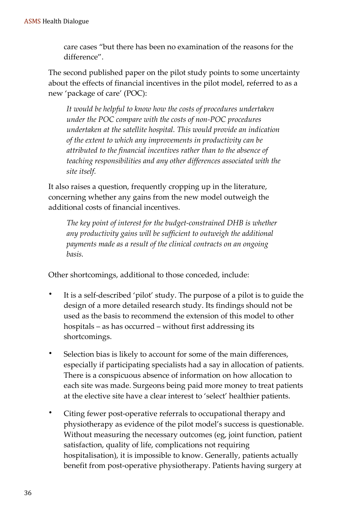care cases "but there has been no examination of the reasons for the difference".

The second published paper on the pilot study points to some uncertainty about the effects of financial incentives in the pilot model, referred to as a new 'package of care' (POC):

*It would be helpful to know how the costs of procedures undertaken under the POC compare with the costs of non-POC procedures undertaken at the satellite hospital. This would provide an indication of the extent to which any improvements in productivity can be attributed to the financial incentives rather than to the absence of teaching responsibilities and any other differences associated with the site itself.*

It also raises a question, frequently cropping up in the literature, concerning whether any gains from the new model outweigh the additional costs of financial incentives.

*The key point of interest for the budget-constrained DHB is whether any productivity gains will be sufficient to outweigh the additional payments made as a result of the clinical contracts on an ongoing basis.*

Other shortcomings, additional to those conceded, include:

- ⋅ It is a self-described 'pilot' study. The purpose of a pilot is to guide the design of a more detailed research study. Its findings should not be used as the basis to recommend the extension of this model to other hospitals – as has occurred – without first addressing its shortcomings.
- Selection bias is likely to account for some of the main differences, especially if participating specialists had a say in allocation of patients. There is a conspicuous absence of information on how allocation to each site was made. Surgeons being paid more money to treat patients at the elective site have a clear interest to 'select' healthier patients.
- ⋅ Citing fewer post-operative referrals to occupational therapy and physiotherapy as evidence of the pilot model's success is questionable. Without measuring the necessary outcomes (eg, joint function, patient satisfaction, quality of life, complications not requiring hospitalisation), it is impossible to know. Generally, patients actually benefit from post-operative physiotherapy. Patients having surgery at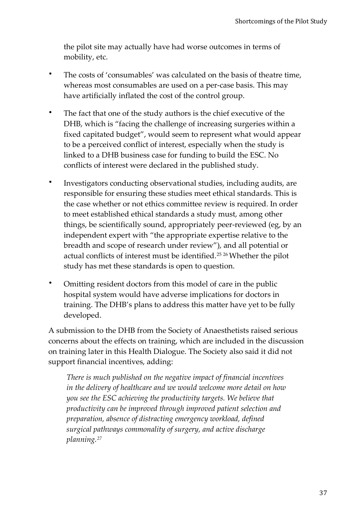the pilot site may actually have had worse outcomes in terms of mobility, etc.

- The costs of 'consumables' was calculated on the basis of theatre time, whereas most consumables are used on a per-case basis. This may have artificially inflated the cost of the control group.
- The fact that one of the study authors is the chief executive of the DHB, which is "facing the challenge of increasing surgeries within a fixed capitated budget", would seem to represent what would appear to be a perceived conflict of interest, especially when the study is linked to a DHB business case for funding to build the ESC. No conflicts of interest were declared in the published study.
- ⋅ Investigators conducting observational studies, including audits, are responsible for ensuring these studies meet ethical standards. This is the case whether or not ethics committee review is required. In order to meet established ethical standards a study must, among other things, be scientifically sound, appropriately peer-reviewed (eg, by an independent expert with "the appropriate expertise relative to the breadth and scope of research under review"), and all potential or actual conflicts of interest must be identified.<sup>[25](#page-105-3)</sup> <sup>[26](#page-105-4)</sup> Whether the pilot study has met these standards is open to question.
- Omitting resident doctors from this model of care in the public hospital system would have adverse implications for doctors in training. The DHB's plans to address this matter have yet to be fully developed.

A submission to the DHB from the Society of Anaesthetists raised serious concerns about the effects on training, which are included in the discussion on training later in this Health Dialogue. The Society also said it did not support financial incentives, adding:

*There is much published on the negative impact of financial incentives in the delivery of healthcare and we would welcome more detail on how you see the ESC achieving the productivity targets. We believe that productivity can be improved through improved patient selection and preparation, absence of distracting emergency workload, defined surgical pathways commonality of surgery, and active discharge planning.[27](#page-105-5)*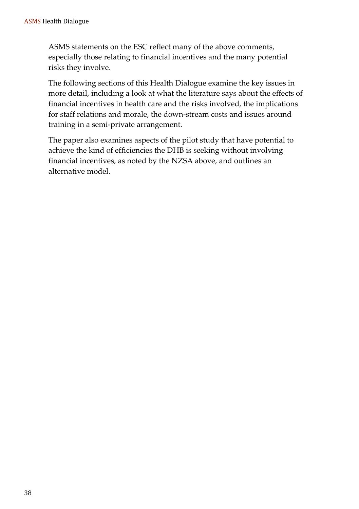ASMS statements on the ESC reflect many of the above comments, especially those relating to financial incentives and the many potential risks they involve.

The following sections of this Health Dialogue examine the key issues in more detail, including a look at what the literature says about the effects of financial incentives in health care and the risks involved, the implications for staff relations and morale, the down-stream costs and issues around training in a semi-private arrangement.

The paper also examines aspects of the pilot study that have potential to achieve the kind of efficiencies the DHB is seeking without involving financial incentives, as noted by the NZSA above, and outlines an alternative model.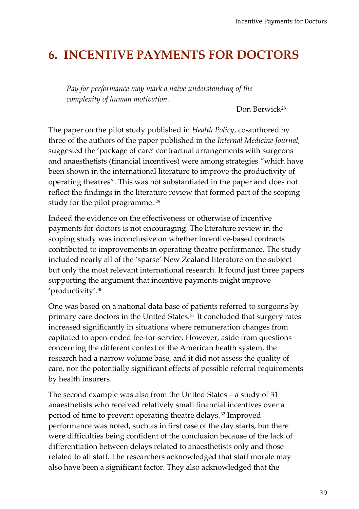# **6. INCENTIVE PAYMENTS FOR DOCTORS**

*Pay for performance may mark a naive understanding of the complexity of human motivation.*

Don Berwick<sup>[28](#page-106-0)</sup>

The paper on the pilot study published in *Health Policy*, co-authored by three of the authors of the paper published in the *Internal Medicine Journal,* suggested the 'package of care' contractual arrangements with surgeons and anaesthetists (financial incentives) were among strategies "which have been shown in the international literature to improve the productivity of operating theatres". This was not substantiated in the paper and does not reflect the findings in the literature review that formed part of the scoping study for the pilot programme. [29](#page-106-1)

Indeed the evidence on the effectiveness or otherwise of incentive payments for doctors is not encouraging. The literature review in the scoping study was inconclusive on whether incentive-based contracts contributed to improvements in operating theatre performance. The study included nearly all of the 'sparse' New Zealand literature on the subject but only the most relevant international research. It found just three papers supporting the argument that incentive payments might improve 'productivity'.[30](#page-106-2)

One was based on a national data base of patients referred to surgeons by primary care doctors in the United States.[31](#page-106-3) It concluded that surgery rates increased significantly in situations where remuneration changes from capitated to open-ended fee-for-service. However, aside from questions concerning the different context of the American health system, the research had a narrow volume base, and it did not assess the quality of care, nor the potentially significant effects of possible referral requirements by health insurers.

The second example was also from the United States – a study of 31 anaesthetists who received relatively small financial incentives over a period of time to prevent operating theatre delays.[32](#page-106-4) Improved performance was noted, such as in first case of the day starts, but there were difficulties being confident of the conclusion because of the lack of differentiation between delays related to anaesthetists only and those related to all staff. The researchers acknowledged that staff morale may also have been a significant factor. They also acknowledged that the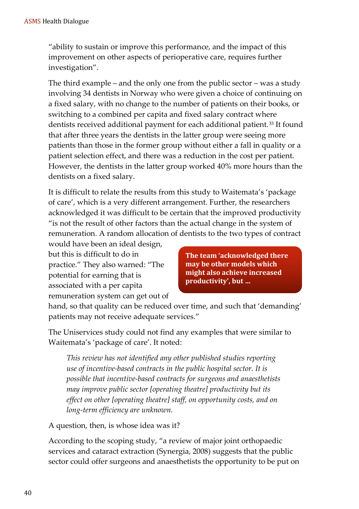"ability to sustain or improve this performance, and the impact of this improvement on other aspects of perioperative care, requires further investigation".

The third example – and the only one from the public sector – was a study involving 34 dentists in Norway who were given a choice of continuing on a fixed salary, with no change to the number of patients on their books, or switching to a combined per capita and fixed salary contract where dentists received additional payment for each additional patient.<sup>[33](#page-107-0)</sup> It found that after three years the dentists in the latter group were seeing more patients than those in the former group without either a fall in quality or a patient selection effect, and there was a reduction in the cost per patient. However, the dentists in the latter group worked 40% more hours than the dentists on a fixed salary.

It is difficult to relate the results from this study to Waitemata's 'package of care', which is a very different arrangement. Further, the researchers acknowledged it was difficult to be certain that the improved productivity "is not the result of other factors than the actual change in the system of remuneration. A random allocation of dentists to the two types of contract

would have been an ideal design, but this is difficult to do in practice." They also warned: "The potential for earning that is associated with a per capita remuneration system can get out of

**The team 'acknowledged there may be other models which might also achieve increased productivity', but …**

hand, so that quality can be reduced over time, and such that 'demanding' patients may not receive adequate services."

The Uniservices study could not find any examples that were similar to Waitemata's 'package of care'. It noted:

*This review has not identified any other published studies reporting use of incentive‐based contracts in the public hospital sector. It is possible that incentive-based contracts for surgeons and anaesthetists may improve public sector [operating theatre] productivity but its effect on other [operating theatre] staff, on opportunity costs, and on long‐term efficiency are unknown.*

A question, then, is whose idea was it?

According to the scoping study, "a review of major joint orthopaedic services and cataract extraction (Synergia, 2008) suggests that the public sector could offer surgeons and anaesthetists the opportunity to be put on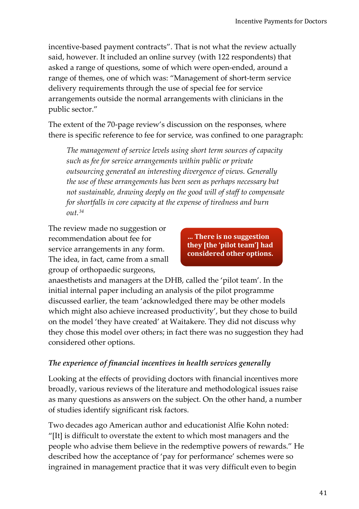incentive-based payment contracts". That is not what the review actually said, however. It included an online survey (with 122 respondents) that asked a range of questions, some of which were open-ended, around a range of themes, one of which was: "Management of short-term service delivery requirements through the use of special fee for service arrangements outside the normal arrangements with clinicians in the public sector."

The extent of the 70-page review's discussion on the responses, where there is specific reference to fee for service, was confined to one paragraph:

*The management of service levels using short term sources of capacity such as fee for service arrangements within public or private outsourcing generated an interesting divergence of views. Generally the use of these arrangements has been seen as perhaps necessary but not sustainable, drawing deeply on the good will of staff to compensate for shortfalls in core capacity at the expense of tiredness and burn out.[34](#page-107-1)*

The review made no suggestion or recommendation about fee for service arrangements in any form. The idea, in fact, came from a small group of orthopaedic surgeons,

**… There is no suggestion they [the 'pilot team'] had considered other options.**

anaesthetists and managers at the DHB, called the 'pilot team'. In the initial internal paper including an analysis of the pilot programme discussed earlier, the team 'acknowledged there may be other models which might also achieve increased productivity', but they chose to build on the model 'they have created' at Waitakere. They did not discuss why they chose this model over others; in fact there was no suggestion they had considered other options.

#### *The experience of financial incentives in health services generally*

Looking at the effects of providing doctors with financial incentives more broadly, various reviews of the literature and methodological issues raise as many questions as answers on the subject. On the other hand, a number of studies identify significant risk factors.

Two decades ago American author and educationist Alfie Kohn noted: "[It] is difficult to overstate the extent to which most managers and the people who advise them believe in the redemptive powers of rewards." He described how the acceptance of 'pay for performance' schemes were so ingrained in management practice that it was very difficult even to begin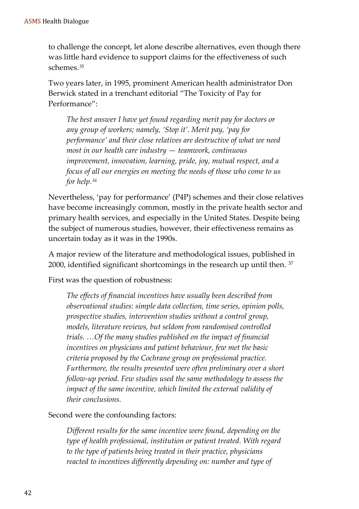to challenge the concept, let alone describe alternatives, even though there was little hard evidence to support claims for the effectiveness of such schemes.[35](#page-108-0)

Two years later, in 1995, prominent American health administrator Don Berwick stated in a trenchant editorial "The Toxicity of Pay for Performance":

*The best answer I have yet found regarding merit pay for doctors or any group of workers; namely, 'Stop it'. Merit pay, 'pay for performance' and their close relatives are destructive of what we need most in our health care industry — teamwork, continuous improvement, innovation, learning, pride, joy, mutual respect, and a focus of all our energies on meeting the needs of those who come to us for help.[36](#page-108-1)*

Nevertheless, 'pay for performance' (P4P) schemes and their close relatives have become increasingly common, mostly in the private health sector and primary health services, and especially in the United States. Despite being the subject of numerous studies, however, their effectiveness remains as uncertain today as it was in the 1990s.

A major review of the literature and methodological issues, published in 2000, identified significant shortcomings in the research up until then. <sup>37</sup>

First was the question of robustness:

*The effects of financial incentives have usually been described from observational studies: simple data collection, time series, opinion polls, prospective studies, intervention studies without a control group, models, literature reviews, but seldom from randomised controlled trials. …Of the many studies published on the impact of financial incentives on physicians and patient behaviour, few met the basic criteria proposed by the Cochrane group on professional practice. Furthermore, the results presented were often preliminary over a short follow-up period. Few studies used the same methodology to assess the impact of the same incentive, which limited the external validity of their conclusions.*

Second were the confounding factors:

*Different results for the same incentive were found, depending on the type of health professional, institution or patient treated. With regard to the type of patients being treated in their practice, physicians reacted to incentives differently depending on: number and type of*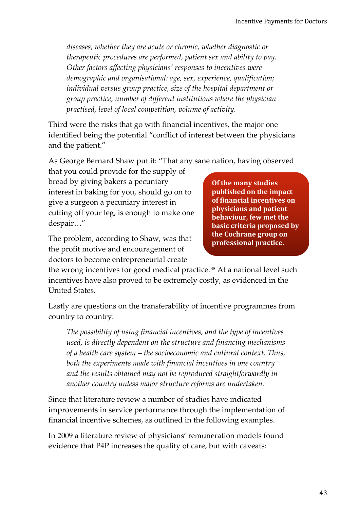*diseases, whether they are acute or chronic, whether diagnostic or therapeutic procedures are performed, patient sex and ability to pay. Other factors affecting physicians' responses to incentives were demographic and organisational: age, sex, experience, qualification; individual versus group practice, size of the hospital department or group practice, number of different institutions where the physician practised, level of local competition, volume of activity.*

Third were the risks that go with financial incentives, the major one identified being the potential "conflict of interest between the physicians and the patient."

As George Bernard Shaw put it: "That any sane nation, having observed

that you could provide for the supply of bread by giving bakers a pecuniary interest in baking for you, should go on to give a surgeon a pecuniary interest in cutting off your leg, is enough to make one despair…"

The problem, according to Shaw, was that the profit motive and encouragement of doctors to become entrepreneurial create

**Of the many studies published on the impact of financial incentives on physicians and patient behaviour, few met the basic criteria proposed by the Cochrane group on professional practice.**

the wrong incentives for good medical practice.<sup>[38](#page-108-3)</sup> At a national level such incentives have also proved to be extremely costly, as evidenced in the United States.

Lastly are questions on the transferability of incentive programmes from country to country:

*The possibility of using financial incentives, and the type of incentives used, is directly dependent on the structure and financing mechanisms of a health care system – the socioeconomic and cultural context. Thus, both the experiments made with financial incentives in one country and the results obtained may not be reproduced straightforwardly in another country unless major structure reforms are undertaken.*

Since that literature review a number of studies have indicated improvements in service performance through the implementation of financial incentive schemes, as outlined in the following examples.

In 2009 a literature review of physicians' remuneration models found evidence that P4P increases the quality of care, but with caveats: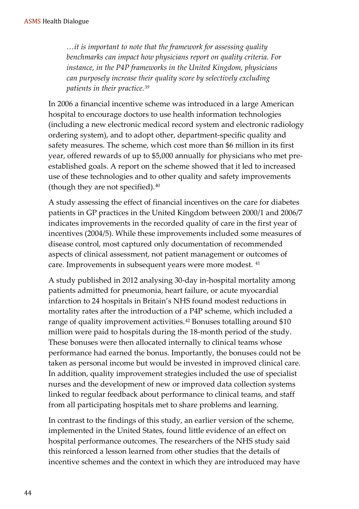*…it is important to note that the framework for assessing quality benchmarks can impact how physicians report on quality criteria. For instance, in the P4P frameworks in the United Kingdom, physicians can purposely increase their quality score by selectively excluding patients in their practice.[39](#page-109-0)*

In 2006 a financial incentive scheme was introduced in a large American hospital to encourage doctors to use health information technologies (including a new electronic medical record system and electronic radiology ordering system), and to adopt other, department-specific quality and safety measures. The scheme, which cost more than \$6 million in its first year, offered rewards of up to \$5,000 annually for physicians who met preestablished goals. A report on the scheme showed that it led to increased use of these technologies and to other quality and safety improvements (though they are not specified).[40](#page-109-1)

A study assessing the effect of financial incentives on the care for diabetes patients in GP practices in the United Kingdom between 2000/1 and 2006/7 indicates improvements in the recorded quality of care in the first year of incentives (2004/5). While these improvements included some measures of disease control, most captured only documentation of recommended aspects of clinical assessment, not patient management or outcomes of care. Improvements in subsequent years were more modest. [41](#page-109-2)

A study published in 2012 analysing 30-day in-hospital mortality among patients admitted for pneumonia, heart failure, or acute myocardial infarction to 24 hospitals in Britain's NHS found modest reductions in mortality rates after the introduction of a P4P scheme, which included a range of quality improvement activities.<sup>[42](#page-109-3)</sup> Bonuses totalling around \$10 million were paid to hospitals during the 18-month period of the study. These bonuses were then allocated internally to clinical teams whose performance had earned the bonus. Importantly, the bonuses could not be taken as personal income but would be invested in improved clinical care. In addition, quality improvement strategies included the use of specialist nurses and the development of new or improved data collection systems linked to regular feedback about performance to clinical teams, and staff from all participating hospitals met to share problems and learning.

In contrast to the findings of this study, an earlier version of the scheme, implemented in the United States, found little evidence of an effect on hospital performance outcomes. The researchers of the NHS study said this reinforced a lesson learned from other studies that the details of incentive schemes and the context in which they are introduced may have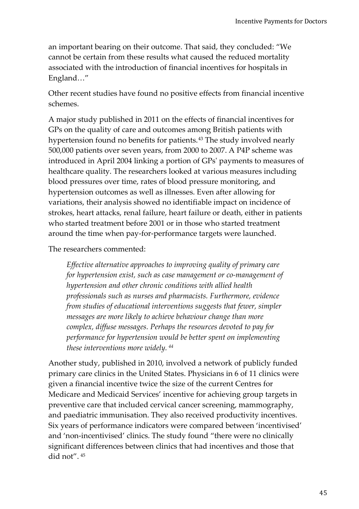an important bearing on their outcome. That said, they concluded: "We cannot be certain from these results what caused the reduced mortality associated with the introduction of financial incentives for hospitals in England…"

Other recent studies have found no positive effects from financial incentive schemes.

A major study published in 2011 on the effects of financial incentives for GPs on the quality of care and outcomes among British patients with hypertension found no benefits for patients.<sup>[43](#page-110-0)</sup> The study involved nearly 500,000 patients over seven years, from 2000 to 2007. A P4P scheme was introduced in April 2004 linking a portion of GPs' payments to measures of healthcare quality. The researchers looked at various measures including blood pressures over time, rates of blood pressure monitoring, and hypertension outcomes as well as illnesses. Even after allowing for variations, their analysis showed no identifiable impact on incidence of strokes, heart attacks, renal failure, heart failure or death, either in patients who started treatment before 2001 or in those who started treatment around the time when pay-for-performance targets were launched.

The researchers commented:

*Effective alternative approaches to improving quality of primary care for hypertension exist, such as case management or co-management of hypertension and other chronic conditions with allied health professionals such as nurses and pharmacists. Furthermore, evidence from studies of educational interventions suggests that fewer, simpler messages are more likely to achieve behaviour change than more complex, diffuse messages. Perhaps the resources devoted to pay for performance for hypertension would be better spent on implementing these interventions more widely. [44](#page-110-1)*

Another study, published in 2010, involved a network of publicly funded primary care clinics in the United States. Physicians in 6 of 11 clinics were given a financial incentive twice the size of the current Centres for Medicare and Medicaid Services' incentive for achieving group targets in preventive care that included cervical cancer screening, mammography, and paediatric immunisation. They also received productivity incentives. Six years of performance indicators were compared between 'incentivised' and 'non-incentivised' clinics. The study found "there were no clinically significant differences between clinics that had incentives and those that did not". [45](#page-110-2)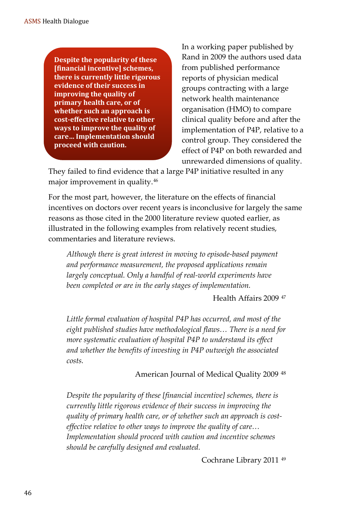**Despite the popularity of these [financial incentive] schemes, there is currently little rigorous evidence of their success in improving the quality of primary health care, or of whether such an approach is cost-effective relative to other ways to improve the quality of care… Implementation should proceed with caution.**

In a working paper published by Rand in 2009 the authors used data from published performance reports of physician medical groups contracting with a large network health maintenance organisation (HMO) to compare clinical quality before and after the implementation of P4P, relative to a control group. They considered the effect of P4P on both rewarded and unrewarded dimensions of quality.

They failed to find evidence that a large P4P initiative resulted in any major improvement in quality.[46](#page-111-0)

For the most part, however, the literature on the effects of financial incentives on doctors over recent years is inconclusive for largely the same reasons as those cited in the 2000 literature review quoted earlier, as illustrated in the following examples from relatively recent studies, commentaries and literature reviews.

*Although there is great interest in moving to episode-based payment and performance measurement, the proposed applications remain largely conceptual. Only a handful of real-world experiments have been completed or are in the early stages of implementation.*

Health Affairs 2009 [47](#page-111-1)

*Little formal evaluation of hospital P4P has occurred, and most of the eight published studies have methodological flaws… There is a need for more systematic evaluation of hospital P4P to understand its effect and whether the benefits of investing in P4P outweigh the associated costs.*

American Journal of Medical Quality 2009 [48](#page-111-2)

*Despite the popularity of these [financial incentive] schemes, there is currently little rigorous evidence of their success in improving the quality of primary health care, or of whether such an approach is costeffective relative to other ways to improve the quality of care… Implementation should proceed with caution and incentive schemes should be carefully designed and evaluated.*

Cochrane Library 2011 [49](#page-111-3)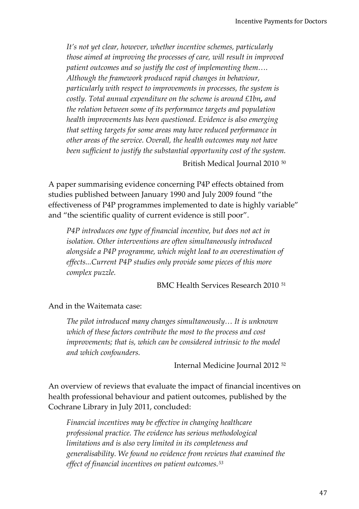*It's not yet clear, however, whether incentive schemes, particularly those aimed at improving the processes of care, will result in improved patient outcomes and so justify the cost of implementing them…. Although the framework produced rapid changes in behaviour, particularly with respect to improvements in processes, the system is costly. Total annual expenditure on the scheme is around £1bn, and the relation between some of its performance targets and population health improvements has been questioned. Evidence is also emerging that setting targets for some areas may have reduced performance in other areas of the service. Overall, the health outcomes may not have been sufficient to justify the substantial opportunity cost of the system.* 

British Medical Journal 2010 [50](#page-111-4)

A paper summarising evidence concerning P4P effects obtained from studies published between January 1990 and July 2009 found "the effectiveness of P4P programmes implemented to date is highly variable" and "the scientific quality of current evidence is still poor".

*P4P introduces one type of financial incentive, but does not act in isolation. Other interventions are often simultaneously introduced alongside a P4P programme, which might lead to an overestimation of effects...Current P4P studies only provide some pieces of this more complex puzzle.*

BMC Health Services Research 2010 [51](#page-111-5)

#### And in the Waitemata case:

*The pilot introduced many changes simultaneously… It is unknown which of these factors contribute the most to the process and cost improvements; that is, which can be considered intrinsic to the model and which confounders.*

Internal Medicine Journal 2012 [52](#page-111-6)

An overview of reviews that evaluate the impact of financial incentives on health professional behaviour and patient outcomes, published by the Cochrane Library in July 2011, concluded:

*Financial incentives may be effective in changing healthcare professional practice. The evidence has serious methodological limitations and is also very limited in its completeness and generalisability. We found no evidence from reviews that examined the effect of financial incentives on patient outcomes.[53](#page-111-7)*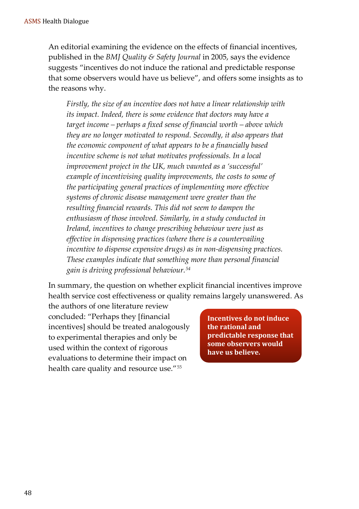An editorial examining the evidence on the effects of financial incentives, published in the *BMJ Quality & Safety Journal* in 2005, says the evidence suggests "incentives do not induce the rational and predictable response that some observers would have us believe", and offers some insights as to the reasons why.

*Firstly, the size of an incentive does not have a linear relationship with its impact. Indeed, there is some evidence that doctors may have a target income – perhaps a fixed sense of financial worth – above which they are no longer motivated to respond. Secondly, it also appears that the economic component of what appears to be a financially based incentive scheme is not what motivates professionals. In a local improvement project in the UK, much vaunted as a 'successful' example of incentivising quality improvements, the costs to some of the participating general practices of implementing more effective systems of chronic disease management were greater than the resulting financial rewards. This did not seem to dampen the enthusiasm of those involved. Similarly, in a study conducted in Ireland, incentives to change prescribing behaviour were just as effective in dispensing practices (where there is a countervailing incentive to dispense expensive drugs) as in non-dispensing practices. These examples indicate that something more than personal financial gain is driving professional behaviour.[54](#page-111-8)*

In summary, the question on whether explicit financial incentives improve health service cost effectiveness or quality remains largely unanswered. As

the authors of one literature review concluded: "Perhaps they [financial incentives] should be treated analogously to experimental therapies and only be used within the context of rigorous evaluations to determine their impact on health care quality and resource use."<sup>[55](#page-111-9)</sup>

**Incentives do not induce the rational and predictable response that some observers would have us believe.**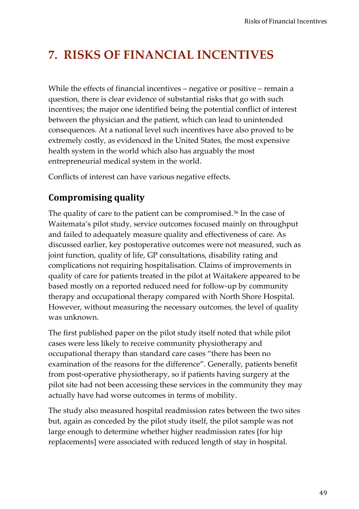# **7. RISKS OF FINANCIAL INCENTIVES**

While the effects of financial incentives – negative or positive – remain a question, there is clear evidence of substantial risks that go with such incentives; the major one identified being the potential conflict of interest between the physician and the patient, which can lead to unintended consequences. At a national level such incentives have also proved to be extremely costly, as evidenced in the United States, the most expensive health system in the world which also has arguably the most entrepreneurial medical system in the world.

Conflicts of interest can have various negative effects.

### **Compromising quality**

The quality of care to the patient can be compromised.<sup>[56](#page-111-10)</sup> In the case of Waitemata's pilot study, service outcomes focused mainly on throughput and failed to adequately measure quality and effectiveness of care. As discussed earlier, key postoperative outcomes were not measured, such as joint function, quality of life, GP consultations, disability rating and complications not requiring hospitalisation. Claims of improvements in quality of care for patients treated in the pilot at Waitakere appeared to be based mostly on a reported reduced need for follow-up by community therapy and occupational therapy compared with North Shore Hospital. However, without measuring the necessary outcomes, the level of quality was unknown.

The first published paper on the pilot study itself noted that while pilot cases were less likely to receive community physiotherapy and occupational therapy than standard care cases "there has been no examination of the reasons for the difference". Generally, patients benefit from post-operative physiotherapy, so if patients having surgery at the pilot site had not been accessing these services in the community they may actually have had worse outcomes in terms of mobility.

The study also measured hospital readmission rates between the two sites but, again as conceded by the pilot study itself, the pilot sample was not large enough to determine whether higher readmission rates [for hip replacements] were associated with reduced length of stay in hospital.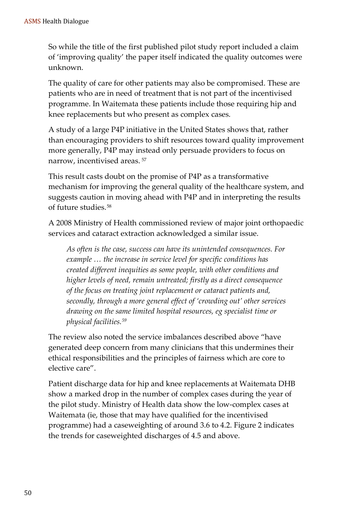So while the title of the first published pilot study report included a claim of 'improving quality' the paper itself indicated the quality outcomes were unknown.

The quality of care for other patients may also be compromised. These are patients who are in need of treatment that is not part of the incentivised programme. In Waitemata these patients include those requiring hip and knee replacements but who present as complex cases.

A study of a large P4P initiative in the United States shows that, rather than encouraging providers to shift resources toward quality improvement more generally, P4P may instead only persuade providers to focus on narrow, incentivised areas. [57](#page-111-11)

This result casts doubt on the promise of P4P as a transformative mechanism for improving the general quality of the healthcare system, and suggests caution in moving ahead with P4P and in interpreting the results of future studies.[58](#page-111-12)

A 2008 Ministry of Health commissioned review of major joint orthopaedic services and cataract extraction acknowledged a similar issue.

*As often is the case, success can have its unintended consequences. For example … the increase in service level for specific conditions has created different inequities as some people, with other conditions and higher levels of need, remain untreated; firstly as a direct consequence of the focus on treating joint replacement or cataract patients and, secondly, through a more general effect of 'crowding out' other services drawing on the same limited hospital resources, eg specialist time or physical facilities.[59](#page-111-13)*

The review also noted the service imbalances described above "have generated deep concern from many clinicians that this undermines their ethical responsibilities and the principles of fairness which are core to elective care".

Patient discharge data for hip and knee replacements at Waitemata DHB show a marked drop in the number of complex cases during the year of the pilot study. Ministry of Health data show the low-complex cases at Waitemata (ie, those that may have qualified for the incentivised programme) had a caseweighting of around 3.6 to 4.2. Figure 2 indicates the trends for caseweighted discharges of 4.5 and above.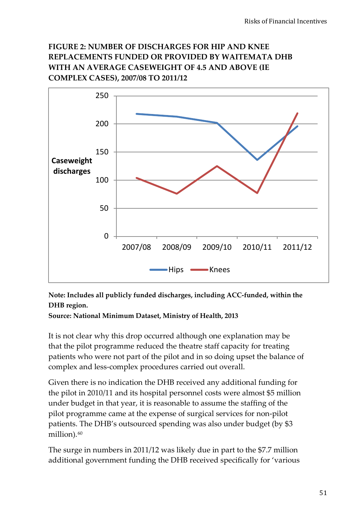### **FIGURE 2: NUMBER OF DISCHARGES FOR HIP AND KNEE REPLACEMENTS FUNDED OR PROVIDED BY WAITEMATA DHB WITH AN AVERAGE CASEWEIGHT OF 4.5 AND ABOVE (IE COMPLEX CASES), 2007/08 TO 2011/12**



**Note: Includes all publicly funded discharges, including ACC-funded, within the DHB region.**

**Source: National Minimum Dataset, Ministry of Health, 2013**

It is not clear why this drop occurred although one explanation may be that the pilot programme reduced the theatre staff capacity for treating patients who were not part of the pilot and in so doing upset the balance of complex and less-complex procedures carried out overall.

Given there is no indication the DHB received any additional funding for the pilot in 2010/11 and its hospital personnel costs were almost \$5 million under budget in that year, it is reasonable to assume the staffing of the pilot programme came at the expense of surgical services for non-pilot patients. The DHB's outsourced spending was also under budget (by \$3 million).<sup>[60](#page-111-14)</sup>

The surge in numbers in 2011/12 was likely due in part to the \$7.7 million additional government funding the DHB received specifically for 'various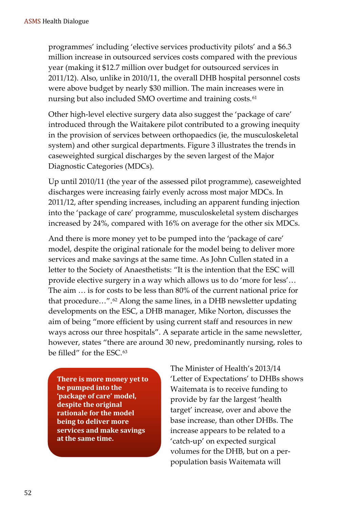programmes' including 'elective services productivity pilots' and a \$6.3 million increase in outsourced services costs compared with the previous year (making it \$12.7 million over budget for outsourced services in 2011/12). Also, unlike in 2010/11, the overall DHB hospital personnel costs were above budget by nearly \$30 million. The main increases were in nursing but also included SMO overtime and training costs.<sup>[61](#page-111-15)</sup>

Other high-level elective surgery data also suggest the 'package of care' introduced through the Waitakere pilot contributed to a growing inequity in the provision of services between orthopaedics (ie, the musculoskeletal system) and other surgical departments. Figure 3 illustrates the trends in caseweighted surgical discharges by the seven largest of the Major Diagnostic Categories (MDCs).

Up until 2010/11 (the year of the assessed pilot programme), caseweighted discharges were increasing fairly evenly across most major MDCs. In 2011/12, after spending increases, including an apparent funding injection into the 'package of care' programme, musculoskeletal system discharges increased by 24%, compared with 16% on average for the other six MDCs.

And there is more money yet to be pumped into the 'package of care' model, despite the original rationale for the model being to deliver more services and make savings at the same time. As John Cullen stated in a letter to the Society of Anaesthetists: "It is the intention that the ESC will provide elective surgery in a way which allows us to do 'more for less'… The aim … is for costs to be less than 80% of the current national price for that procedure…".[62](#page-111-16) Along the same lines, in a DHB newsletter updating developments on the ESC, a DHB manager, Mike Norton, discusses the aim of being "more efficient by using current staff and resources in new ways across our three hospitals". A separate article in the same newsletter, however, states "there are around 30 new, predominantly nursing, roles to be filled" for the ESC.<sup>[63](#page-111-17)</sup>

**There is more money yet to be pumped into the 'package of care' model, despite the original rationale for the model being to deliver more services and make savings at the same time.**

The Minister of Health's 2013/14 'Letter of Expectations' to DHBs shows Waitemata is to receive funding to provide by far the largest 'health target' increase, over and above the base increase, than other DHBs. The increase appears to be related to a 'catch-up' on expected surgical volumes for the DHB, but on a perpopulation basis Waitemata will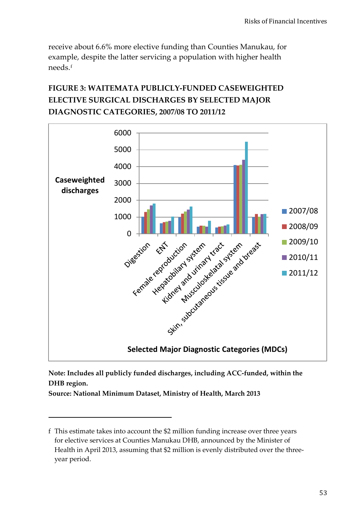receive about 6.6% more elective funding than Counties Manukau, for example, despite the latter servicing a population with higher health needs.[f](#page-58-0)

## **FIGURE 3: WAITEMATA PUBLICLY-FUNDED CASEWEIGHTED ELECTIVE SURGICAL DISCHARGES BY SELECTED MAJOR DIAGNOSTIC CATEGORIES, 2007/08 TO 2011/12**



**Note: Includes all publicly funded discharges, including ACC-funded, within the DHB region.**

**Source: National Minimum Dataset, Ministry of Health, March 2013**

1

<span id="page-58-0"></span>f This estimate takes into account the \$2 million funding increase over three years for elective services at Counties Manukau DHB, announced by the Minister of Health in April 2013, assuming that \$2 million is evenly distributed over the threeyear period.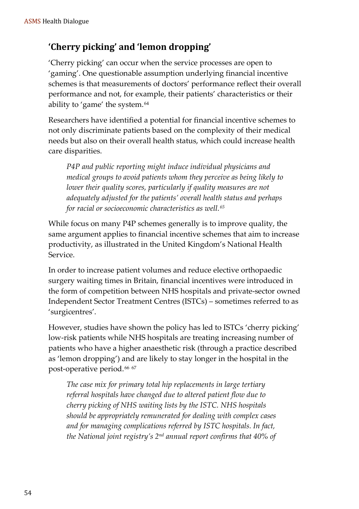# **'Cherry picking' and 'lemon dropping'**

'Cherry picking' can occur when the service processes are open to 'gaming'. One questionable assumption underlying financial incentive schemes is that measurements of doctors' performance reflect their overall performance and not, for example, their patients' characteristics or their ability to 'game' the system.<sup>[64](#page-111-5)</sup>

Researchers have identified a potential for financial incentive schemes to not only discriminate patients based on the complexity of their medical needs but also on their overall health status, which could increase health care disparities.

*P4P and public reporting might induce individual physicians and medical groups to avoid patients whom they perceive as being likely to lower their quality scores, particularly if quality measures are not adequately adjusted for the patients' overall health status and perhaps for racial or socioeconomic characteristics as well.[65](#page-111-18)*

While focus on many P4P schemes generally is to improve quality, the same argument applies to financial incentive schemes that aim to increase productivity, as illustrated in the United Kingdom's National Health Service.

In order to increase patient volumes and reduce elective orthopaedic surgery waiting times in Britain, financial incentives were introduced in the form of competition between NHS hospitals and private-sector owned Independent Sector Treatment Centres (ISTCs) – sometimes referred to as 'surgicentres'.

However, studies have shown the policy has led to ISTCs 'cherry picking' low-risk patients while NHS hospitals are treating increasing number of patients who have a higher anaesthetic risk (through a practice described as 'lemon dropping') and are likely to stay longer in the hospital in the post-operative period.<sup>[66](#page-111-19) [67](#page-111-20)</sup>

*The case mix for primary total hip replacements in large tertiary referral hospitals have changed due to altered patient flow due to cherry picking of NHS waiting lists by the ISTC. NHS hospitals should be appropriately remunerated for dealing with complex cases and for managing complications referred by ISTC hospitals. In fact, the National joint registry's 2nd annual report confirms that 40% of*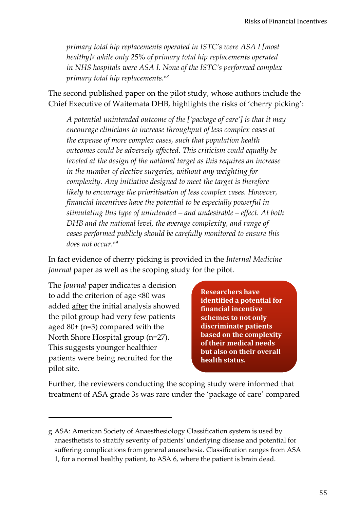*primary total hip replacements operated in ISTC's were ASA I [most healthy][g](#page-60-0) while only 25% of primary total hip replacements operated in NHS hospitals were ASA I. None of the ISTC's performed complex primary total hip replacements.[68](#page-111-21)*

The second published paper on the pilot study, whose authors include the Chief Executive of Waitemata DHB, highlights the risks of 'cherry picking':

*A potential unintended outcome of the ['package of care'] is that it may encourage clinicians to increase throughput of less complex cases at the expense of more complex cases, such that population health outcomes could be adversely affected. This criticism could equally be leveled at the design of the national target as this requires an increase in the number of elective surgeries, without any weighting for complexity. Any initiative designed to meet the target is therefore likely to encourage the prioritisation of less complex cases. However, financial incentives have the potential to be especially powerful in stimulating this type of unintended – and undesirable – effect. At both DHB and the national level, the average complexity, and range of cases performed publicly should be carefully monitored to ensure this does not occur[.69](#page-111-22)*

In fact evidence of cherry picking is provided in the *Internal Medicine Journal* paper as well as the scoping study for the pilot.

The *Journal* paper indicates a decision to add the criterion of age <80 was added after the initial analysis showed the pilot group had very few patients aged 80+ (n=3) compared with the North Shore Hospital group (n=27). This suggests younger healthier patients were being recruited for the pilot site.

1

**Researchers have identified a potential for financial incentive schemes to not only discriminate patients based on the complexity of their medical needs but also on their overall health status.**

Further, the reviewers conducting the scoping study were informed that treatment of ASA grade 3s was rare under the 'package of care' compared

<span id="page-60-0"></span>g ASA: American Society of Anaesthesiology Classification system is used by anaesthetists to stratify severity of patients' underlying disease and potential for suffering complications from general anaesthesia. Classification ranges from ASA 1, for a normal healthy patient, to ASA 6, where the patient is brain dead.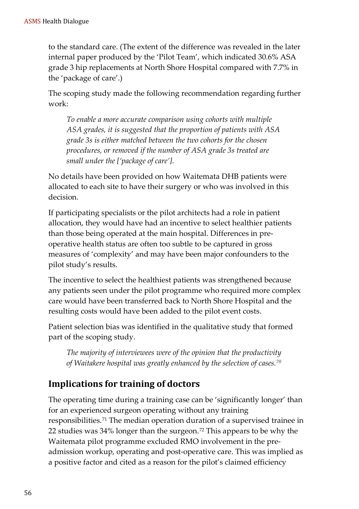to the standard care. (The extent of the difference was revealed in the later internal paper produced by the 'Pilot Team', which indicated 30.6% ASA grade 3 hip replacements at North Shore Hospital compared with 7.7% in the 'package of care'.)

The scoping study made the following recommendation regarding further work:

*To enable a more accurate comparison using cohorts with multiple ASA grades, it is suggested that the proportion of patients with ASA grade 3s is either matched between the two cohorts for the chosen procedures, or removed if the number of ASA grade 3s treated are small under the ['package of care'].*

No details have been provided on how Waitemata DHB patients were allocated to each site to have their surgery or who was involved in this decision.

If participating specialists or the pilot architects had a role in patient allocation, they would have had an incentive to select healthier patients than those being operated at the main hospital. Differences in preoperative health status are often too subtle to be captured in gross measures of 'complexity' and may have been major confounders to the pilot study's results.

The incentive to select the healthiest patients was strengthened because any patients seen under the pilot programme who required more complex care would have been transferred back to North Shore Hospital and the resulting costs would have been added to the pilot event costs.

Patient selection bias was identified in the qualitative study that formed part of the scoping study.

*The majority of interviewees were of the opinion that the productivity of Waitakere hospital was greatly enhanced by the selection of cases.[70](#page-111-23)*

## **Implications for training of doctors**

The operating time during a training case can be 'significantly longer' than for an experienced surgeon operating without any training responsibilities.[71](#page-111-24) The median operation duration of a supervised trainee in 22 studies was 34% longer than the surgeon.[72](#page-111-25) This appears to be why the Waitemata pilot programme excluded RMO involvement in the preadmission workup, operating and post-operative care. This was implied as a positive factor and cited as a reason for the pilot's claimed efficiency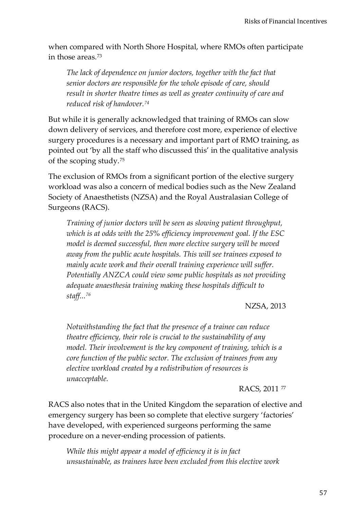when compared with North Shore Hospital, where RMOs often participate in those areas.[73](#page-111-12)

*The lack of dependence on junior doctors, together with the fact that senior doctors are responsible for the whole episode of care, should result in shorter theatre times as well as greater continuity of care and reduced risk of handover.[74](#page-111-26)*

But while it is generally acknowledged that training of RMOs can slow down delivery of services, and therefore cost more, experience of elective surgery procedures is a necessary and important part of RMO training, as pointed out 'by all the staff who discussed this' in the qualitative analysis of the scoping study.[75](#page-111-27)

The exclusion of RMOs from a significant portion of the elective surgery workload was also a concern of medical bodies such as the New Zealand Society of Anaesthetists (NZSA) and the Royal Australasian College of Surgeons (RACS).

*Training of junior doctors will be seen as slowing patient throughput, which is at odds with the 25% efficiency improvement goal. If the ESC model is deemed successful, then more elective surgery will be moved away from the public acute hospitals. This will see trainees exposed to mainly acute work and their overall training experience will suffer. Potentially ANZCA could view some public hospitals as not providing adequate anaesthesia training making these hospitals difficult to staff...[76](#page-111-28)*

#### NZSA, 2013

*Notwithstanding the fact that the presence of a trainee can reduce theatre efficiency, their role is crucial to the sustainability of any model. Their involvement is the key component of training, which is a core function of the public sector. The exclusion of trainees from any elective workload created by a redistribution of resources is unacceptable.*

RACS, 2011<sup>[77](#page-111-5)</sup>

RACS also notes that in the United Kingdom the separation of elective and emergency surgery has been so complete that elective surgery 'factories' have developed, with experienced surgeons performing the same procedure on a never-ending procession of patients.

*While this might appear a model of efficiency it is in fact unsustainable, as trainees have been excluded from this elective work*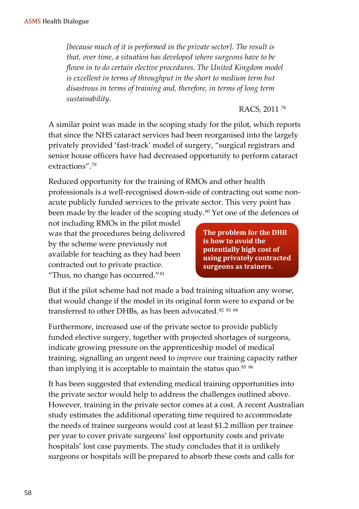*[because much of it is performed in the private sector]. The result is that, over time, a situation has developed where surgeons have to be flown in to do certain elective procedures. The United Kingdom model is excellent in terms of throughput in the short to medium term but disastrous in terms of training and, therefore, in terms of long term sustainability.*

#### RACS, 2011 [78](#page-111-18)

A similar point was made in the scoping study for the pilot, which reports that since the NHS cataract services had been reorganised into the largely privately provided 'fast-track' model of surgery, "surgical registrars and senior house officers have had decreased opportunity to perform cataract extractions".[79](#page-111-19)

Reduced opportunity for the training of RMOs and other health professionals is a well-recognised down-side of contracting out some nonacute publicly funded services to the private sector. This very point has been made by the leader of the scoping study.<sup>[80](#page-111-20)</sup> Yet one of the defences of

not including RMOs in the pilot model was that the procedures being delivered by the scheme were previously not available for teaching as they had been contracted out to private practice. "Thus, no change has occurred."[81](#page-111-29)

**The problem for the DHB is how to avoid the potentially high cost of using privately contracted surgeons as trainers.**

But if the pilot scheme had not made a bad training situation any worse, that would change if the model in its original form were to expand or be transferred to other DHBs, as has been advocated.<sup>[82](#page-111-30) [83](#page-111-31) [84](#page-111-32)</sup>

Furthermore, increased use of the private sector to provide publicly funded elective surgery, together with projected shortages of surgeons, indicate growing pressure on the apprenticeship model of medical training, signalling an urgent need to *improve* our training capacity rather than implying it is acceptable to maintain the status quo.<sup>[85](#page-111-33) [86](#page-111-34)</sup>

It has been suggested that extending medical training opportunities into the private sector would help to address the challenges outlined above. However, training in the private sector comes at a cost. A recent Australian study estimates the additional operating time required to accommodate the needs of trainee surgeons would cost at least \$1.2 million per trainee per year to cover private surgeons' lost opportunity costs and private hospitals' lost case payments. The study concludes that it is unlikely surgeons or hospitals will be prepared to absorb these costs and calls for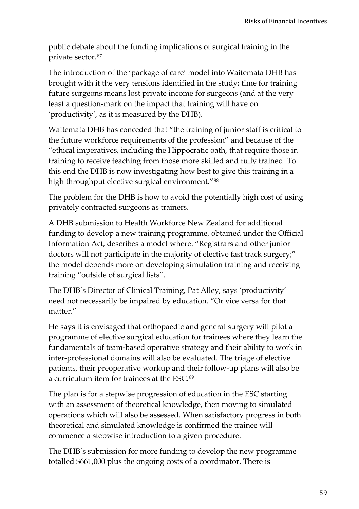public debate about the funding implications of surgical training in the private sector.[87](#page-111-35)

The introduction of the 'package of care' model into Waitemata DHB has brought with it the very tensions identified in the study: time for training future surgeons means lost private income for surgeons (and at the very least a question-mark on the impact that training will have on 'productivity', as it is measured by the DHB).

Waitemata DHB has conceded that "the training of junior staff is critical to the future workforce requirements of the profession" and because of the "ethical imperatives, including the Hippocratic oath, that require those in training to receive teaching from those more skilled and fully trained. To this end the DHB is now investigating how best to give this training in a high throughput elective surgical environment."<sup>[88](#page-111-36)</sup>

The problem for the DHB is how to avoid the potentially high cost of using privately contracted surgeons as trainers.

A DHB submission to Health Workforce New Zealand for additional funding to develop a new training programme, obtained under the Official Information Act, describes a model where: "Registrars and other junior doctors will not participate in the majority of elective fast track surgery;" the model depends more on developing simulation training and receiving training "outside of surgical lists".

The DHB's Director of Clinical Training, Pat Alley, says 'productivity' need not necessarily be impaired by education. "Or vice versa for that matter."

He says it is envisaged that orthopaedic and general surgery will pilot a programme of elective surgical education for trainees where they learn the fundamentals of team-based operative strategy and their ability to work in inter-professional domains will also be evaluated. The triage of elective patients, their preoperative workup and their follow-up plans will also be a curriculum item for trainees at the ESC.[89](#page-111-37)

The plan is for a stepwise progression of education in the ESC starting with an assessment of theoretical knowledge, then moving to simulated operations which will also be assessed. When satisfactory progress in both theoretical and simulated knowledge is confirmed the trainee will commence a stepwise introduction to a given procedure.

The DHB's submission for more funding to develop the new programme totalled \$661,000 plus the ongoing costs of a coordinator. There is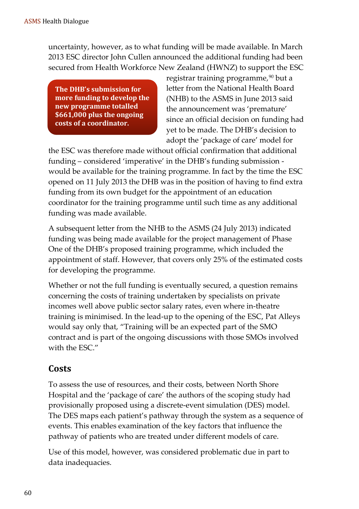uncertainty, however, as to what funding will be made available. In March 2013 ESC director John Cullen announced the additional funding had been secured from Health Workforce New Zealand (HWNZ) to support the ESC

**The DHB's submission for more funding to develop the new programme totalled \$661,000 plus the ongoing costs of a coordinator.**

registrar training programme,<sup>[90](#page-111-5)</sup> but a letter from the National Health Board (NHB) to the ASMS in June 2013 said the announcement was 'premature' since an official decision on funding had yet to be made. The DHB's decision to adopt the 'package of care' model for

the ESC was therefore made without official confirmation that additional funding – considered 'imperative' in the DHB's funding submission would be available for the training programme. In fact by the time the ESC opened on 11 July 2013 the DHB was in the position of having to find extra funding from its own budget for the appointment of an education coordinator for the training programme until such time as any additional funding was made available.

A subsequent letter from the NHB to the ASMS (24 July 2013) indicated funding was being made available for the project management of Phase One of the DHB's proposed training programme, which included the appointment of staff. However, that covers only 25% of the estimated costs for developing the programme.

Whether or not the full funding is eventually secured, a question remains concerning the costs of training undertaken by specialists on private incomes well above public sector salary rates, even where in-theatre training is minimised. In the lead-up to the opening of the ESC, Pat Alleys would say only that, "Training will be an expected part of the SMO contract and is part of the ongoing discussions with those SMOs involved with the ESC."

### **Costs**

To assess the use of resources, and their costs, between North Shore Hospital and the 'package of care' the authors of the scoping study had provisionally proposed using a discrete-event simulation (DES) model. The DES maps each patient's pathway through the system as a sequence of events. This enables examination of the key factors that influence the pathway of patients who are treated under different models of care.

Use of this model, however, was considered problematic due in part to data inadequacies.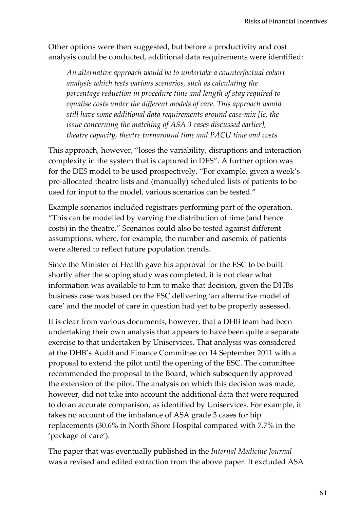Other options were then suggested, but before a productivity and cost analysis could be conducted, additional data requirements were identified:

*An alternative approach would be to undertake a counterfactual cohort analysis which tests various scenarios, such as calculating the percentage reduction in procedure time and length of stay required to equalise costs under the different models of care. This approach would still have some additional data requirements around case‐mix [ie, the issue concerning the matching of ASA 3 cases discussed earlier], theatre capacity, theatre turnaround time and PACU time and costs.* 

This approach, however, "loses the variability, disruptions and interaction complexity in the system that is captured in DES". A further option was for the DES model to be used prospectively. "For example, given a week's pre-allocated theatre lists and (manually) scheduled lists of patients to be used for input to the model, various scenarios can be tested."

Example scenarios included registrars performing part of the operation. "This can be modelled by varying the distribution of time (and hence costs) in the theatre." Scenarios could also be tested against different assumptions, where, for example, the number and casemix of patients were altered to reflect future population trends.

Since the Minister of Health gave his approval for the ESC to be built shortly after the scoping study was completed, it is not clear what information was available to him to make that decision, given the DHBs business case was based on the ESC delivering 'an alternative model of care' and the model of care in question had yet to be properly assessed.

It is clear from various documents, however, that a DHB team had been undertaking their own analysis that appears to have been quite a separate exercise to that undertaken by Uniservices. That analysis was considered at the DHB's Audit and Finance Committee on 14 September 2011 with a proposal to extend the pilot until the opening of the ESC. The committee recommended the proposal to the Board, which subsequently approved the extension of the pilot. The analysis on which this decision was made, however, did not take into account the additional data that were required to do an accurate comparison, as identified by Uniservices. For example, it takes no account of the imbalance of ASA grade 3 cases for hip replacements (30.6% in North Shore Hospital compared with 7.7% in the 'package of care').

The paper that was eventually published in the *Internal Medicine Journal* was a revised and edited extraction from the above paper. It excluded ASA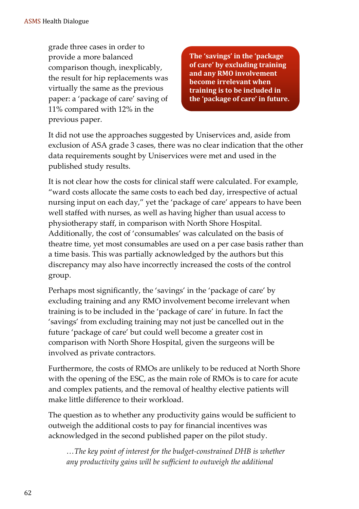grade three cases in order to provide a more balanced comparison though, inexplicably, the result for hip replacements was virtually the same as the previous paper: a 'package of care' saving of 11% compared with 12% in the previous paper.

**The 'savings' in the 'package of care' by excluding training and any RMO involvement become irrelevant when training is to be included in the 'package of care' in future.**

It did not use the approaches suggested by Uniservices and, aside from exclusion of ASA grade 3 cases, there was no clear indication that the other data requirements sought by Uniservices were met and used in the published study results.

It is not clear how the costs for clinical staff were calculated. For example, "ward costs allocate the same costs to each bed day, irrespective of actual nursing input on each day," yet the 'package of care' appears to have been well staffed with nurses, as well as having higher than usual access to physiotherapy staff, in comparison with North Shore Hospital. Additionally, the cost of 'consumables' was calculated on the basis of theatre time, yet most consumables are used on a per case basis rather than a time basis. This was partially acknowledged by the authors but this discrepancy may also have incorrectly increased the costs of the control group.

Perhaps most significantly, the 'savings' in the 'package of care' by excluding training and any RMO involvement become irrelevant when training is to be included in the 'package of care' in future. In fact the 'savings' from excluding training may not just be cancelled out in the future 'package of care' but could well become a greater cost in comparison with North Shore Hospital, given the surgeons will be involved as private contractors.

Furthermore, the costs of RMOs are unlikely to be reduced at North Shore with the opening of the ESC, as the main role of RMOs is to care for acute and complex patients, and the removal of healthy elective patients will make little difference to their workload.

The question as to whether any productivity gains would be sufficient to outweigh the additional costs to pay for financial incentives was acknowledged in the second published paper on the pilot study.

*…The key point of interest for the budget-constrained DHB is whether any productivity gains will be sufficient to outweigh the additional*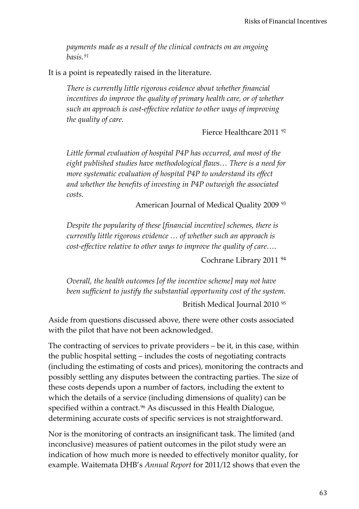*payments made as a result of the clinical contracts on an ongoing basis.[91](#page-111-38)*

It is a point is repeatedly raised in the literature.

*There is currently little rigorous evidence about whether financial incentives do improve the quality of primary health care, or of whether such an approach is cost-effective relative to other ways of improving the quality of care.*

#### Fierce Healthcare 2011 [92](#page-111-19)

*Little formal evaluation of hospital P4P has occurred, and most of the eight published studies have methodological flaws… There is a need for more systematic evaluation of hospital P4P to understand its effect and whether the benefits of investing in P4P outweigh the associated costs.*

American Journal of Medical Quality 2009 [93](#page-111-20)

*Despite the popularity of these [financial incentive] schemes, there is currently little rigorous evidence … of whether such an approach is cost-effective relative to other ways to improve the quality of care….*

Cochrane Library 2011 [94](#page-111-29)

*Overall, the health outcomes [of the incentive scheme] may not have been sufficient to justify the substantial opportunity cost of the system.* 

British Medical Journal 2010 [95](#page-111-22)

Aside from questions discussed above, there were other costs associated with the pilot that have not been acknowledged.

The contracting of services to private providers – be it, in this case, within the public hospital setting – includes the costs of negotiating contracts (including the estimating of costs and prices), monitoring the contracts and possibly settling any disputes between the contracting parties. The size of these costs depends upon a number of factors, including the extent to which the details of a service (including dimensions of quality) can be specified within a contract.<sup>[96](#page-111-31)</sup> As discussed in this Health Dialogue, determining accurate costs of specific services is not straightforward.

Nor is the monitoring of contracts an insignificant task. The limited (and inconclusive) measures of patient outcomes in the pilot study were an indication of how much more is needed to effectively monitor quality, for example. Waitemata DHB's *Annual Report* for 2011/12 shows that even the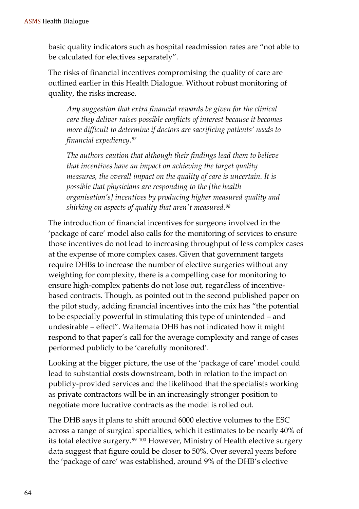basic quality indicators such as hospital readmission rates are "not able to be calculated for electives separately".

The risks of financial incentives compromising the quality of care are outlined earlier in this Health Dialogue. Without robust monitoring of quality, the risks increase.

*Any suggestion that extra financial rewards be given for the clinical care they deliver raises possible conflicts of interest because it becomes more difficult to determine if doctors are sacrificing patients' needs to financial expediency.[97](#page-111-39)*

*The authors caution that although their findings lead them to believe that incentives have an impact on achieving the target quality measures, the overall impact on the quality of care is uncertain. It is possible that physicians are responding to the [the health organisation's] incentives by producing higher measured quality and shirking on aspects of quality that aren't measured.[98](#page-111-25)*

The introduction of financial incentives for surgeons involved in the 'package of care' model also calls for the monitoring of services to ensure those incentives do not lead to increasing throughput of less complex cases at the expense of more complex cases. Given that government targets require DHBs to increase the number of elective surgeries without any weighting for complexity, there is a compelling case for monitoring to ensure high-complex patients do not lose out, regardless of incentivebased contracts. Though, as pointed out in the second published paper on the pilot study, adding financial incentives into the mix has "the potential to be especially powerful in stimulating this type of unintended – and undesirable – effect". Waitemata DHB has not indicated how it might respond to that paper's call for the average complexity and range of cases performed publicly to be 'carefully monitored'.

Looking at the bigger picture, the use of the 'package of care' model could lead to substantial costs downstream, both in relation to the impact on publicly-provided services and the likelihood that the specialists working as private contractors will be in an increasingly stronger position to negotiate more lucrative contracts as the model is rolled out.

The DHB says it plans to shift around 6000 elective volumes to the ESC across a range of surgical specialties, which it estimates to be nearly 40% of its total elective surgery.<sup>[99](#page-111-12) [100](#page-111-40)</sup> However, Ministry of Health elective surgery data suggest that figure could be closer to 50%. Over several years before the 'package of care' was established, around 9% of the DHB's elective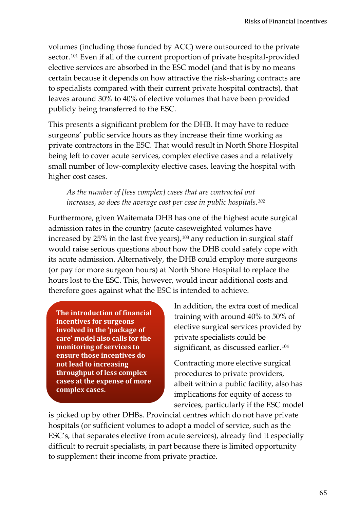volumes (including those funded by ACC) were outsourced to the private sector.[101](#page-111-41) Even if all of the current proportion of private hospital-provided elective services are absorbed in the ESC model (and that is by no means certain because it depends on how attractive the risk-sharing contracts are to specialists compared with their current private hospital contracts), that leaves around 30% to 40% of elective volumes that have been provided publicly being transferred to the ESC.

This presents a significant problem for the DHB. It may have to reduce surgeons' public service hours as they increase their time working as private contractors in the ESC. That would result in North Shore Hospital being left to cover acute services, complex elective cases and a relatively small number of low-complexity elective cases, leaving the hospital with higher cost cases.

#### *As the number of [less complex] cases that are contracted out increases, so does the average cost per case in public hospitals.[102](#page-111-42)*

Furthermore, given Waitemata DHB has one of the highest acute surgical admission rates in the country (acute caseweighted volumes have increased by 25% in the last five years),[103](#page-111-43) any reduction in surgical staff would raise serious questions about how the DHB could safely cope with its acute admission. Alternatively, the DHB could employ more surgeons (or pay for more surgeon hours) at North Shore Hospital to replace the hours lost to the ESC. This, however, would incur additional costs and therefore goes against what the ESC is intended to achieve.

**The introduction of financial incentives for surgeons involved in the 'package of care' model also calls for the monitoring of services to ensure those incentives do not lead to increasing throughput of less complex cases at the expense of more complex cases.**

In addition, the extra cost of medical training with around 40% to 50% of elective surgical services provided by private specialists could be significant, as discussed earlier.<sup>[104](#page-111-44)</sup>

Contracting more elective surgical procedures to private providers, albeit within a public facility, also has implications for equity of access to services, particularly if the ESC model

is picked up by other DHBs. Provincial centres which do not have private hospitals (or sufficient volumes to adopt a model of service, such as the ESC's, that separates elective from acute services), already find it especially difficult to recruit specialists, in part because there is limited opportunity to supplement their income from private practice.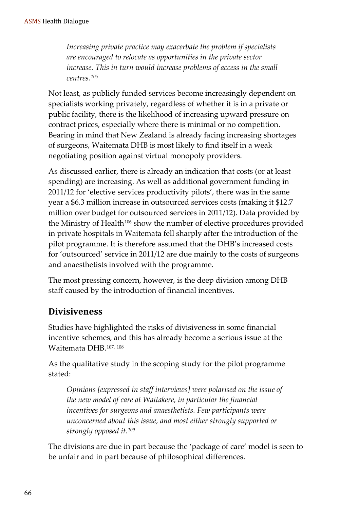*Increasing private practice may exacerbate the problem if specialists are encouraged to relocate as opportunities in the private sector increase. This in turn would increase problems of access in the small centres.[105](#page-111-18)*

Not least, as publicly funded services become increasingly dependent on specialists working privately, regardless of whether it is in a private or public facility, there is the likelihood of increasing upward pressure on contract prices, especially where there is minimal or no competition. Bearing in mind that New Zealand is already facing increasing shortages of surgeons, Waitemata DHB is most likely to find itself in a weak negotiating position against virtual monopoly providers.

As discussed earlier, there is already an indication that costs (or at least spending) are increasing. As well as additional government funding in 2011/12 for 'elective services productivity pilots', there was in the same year a \$6.3 million increase in outsourced services costs (making it \$12.7 million over budget for outsourced services in 2011/12). Data provided by the Ministry of Health<sup>[106](#page-111-19)</sup> show the number of elective procedures provided in private hospitals in Waitemata fell sharply after the introduction of the pilot programme. It is therefore assumed that the DHB's increased costs for 'outsourced' service in 2011/12 are due mainly to the costs of surgeons and anaesthetists involved with the programme.

The most pressing concern, however, is the deep division among DHB staff caused by the introduction of financial incentives.

## **Divisiveness**

Studies have highlighted the risks of divisiveness in some financial incentive schemes, and this has already become a serious issue at the Waitemata DHB.[107](#page-111-45), [108](#page-111-46)

As the qualitative study in the scoping study for the pilot programme stated:

*Opinions [expressed in staff interviews] were polarised on the issue of the new model of care at Waitakere, in particular the financial incentives for surgeons and anaesthetists. Few participants were unconcerned about this issue, and most either strongly supported or strongly opposed it.[109](#page-111-47)*

The divisions are due in part because the 'package of care' model is seen to be unfair and in part because of philosophical differences.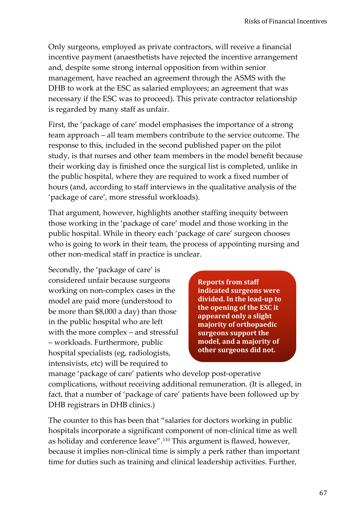Only surgeons, employed as private contractors, will receive a financial incentive payment (anaesthetists have rejected the incentive arrangement and, despite some strong internal opposition from within senior management, have reached an agreement through the ASMS with the DHB to work at the ESC as salaried employees; an agreement that was necessary if the ESC was to proceed). This private contractor relationship is regarded by many staff as unfair.

First, the 'package of care' model emphasises the importance of a strong team approach – all team members contribute to the service outcome. The response to this, included in the second published paper on the pilot study, is that nurses and other team members in the model benefit because their working day is finished once the surgical list is completed, unlike in the public hospital, where they are required to work a fixed number of hours (and, according to staff interviews in the qualitative analysis of the 'package of care', more stressful workloads).

That argument, however, highlights another staffing inequity between those working in the 'package of care' model and those working in the public hospital. While in theory each 'package of care' surgeon chooses who is going to work in their team, the process of appointing nursing and other non-medical staff in practice is unclear.

Secondly, the 'package of care' is considered unfair because surgeons working on non-complex cases in the model are paid more (understood to be more than \$8,000 a day) than those in the public hospital who are left with the more complex – and stressful – workloads. Furthermore, public hospital specialists (eg, radiologists, intensivists, etc) will be required to

**Reports from staff indicated surgeons were divided. In the lead-up to the opening of the ESC it appeared only a slight majority of orthopaedic surgeons support the model, and a majority of other surgeons did not.**

manage 'package of care' patients who develop post-operative complications, without receiving additional remuneration. (It is alleged, in fact, that a number of 'package of care' patients have been followed up by DHB registrars in DHB clinics.)

The counter to this has been that "salaries for doctors working in public hospitals incorporate a significant component of non-clinical time as well as holiday and conference leave"[.110](#page-111-0) This argument is flawed, however, because it implies non-clinical time is simply a perk rather than important time for duties such as training and clinical leadership activities. Further,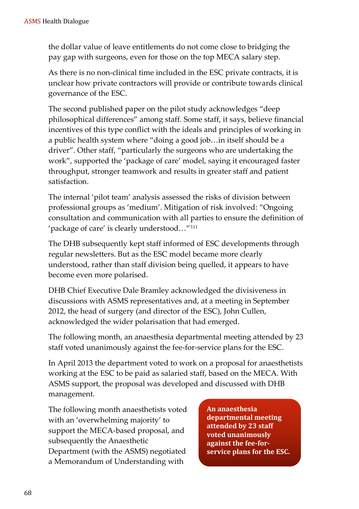the dollar value of leave entitlements do not come close to bridging the pay gap with surgeons, even for those on the top MECA salary step.

As there is no non-clinical time included in the ESC private contracts, it is unclear how private contractors will provide or contribute towards clinical governance of the ESC.

The second published paper on the pilot study acknowledges "deep philosophical differences" among staff. Some staff, it says, believe financial incentives of this type conflict with the ideals and principles of working in a public health system where "doing a good job…in itself should be a driver". Other staff, "particularly the surgeons who are undertaking the work", supported the 'package of care' model, saying it encouraged faster throughput, stronger teamwork and results in greater staff and patient satisfaction.

The internal 'pilot team' analysis assessed the risks of division between professional groups as 'medium'. Mitigation of risk involved: "Ongoing consultation and communication with all parties to ensure the definition of 'package of care' is clearly understood…"[111](#page-111-1)

The DHB subsequently kept staff informed of ESC developments through regular newsletters. But as the ESC model became more clearly understood, rather than staff division being quelled, it appears to have become even more polarised.

DHB Chief Executive Dale Bramley acknowledged the divisiveness in discussions with ASMS representatives and, at a meeting in September 2012, the head of surgery (and director of the ESC), John Cullen, acknowledged the wider polarisation that had emerged.

The following month, an anaesthesia departmental meeting attended by 23 staff voted unanimously against the fee-for-service plans for the ESC.

In April 2013 the department voted to work on a proposal for anaesthetists working at the ESC to be paid as salaried staff, based on the MECA. With ASMS support, the proposal was developed and discussed with DHB management.

The following month anaesthetists voted with an 'overwhelming majority' to support the MECA-based proposal, and subsequently the Anaesthetic Department (with the ASMS) negotiated a Memorandum of Understanding with

**An anaesthesia departmental meeting attended by 23 staff voted unanimously against the fee-forservice plans for the ESC.**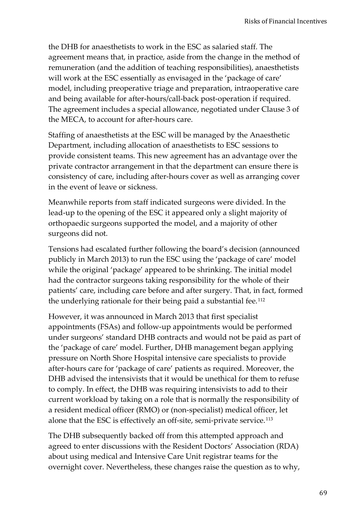the DHB for anaesthetists to work in the ESC as salaried staff. The agreement means that, in practice, aside from the change in the method of remuneration (and the addition of teaching responsibilities), anaesthetists will work at the ESC essentially as envisaged in the 'package of care' model, including preoperative triage and preparation, intraoperative care and being available for after-hours/call-back post-operation if required. The agreement includes a special allowance, negotiated under Clause 3 of the MECA, to account for after-hours care.

Staffing of anaesthetists at the ESC will be managed by the Anaesthetic Department, including allocation of anaesthetists to ESC sessions to provide consistent teams. This new agreement has an advantage over the private contractor arrangement in that the department can ensure there is consistency of care, including after-hours cover as well as arranging cover in the event of leave or sickness.

Meanwhile reports from staff indicated surgeons were divided. In the lead-up to the opening of the ESC it appeared only a slight majority of orthopaedic surgeons supported the model, and a majority of other surgeons did not.

Tensions had escalated further following the board's decision (announced publicly in March 2013) to run the ESC using the 'package of care' model while the original 'package' appeared to be shrinking. The initial model had the contractor surgeons taking responsibility for the whole of their patients' care, including care before and after surgery. That, in fact, formed the underlying rationale for their being paid a substantial fee.<sup>112</sup>

However, it was announced in March 2013 that first specialist appointments (FSAs) and follow-up appointments would be performed under surgeons' standard DHB contracts and would not be paid as part of the 'package of care' model. Further, DHB management began applying pressure on North Shore Hospital intensive care specialists to provide after-hours care for 'package of care' patients as required. Moreover, the DHB advised the intensivists that it would be unethical for them to refuse to comply. In effect, the DHB was requiring intensivists to add to their current workload by taking on a role that is normally the responsibility of a resident medical officer (RMO) or (non-specialist) medical officer, let alone that the ESC is effectively an off-site, semi-private service.<sup>[113](#page-111-3)</sup>

The DHB subsequently backed off from this attempted approach and agreed to enter discussions with the Resident Doctors' Association (RDA) about using medical and Intensive Care Unit registrar teams for the overnight cover. Nevertheless, these changes raise the question as to why,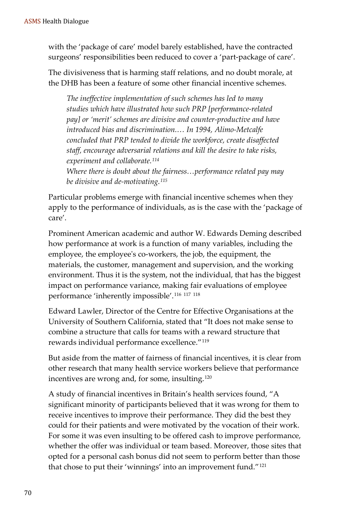with the 'package of care' model barely established, have the contracted surgeons' responsibilities been reduced to cover a 'part-package of care'.

The divisiveness that is harming staff relations, and no doubt morale, at the DHB has been a feature of some other financial incentive schemes.

*The ineffective implementation of such schemes has led to many studies which have illustrated how such PRP [performance-related pay] or 'merit' schemes are divisive and counter-productive and have introduced bias and discrimination.… In 1994, Alimo-Metcalfe concluded that PRP tended to divide the workforce, create disaffected staff, encourage adversarial relations and kill the desire to take risks, experiment and collaborate.[114](#page-111-4) Where there is doubt about the fairness…performance related pay may be divisive and de-motivating.[115](#page-111-5)*

Particular problems emerge with financial incentive schemes when they apply to the performance of individuals, as is the case with the 'package of care'.

Prominent American academic and author W. Edwards Deming described how performance at work is a function of many variables, including the employee, the employee's co-workers, the job, the equipment, the materials, the customer, management and supervision, and the working environment. Thus it is the system, not the individual, that has the biggest impact on performance variance, making fair evaluations of employee performance 'inherently impossible'.[116](#page-111-6) [117](#page-111-7) [118](#page-111-8)

Edward Lawler, Director of the Centre for Effective Organisations at the University of Southern California, stated that "It does not make sense to combine a structure that calls for teams with a reward structure that rewards individual performance excellence."[119](#page-111-9)

But aside from the matter of fairness of financial incentives, it is clear from other research that many health service workers believe that performance incentives are wrong and, for some, insulting.[120](#page-111-10)

A study of financial incentives in Britain's health services found, "A significant minority of participants believed that it was wrong for them to receive incentives to improve their performance. They did the best they could for their patients and were motivated by the vocation of their work. For some it was even insulting to be offered cash to improve performance, whether the offer was individual or team based. Moreover, those sites that opted for a personal cash bonus did not seem to perform better than those that chose to put their 'winnings' into an improvement fund."[121](#page-111-11)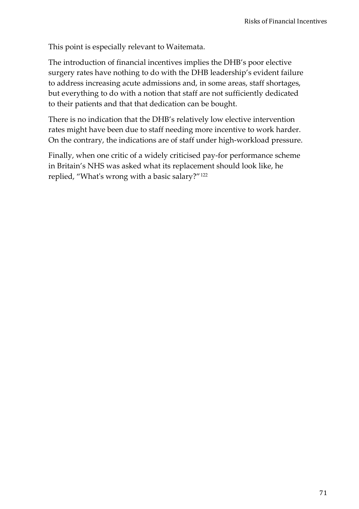This point is especially relevant to Waitemata.

The introduction of financial incentives implies the DHB's poor elective surgery rates have nothing to do with the DHB leadership's evident failure to address increasing acute admissions and, in some areas, staff shortages, but everything to do with a notion that staff are not sufficiently dedicated to their patients and that that dedication can be bought.

There is no indication that the DHB's relatively low elective intervention rates might have been due to staff needing more incentive to work harder. On the contrary, the indications are of staff under high-workload pressure.

Finally, when one critic of a widely criticised pay-for performance scheme in Britain's NHS was asked what its replacement should look like, he replied, "What's wrong with a basic salary?"[122](#page-111-12)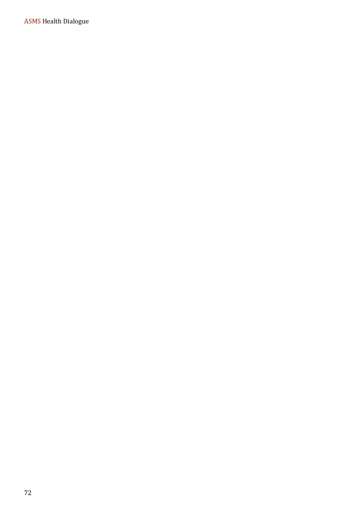ASMS Health Dialogue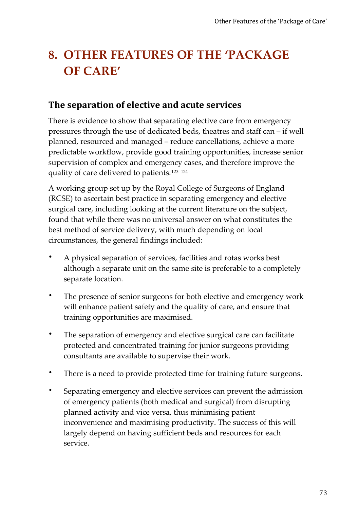# **8. OTHER FEATURES OF THE 'PACKAGE OF CARE'**

#### **The separation of elective and acute services**

There is evidence to show that separating elective care from emergency pressures through the use of dedicated beds, theatres and staff can – if well planned, resourced and managed – reduce cancellations, achieve a more predictable workflow, provide good training opportunities, increase senior supervision of complex and emergency cases, and therefore improve the quality of care delivered to patients.<sup>[123](#page-111-13) [124](#page-111-14)</sup>

A working group set up by the Royal College of Surgeons of England (RCSE) to ascertain best practice in separating emergency and elective surgical care, including looking at the current literature on the subject, found that while there was no universal answer on what constitutes the best method of service delivery, with much depending on local circumstances, the general findings included:

- ⋅ A physical separation of services, facilities and rotas works best although a separate unit on the same site is preferable to a completely separate location.
- ⋅ The presence of senior surgeons for both elective and emergency work will enhance patient safety and the quality of care, and ensure that training opportunities are maximised.
- ⋅ The separation of emergency and elective surgical care can facilitate protected and concentrated training for junior surgeons providing consultants are available to supervise their work.
- There is a need to provide protected time for training future surgeons.
- Separating emergency and elective services can prevent the admission of emergency patients (both medical and surgical) from disrupting planned activity and vice versa, thus minimising patient inconvenience and maximising productivity. The success of this will largely depend on having sufficient beds and resources for each service.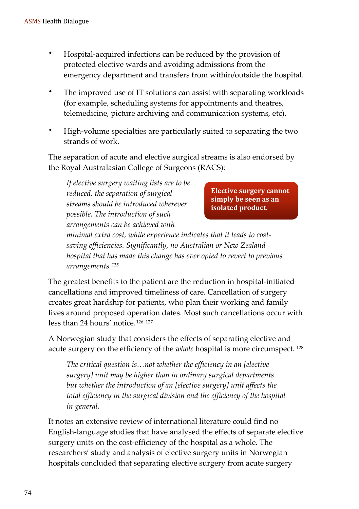- Hospital-acquired infections can be reduced by the provision of protected elective wards and avoiding admissions from the emergency department and transfers from within/outside the hospital.
- The improved use of IT solutions can assist with separating workloads (for example, scheduling systems for appointments and theatres, telemedicine, picture archiving and communication systems, etc).
- High-volume specialties are particularly suited to separating the two strands of work.

The separation of acute and elective surgical streams is also endorsed by the Royal Australasian College of Surgeons (RACS):

*If elective surgery waiting lists are to be reduced, the separation of surgical streams should be introduced wherever possible. The introduction of such arrangements can be achieved with* 

**Elective surgery cannot simply be seen as an isolated product.**

*minimal extra cost, while experience indicates that it leads to costsaving efficiencies. Significantly, no Australian or New Zealand hospital that has made this change has ever opted to revert to previous arrangements.[125](#page-111-15)*

The greatest benefits to the patient are the reduction in hospital-initiated cancellations and improved timeliness of care. Cancellation of surgery creates great hardship for patients, who plan their working and family lives around proposed operation dates. Most such cancellations occur with less than 24 hours' notice.[126](#page-111-16) [127](#page-111-17)

A Norwegian study that considers the effects of separating elective and acute surgery on the efficiency of the *whole* hospital is more circumspect. [128](#page-111-18)

*The critical question is…not whether the efficiency in an [elective surgery] unit may be higher than in ordinary surgical departments but whether the introduction of an [elective surgery] unit affects the total efficiency in the surgical division and the efficiency of the hospital in general.*

It notes an extensive review of international literature could find no English-language studies that have analysed the effects of separate elective surgery units on the cost-efficiency of the hospital as a whole. The researchers' study and analysis of elective surgery units in Norwegian hospitals concluded that separating elective surgery from acute surgery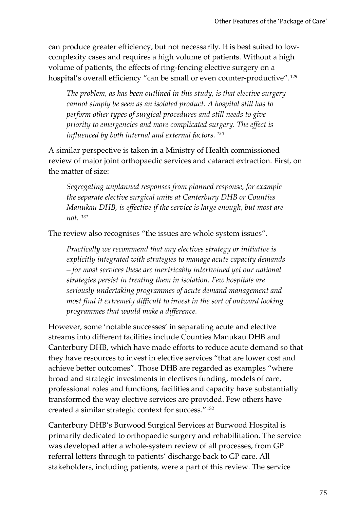can produce greater efficiency, but not necessarily. It is best suited to lowcomplexity cases and requires a high volume of patients. Without a high volume of patients, the effects of ring-fencing elective surgery on a hospital's overall efficiency "can be small or even counter-productive".[129](#page-111-19)

*The problem, as has been outlined in this study, is that elective surgery cannot simply be seen as an isolated product. A hospital still has to perform other types of surgical procedures and still needs to give priority to emergencies and more complicated surgery. The effect is influenced by both internal and external factors. [130](#page-111-8)*

A similar perspective is taken in a Ministry of Health commissioned review of major joint orthopaedic services and cataract extraction. First, on the matter of size:

*Segregating unplanned responses from planned response, for example the separate elective surgical units at Canterbury DHB or Counties Manukau DHB, is effective if the service is large enough, but most are not. [131](#page-111-9)*

The review also recognises "the issues are whole system issues".

*Practically we recommend that any electives strategy or initiative is explicitly integrated with strategies to manage acute capacity demands – for most services these are inextricably intertwined yet our national strategies persist in treating them in isolation. Few hospitals are seriously undertaking programmes of acute demand management and most find it extremely difficult to invest in the sort of outward looking programmes that would make a difference.*

However, some 'notable successes' in separating acute and elective streams into different facilities include Counties Manukau DHB and Canterbury DHB, which have made efforts to reduce acute demand so that they have resources to invest in elective services "that are lower cost and achieve better outcomes". Those DHB are regarded as examples "where broad and strategic investments in electives funding, models of care, professional roles and functions, facilities and capacity have substantially transformed the way elective services are provided. Few others have created a similar strategic context for success."[132](#page-111-20)

Canterbury DHB's Burwood Surgical Services at Burwood Hospital is primarily dedicated to orthopaedic surgery and rehabilitation. The service was developed after a whole-system review of all processes, from GP referral letters through to patients' discharge back to GP care. All stakeholders, including patients, were a part of this review. The service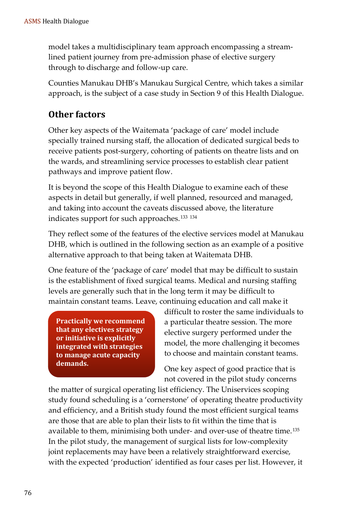model takes a multidisciplinary team approach encompassing a streamlined patient journey from pre-admission phase of elective surgery through to discharge and follow-up care.

Counties Manukau DHB's Manukau Surgical Centre, which takes a similar approach, is the subject of a case study in Section 9 of this Health Dialogue.

### **Other factors**

Other key aspects of the Waitemata 'package of care' model include specially trained nursing staff, the allocation of dedicated surgical beds to receive patients post-surgery, cohorting of patients on theatre lists and on the wards, and streamlining service processes to establish clear patient pathways and improve patient flow.

It is beyond the scope of this Health Dialogue to examine each of these aspects in detail but generally, if well planned, resourced and managed, and taking into account the caveats discussed above, the literature indicates support for such approaches.[133](#page-111-21) [134](#page-111-22)

They reflect some of the features of the elective services model at Manukau DHB, which is outlined in the following section as an example of a positive alternative approach to that being taken at Waitemata DHB.

One feature of the 'package of care' model that may be difficult to sustain is the establishment of fixed surgical teams. Medical and nursing staffing levels are generally such that in the long term it may be difficult to maintain constant teams. Leave, continuing education and call make it

**Practically we recommend that any electives strategy or initiative is explicitly integrated with strategies to manage acute capacity demands.**

difficult to roster the same individuals to a particular theatre session. The more elective surgery performed under the model, the more challenging it becomes to choose and maintain constant teams.

One key aspect of good practice that is not covered in the pilot study concerns

the matter of surgical operating list efficiency. The Uniservices scoping study found scheduling is a 'cornerstone' of operating theatre productivity and efficiency, and a British study found the most efficient surgical teams are those that are able to plan their lists to fit within the time that is available to them, minimising both under- and over-use of theatre time.[135](#page-111-13) In the pilot study, the management of surgical lists for low-complexity joint replacements may have been a relatively straightforward exercise, with the expected 'production' identified as four cases per list. However, it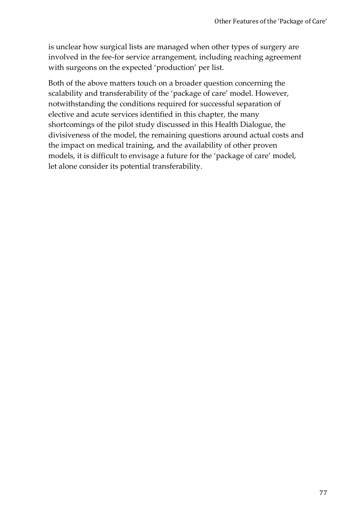is unclear how surgical lists are managed when other types of surgery are involved in the fee-for service arrangement, including reaching agreement with surgeons on the expected 'production' per list.

Both of the above matters touch on a broader question concerning the scalability and transferability of the 'package of care' model. However, notwithstanding the conditions required for successful separation of elective and acute services identified in this chapter, the many shortcomings of the pilot study discussed in this Health Dialogue, the divisiveness of the model, the remaining questions around actual costs and the impact on medical training, and the availability of other proven models, it is difficult to envisage a future for the 'package of care' model, let alone consider its potential transferability.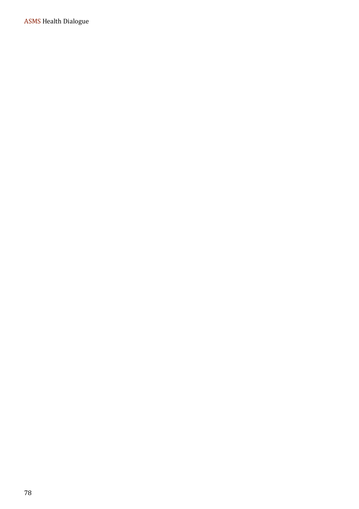ASMS Health Dialogue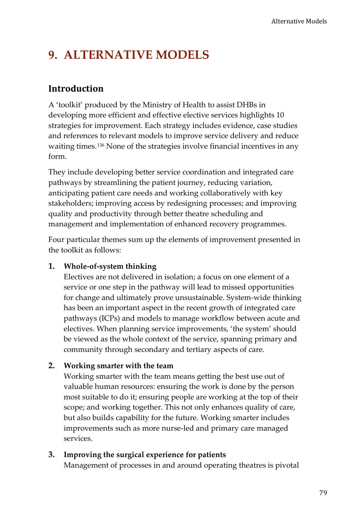## **9. ALTERNATIVE MODELS**

### **Introduction**

A 'toolkit' produced by the Ministry of Health to assist DHBs in developing more efficient and effective elective services highlights 10 strategies for improvement. Each strategy includes evidence, case studies and references to relevant models to improve service delivery and reduce waiting times.[136](#page-111-14) None of the strategies involve financial incentives in any form.

They include developing better service coordination and integrated care pathways by streamlining the patient journey, reducing variation, anticipating patient care needs and working collaboratively with key stakeholders; improving access by redesigning processes; and improving quality and productivity through better theatre scheduling and management and implementation of enhanced recovery programmes.

Four particular themes sum up the elements of improvement presented in the toolkit as follows:

#### **1. Whole-of-system thinking**

Electives are not delivered in isolation; a focus on one element of a service or one step in the pathway will lead to missed opportunities for change and ultimately prove unsustainable. System-wide thinking has been an important aspect in the recent growth of integrated care pathways (ICPs) and models to manage workflow between acute and electives. When planning service improvements, 'the system' should be viewed as the whole context of the service, spanning primary and community through secondary and tertiary aspects of care.

#### **2. Working smarter with the team**

Working smarter with the team means getting the best use out of valuable human resources: ensuring the work is done by the person most suitable to do it; ensuring people are working at the top of their scope; and working together. This not only enhances quality of care, but also builds capability for the future. Working smarter includes improvements such as more nurse-led and primary care managed services.

#### **3. Improving the surgical experience for patients**

Management of processes in and around operating theatres is pivotal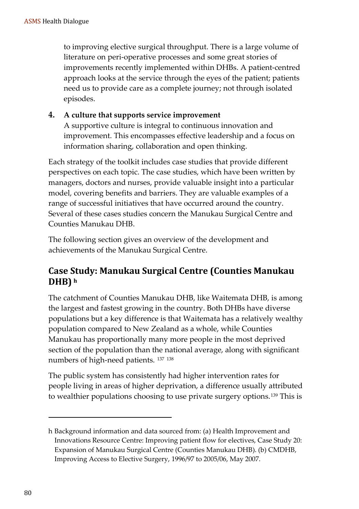to improving elective surgical throughput. There is a large volume of literature on peri-operative processes and some great stories of improvements recently implemented within DHBs. A patient-centred approach looks at the service through the eyes of the patient; patients need us to provide care as a complete journey; not through isolated episodes.

#### **4. A culture that supports service improvement**

A supportive culture is integral to continuous innovation and improvement. This encompasses effective leadership and a focus on information sharing, collaboration and open thinking.

Each strategy of the toolkit includes case studies that provide different perspectives on each topic. The case studies, which have been written by managers, doctors and nurses, provide valuable insight into a particular model, covering benefits and barriers. They are valuable examples of a range of successful initiatives that have occurred around the country. Several of these cases studies concern the Manukau Surgical Centre and Counties Manukau DHB.

The following section gives an overview of the development and achievements of the Manukau Surgical Centre.

### **Case Study: Manukau Surgical Centre (Counties Manukau DHB) [h](#page-85-0)**

The catchment of Counties Manukau DHB, like Waitemata DHB, is among the largest and fastest growing in the country. Both DHBs have diverse populations but a key difference is that Waitemata has a relatively wealthy population compared to New Zealand as a whole, while Counties Manukau has proportionally many more people in the most deprived section of the population than the national average, along with significant numbers of high-need patients. [137](#page-111-15) [138](#page-111-16)

The public system has consistently had higher intervention rates for people living in areas of higher deprivation, a difference usually attributed to wealthier populations choosing to use private surgery options.[139](#page-111-17) This is

<span id="page-85-0"></span>h Background information and data sourced from: (a) Health Improvement and Innovations Resource Centre: Improving patient flow for electives, Case Study 20: Expansion of Manukau Surgical Centre (Counties Manukau DHB). (b) CMDHB, Improving Access to Elective Surgery, 1996/97 to 2005/06, May 2007.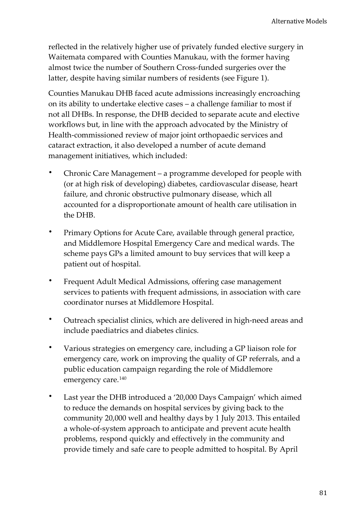reflected in the relatively higher use of privately funded elective surgery in Waitemata compared with Counties Manukau, with the former having almost twice the number of Southern Cross-funded surgeries over the latter, despite having similar numbers of residents (see Figure 1).

Counties Manukau DHB faced acute admissions increasingly encroaching on its ability to undertake elective cases – a challenge familiar to most if not all DHBs. In response, the DHB decided to separate acute and elective workflows but, in line with the approach advocated by the Ministry of Health-commissioned review of major joint orthopaedic services and cataract extraction, it also developed a number of acute demand management initiatives, which included:

- ⋅ Chronic Care Management a programme developed for people with (or at high risk of developing) diabetes, cardiovascular disease, heart failure, and chronic obstructive pulmonary disease, which all accounted for a disproportionate amount of health care utilisation in the DHB.
- Primary Options for Acute Care, available through general practice, and Middlemore Hospital Emergency Care and medical wards. The scheme pays GPs a limited amount to buy services that will keep a patient out of hospital.
- ⋅ Frequent Adult Medical Admissions, offering case management services to patients with frequent admissions, in association with care coordinator nurses at Middlemore Hospital.
- ⋅ Outreach specialist clinics, which are delivered in high-need areas and include paediatrics and diabetes clinics.
- ⋅ Various strategies on emergency care, including a GP liaison role for emergency care, work on improving the quality of GP referrals, and a public education campaign regarding the role of Middlemore emergency care.<sup>[140](#page-111-23)</sup>
- Last year the DHB introduced a '20,000 Days Campaign' which aimed to reduce the demands on hospital services by giving back to the community 20,000 well and healthy days by 1 July 2013. This entailed a whole-of-system approach to anticipate and prevent acute health problems, respond quickly and effectively in the community and provide timely and safe care to people admitted to hospital. By April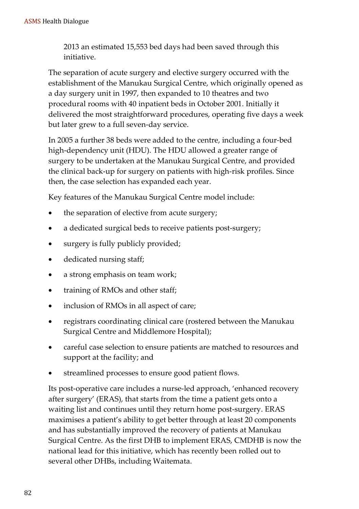2013 an estimated 15,553 bed days had been saved through this initiative.

The separation of acute surgery and elective surgery occurred with the establishment of the Manukau Surgical Centre, which originally opened as a day surgery unit in 1997, then expanded to 10 theatres and two procedural rooms with 40 inpatient beds in October 2001. Initially it delivered the most straightforward procedures, operating five days a week but later grew to a full seven-day service.

In 2005 a further 38 beds were added to the centre, including a four-bed high-dependency unit (HDU). The HDU allowed a greater range of surgery to be undertaken at the Manukau Surgical Centre, and provided the clinical back-up for surgery on patients with high-risk profiles. Since then, the case selection has expanded each year.

Key features of the Manukau Surgical Centre model include:

- the separation of elective from acute surgery;
- a dedicated surgical beds to receive patients post-surgery;
- surgery is fully publicly provided;
- dedicated nursing staff;
- a strong emphasis on team work;
- training of RMOs and other staff;
- inclusion of RMOs in all aspect of care;
- registrars coordinating clinical care (rostered between the Manukau Surgical Centre and Middlemore Hospital);
- careful case selection to ensure patients are matched to resources and support at the facility; and
- streamlined processes to ensure good patient flows.

Its post-operative care includes a nurse-led approach, 'enhanced recovery after surgery' (ERAS), that starts from the time a patient gets onto a waiting list and continues until they return home post-surgery. ERAS maximises a patient's ability to get better through at least 20 components and has substantially improved the recovery of patients at Manukau Surgical Centre. As the first DHB to implement ERAS, CMDHB is now the national lead for this initiative, which has recently been rolled out to several other DHBs, including Waitemata.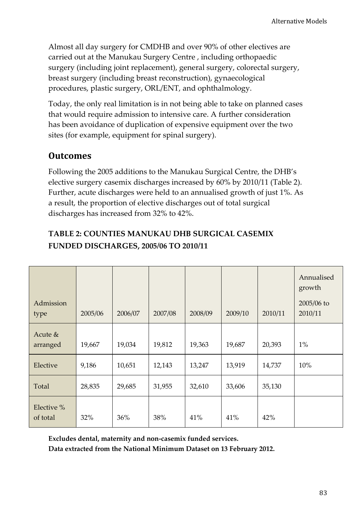Almost all day surgery for CMDHB and over 90% of other electives are carried out at the Manukau Surgery Centre , including orthopaedic surgery (including joint replacement), general surgery, colorectal surgery, breast surgery (including breast reconstruction), gynaecological procedures, plastic surgery, ORL/ENT, and ophthalmology.

Today, the only real limitation is in not being able to take on planned cases that would require admission to intensive care. A further consideration has been avoidance of duplication of expensive equipment over the two sites (for example, equipment for spinal surgery).

#### **Outcomes**

Following the 2005 additions to the Manukau Surgical Centre, the DHB's elective surgery casemix discharges increased by 60% by 2010/11 (Table 2). Further, acute discharges were held to an annualised growth of just 1%. As a result, the proportion of elective discharges out of total surgical discharges has increased from 32% to 42%.

| Admission<br>type      | 2005/06 | 2006/07 | 2007/08 | 2008/09 | 2009/10 | 2010/11 | Annualised<br>growth<br>2005/06 to<br>2010/11 |
|------------------------|---------|---------|---------|---------|---------|---------|-----------------------------------------------|
| Acute &<br>arranged    | 19,667  | 19,034  | 19,812  | 19,363  | 19,687  | 20,393  | $1\%$                                         |
| Elective               | 9,186   | 10,651  | 12,143  | 13,247  | 13,919  | 14,737  | 10%                                           |
| Total                  | 28,835  | 29,685  | 31,955  | 32,610  | 33,606  | 35,130  |                                               |
| Elective %<br>of total | 32%     | 36%     | 38%     | 41%     | 41%     | 42%     |                                               |

### **TABLE 2: COUNTIES MANUKAU DHB SURGICAL CASEMIX FUNDED DISCHARGES, 2005/06 TO 2010/11**

**Excludes dental, maternity and non-casemix funded services.**

**Data extracted from the National Minimum Dataset on 13 February 2012.**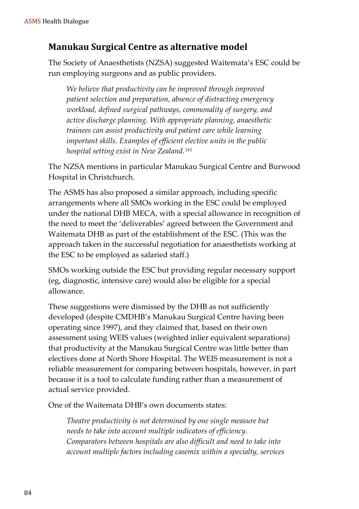### **Manukau Surgical Centre as alternative model**

The Society of Anaesthetists (NZSA) suggested Waitemata's ESC could be run employing surgeons and as public providers.

*We believe that productivity can be improved through improved patient selection and preparation, absence of distracting emergency workload, defined surgical pathways, commonality of surgery, and active discharge planning. With appropriate planning, anaesthetic trainees can assist productivity and patient care while learning important skills. Examples of efficient elective units in the public hospital setting exist in New Zealand.[141](#page-111-24)*

The NZSA mentions in particular Manukau Surgical Centre and Burwood Hospital in Christchurch.

The ASMS has also proposed a similar approach, including specific arrangements where all SMOs working in the ESC could be employed under the national DHB MECA, with a special allowance in recognition of the need to meet the 'deliverables' agreed between the Government and Waitemata DHB as part of the establishment of the ESC. (This was the approach taken in the successful negotiation for anaesthetists working at the ESC to be employed as salaried staff.)

SMOs working outside the ESC but providing regular necessary support (eg, diagnostic, intensive care) would also be eligible for a special allowance.

These suggestions were dismissed by the DHB as not sufficiently developed (despite CMDHB's Manukau Surgical Centre having been operating since 1997), and they claimed that, based on their own assessment using WEIS values (weighted inlier equivalent separations) that productivity at the Manukau Surgical Centre was little better than electives done at North Shore Hospital. The WEIS measurement is not a reliable measurement for comparing between hospitals, however, in part because it is a tool to calculate funding rather than a measurement of actual service provided.

One of the Waitemata DHB's own documents states:

*Theatre productivity is not determined by one single measure but needs to take into account multiple indicators of efficiency. Comparators between hospitals are also difficult and need to take into account multiple factors including casemix within a specialty, services*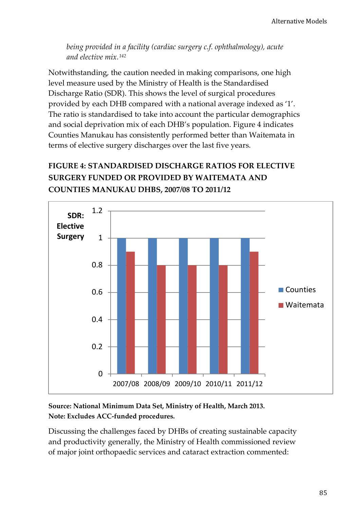*being provided in a facility (cardiac surgery c.f. ophthalmology), acute and elective mix.[142](#page-111-25)*

Notwithstanding, the caution needed in making comparisons, one high level measure used by the Ministry of Health is the Standardised Discharge Ratio (SDR). This shows the level of surgical procedures provided by each DHB compared with a national average indexed as '1'. The ratio is standardised to take into account the particular demographics and social deprivation mix of each DHB's population. Figure 4 indicates Counties Manukau has consistently performed better than Waitemata in terms of elective surgery discharges over the last five years.

### **FIGURE 4: STANDARDISED DISCHARGE RATIOS FOR ELECTIVE SURGERY FUNDED OR PROVIDED BY WAITEMATA AND COUNTIES MANUKAU DHBS, 2007/08 TO 2011/12**



#### **Source: National Minimum Data Set, Ministry of Health, March 2013. Note: Excludes ACC-funded procedures.**

Discussing the challenges faced by DHBs of creating sustainable capacity and productivity generally, the Ministry of Health commissioned review of major joint orthopaedic services and cataract extraction commented: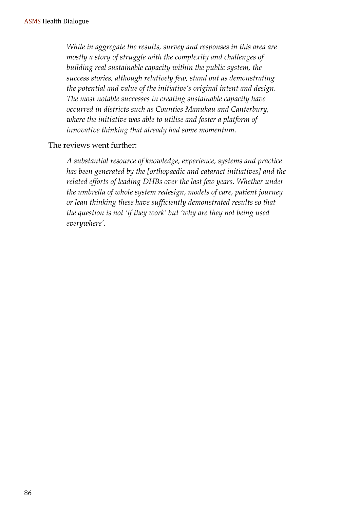*While in aggregate the results, survey and responses in this area are mostly a story of struggle with the complexity and challenges of building real sustainable capacity within the public system, the success stories, although relatively few, stand out as demonstrating the potential and value of the initiative's original intent and design. The most notable successes in creating sustainable capacity have occurred in districts such as Counties Manukau and Canterbury, where the initiative was able to utilise and foster a platform of innovative thinking that already had some momentum.* 

#### The reviews went further:

*A substantial resource of knowledge, experience, systems and practice has been generated by the [orthopaedic and cataract initiatives] and the related efforts of leading DHBs over the last few years. Whether under the umbrella of whole system redesign, models of care, patient journey or lean thinking these have sufficiently demonstrated results so that the question is not 'if they work' but 'why are they not being used everywhere'.*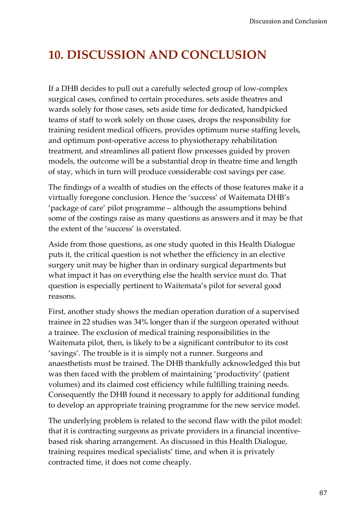## **10. DISCUSSION AND CONCLUSION**

If a DHB decides to pull out a carefully selected group of low-complex surgical cases, confined to certain procedures, sets aside theatres and wards solely for those cases, sets aside time for dedicated, handpicked teams of staff to work solely on those cases, drops the responsibility for training resident medical officers, provides optimum nurse staffing levels, and optimum post-operative access to physiotherapy rehabilitation treatment, and streamlines all patient flow processes guided by proven models, the outcome will be a substantial drop in theatre time and length of stay, which in turn will produce considerable cost savings per case.

The findings of a wealth of studies on the effects of those features make it a virtually foregone conclusion. Hence the 'success' of Waitemata DHB's 'package of care' pilot programme – although the assumptions behind some of the costings raise as many questions as answers and it may be that the extent of the 'success' is overstated.

Aside from those questions, as one study quoted in this Health Dialogue puts it, the critical question is not whether the efficiency in an elective surgery unit may be higher than in ordinary surgical departments but what impact it has on everything else the health service must do. That question is especially pertinent to Waitemata's pilot for several good reasons.

First, another study shows the median operation duration of a supervised trainee in 22 studies was 34% longer than if the surgeon operated without a trainee. The exclusion of medical training responsibilities in the Waitemata pilot, then, is likely to be a significant contributor to its cost 'savings'. The trouble is it is simply not a runner. Surgeons and anaesthetists must be trained. The DHB thankfully acknowledged this but was then faced with the problem of maintaining 'productivity' (patient volumes) and its claimed cost efficiency while fulfilling training needs. Consequently the DHB found it necessary to apply for additional funding to develop an appropriate training programme for the new service model.

The underlying problem is related to the second flaw with the pilot model: that it is contracting surgeons as private providers in a financial incentivebased risk sharing arrangement. As discussed in this Health Dialogue, training requires medical specialists' time, and when it is privately contracted time, it does not come cheaply.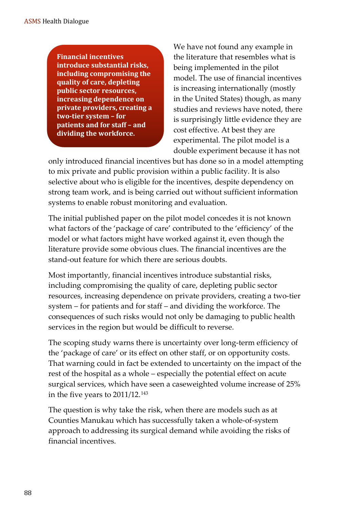**Financial incentives introduce substantial risks, including compromising the quality of care, depleting public sector resources, increasing dependence on private providers, creating a two-tier system – for patients and for staff – and dividing the workforce.**

We have not found any example in the literature that resembles what is being implemented in the pilot model. The use of financial incentives is increasing internationally (mostly in the United States) though, as many studies and reviews have noted, there is surprisingly little evidence they are cost effective. At best they are experimental. The pilot model is a double experiment because it has not

only introduced financial incentives but has done so in a model attempting to mix private and public provision within a public facility. It is also selective about who is eligible for the incentives, despite dependency on strong team work, and is being carried out without sufficient information systems to enable robust monitoring and evaluation.

The initial published paper on the pilot model concedes it is not known what factors of the 'package of care' contributed to the 'efficiency' of the model or what factors might have worked against it, even though the literature provide some obvious clues. The financial incentives are the stand-out feature for which there are serious doubts.

Most importantly, financial incentives introduce substantial risks, including compromising the quality of care, depleting public sector resources, increasing dependence on private providers, creating a two-tier system – for patients and for staff – and dividing the workforce. The consequences of such risks would not only be damaging to public health services in the region but would be difficult to reverse.

The scoping study warns there is uncertainty over long-term efficiency of the 'package of care' or its effect on other staff, or on opportunity costs. That warning could in fact be extended to uncertainty on the impact of the rest of the hospital as a whole – especially the potential effect on acute surgical services, which have seen a caseweighted volume increase of 25% in the five years to 2011/12.[143](#page-111-8)

The question is why take the risk, when there are models such as at Counties Manukau which has successfully taken a whole-of-system approach to addressing its surgical demand while avoiding the risks of financial incentives.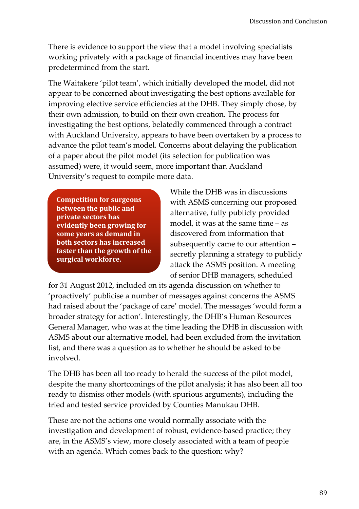There is evidence to support the view that a model involving specialists working privately with a package of financial incentives may have been predetermined from the start.

The Waitakere 'pilot team', which initially developed the model, did not appear to be concerned about investigating the best options available for improving elective service efficiencies at the DHB. They simply chose, by their own admission, to build on their own creation. The process for investigating the best options, belatedly commenced through a contract with Auckland University, appears to have been overtaken by a process to advance the pilot team's model. Concerns about delaying the publication of a paper about the pilot model (its selection for publication was assumed) were, it would seem, more important than Auckland University's request to compile more data.

**Competition for surgeons between the public and private sectors has evidently been growing for some years as demand in both sectors has increased faster than the growth of the surgical workforce.**

While the DHB was in discussions with ASMS concerning our proposed alternative, fully publicly provided model, it was at the same time – as discovered from information that subsequently came to our attention – secretly planning a strategy to publicly attack the ASMS position. A meeting of senior DHB managers, scheduled

for 31 August 2012, included on its agenda discussion on whether to 'proactively' publicise a number of messages against concerns the ASMS had raised about the 'package of care' model. The messages 'would form a broader strategy for action'. Interestingly, the DHB's Human Resources General Manager, who was at the time leading the DHB in discussion with ASMS about our alternative model, had been excluded from the invitation list, and there was a question as to whether he should be asked to be involved.

The DHB has been all too ready to herald the success of the pilot model, despite the many shortcomings of the pilot analysis; it has also been all too ready to dismiss other models (with spurious arguments), including the tried and tested service provided by Counties Manukau DHB.

These are not the actions one would normally associate with the investigation and development of robust, evidence-based practice; they are, in the ASMS's view, more closely associated with a team of people with an agenda. Which comes back to the question: why?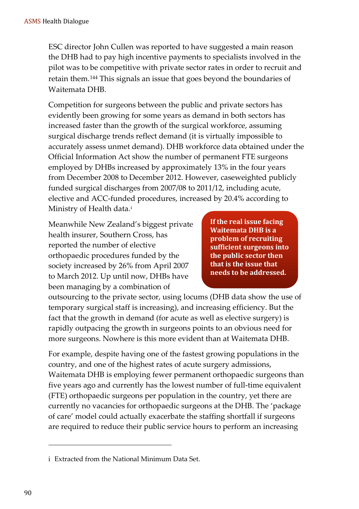ESC director John Cullen was reported to have suggested a main reason the DHB had to pay high incentive payments to specialists involved in the pilot was to be competitive with private sector rates in order to recruit and retain them.[144](#page-111-9) This signals an issue that goes beyond the boundaries of Waitemata DHB.

Competition for surgeons between the public and private sectors has evidently been growing for some years as demand in both sectors has increased faster than the growth of the surgical workforce, assuming surgical discharge trends reflect demand (it is virtually impossible to accurately assess unmet demand). DHB workforce data obtained under the Official Information Act show the number of permanent FTE surgeons employed by DHBs increased by approximately 13% in the four years from December 2008 to December 2012. However, caseweighted publicly funded surgical discharges from 2007/08 to 2011/12, including acute, elective and ACC-funded procedures, increased by 20.4% according to M[i](#page-95-0)nistry of Health data.<sup>i</sup>

Meanwhile New Zealand's biggest private health insurer, Southern Cross, has reported the number of elective orthopaedic procedures funded by the society increased by 26% from April 2007 to March 2012. Up until now, DHBs have been managing by a combination of

**If the real issue facing Waitemata DHB is a problem of recruiting sufficient surgeons into the public sector then that is the issue that needs to be addressed.**

outsourcing to the private sector, using locums (DHB data show the use of temporary surgical staff is increasing), and increasing efficiency. But the fact that the growth in demand (for acute as well as elective surgery) is rapidly outpacing the growth in surgeons points to an obvious need for more surgeons. Nowhere is this more evident than at Waitemata DHB.

For example, despite having one of the fastest growing populations in the country, and one of the highest rates of acute surgery admissions, Waitemata DHB is employing fewer permanent orthopaedic surgeons than five years ago and currently has the lowest number of full-time equivalent (FTE) orthopaedic surgeons per population in the country, yet there are currently no vacancies for orthopaedic surgeons at the DHB. The 'package of care' model could actually exacerbate the staffing shortfall if surgeons are required to reduce their public service hours to perform an increasing

<span id="page-95-0"></span>i Extracted from the National Minimum Data Set.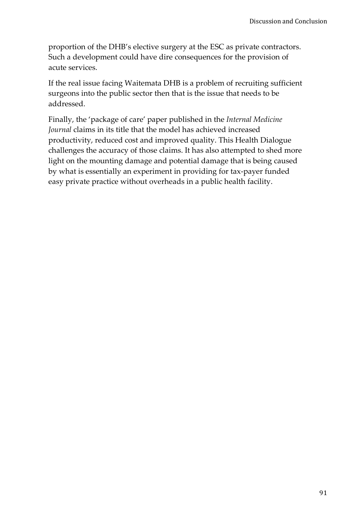proportion of the DHB's elective surgery at the ESC as private contractors. Such a development could have dire consequences for the provision of acute services.

If the real issue facing Waitemata DHB is a problem of recruiting sufficient surgeons into the public sector then that is the issue that needs to be addressed.

Finally, the 'package of care' paper published in the *Internal Medicine Journal* claims in its title that the model has achieved increased productivity, reduced cost and improved quality. This Health Dialogue challenges the accuracy of those claims. It has also attempted to shed more light on the mounting damage and potential damage that is being caused by what is essentially an experiment in providing for tax-payer funded easy private practice without overheads in a public health facility.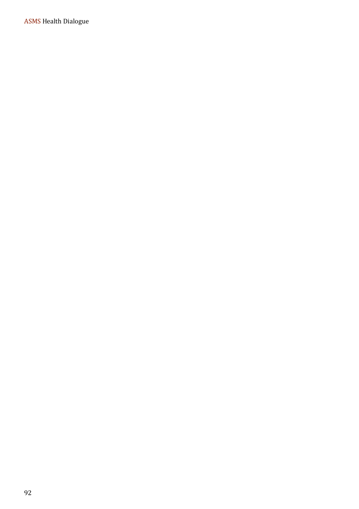ASMS Health Dialogue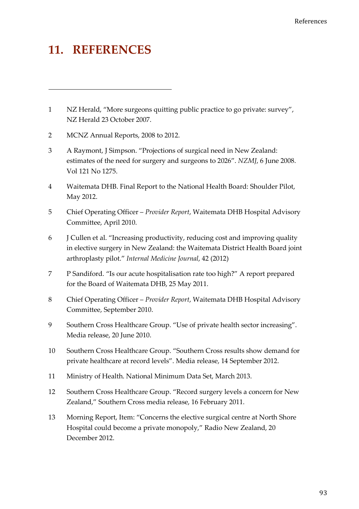## **11. REFERENCES**

- 1 NZ Herald, "More surgeons quitting public practice to go private: survey", NZ Herald 23 October 2007.
- 2 MCNZ Annual Reports, 2008 to 2012.
- 3 A Raymont, J Simpson. "Projections of surgical need in New Zealand: estimates of the need for surgery and surgeons to 2026". *NZMJ*, 6 June 2008. Vol 121 No 1275.
- 4 Waitemata DHB. Final Report to the National Health Board: Shoulder Pilot, May 2012.
- 5 Chief Operating Officer *Provider Report*, Waitemata DHB Hospital Advisory Committee, April 2010.
- 6 J Cullen et al. "Increasing productivity, reducing cost and improving quality in elective surgery in New Zealand: the Waitemata District Health Board joint arthroplasty pilot." *Internal Medicine Journal*, 42 (2012)
- 7 P Sandiford. "Is our acute hospitalisation rate too high?" A report prepared for the Board of Waitemata DHB, 25 May 2011.
- 8 Chief Operating Officer *Provider Report*, Waitemata DHB Hospital Advisory Committee, September 2010.
- 9 Southern Cross Healthcare Group. "Use of private health sector increasing". Media release, 20 June 2010.
- 10 Southern Cross Healthcare Group. "Southern Cross results show demand for private healthcare at record levels". Media release, 14 September 2012.
- 11 Ministry of Health. National Minimum Data Set, March 2013.
- 12 Southern Cross Healthcare Group. "Record surgery levels a concern for New Zealand," Southern Cross media release, 16 February 2011.
- 13 Morning Report, Item: "Concerns the elective surgical centre at North Shore Hospital could become a private monopoly," Radio New Zealand, 20 December 2012.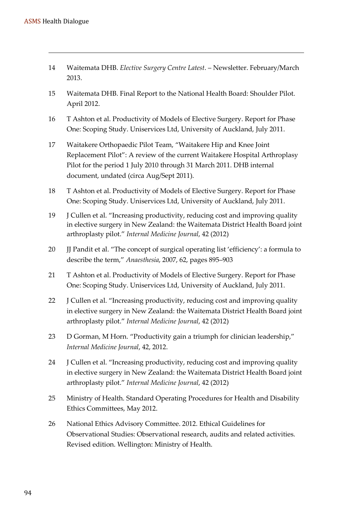- 14 Waitemata DHB. *Elective Surgery Centre Latest*. Newsletter. February/March 2013.
- 15 Waitemata DHB. Final Report to the National Health Board: Shoulder Pilot. April 2012.
- 16 T Ashton et al. Productivity of Models of Elective Surgery. Report for Phase One: Scoping Study. Uniservices Ltd, University of Auckland, July 2011.
- 17 Waitakere Orthopaedic Pilot Team, "Waitakere Hip and Knee Joint Replacement Pilot": A review of the current Waitakere Hospital Arthroplasy Pilot for the period 1 July 2010 through 31 March 2011. DHB internal document, undated (circa Aug/Sept 2011).
- 18 T Ashton et al. Productivity of Models of Elective Surgery. Report for Phase One: Scoping Study. Uniservices Ltd, University of Auckland, July 2011.
- 19 J Cullen et al. "Increasing productivity, reducing cost and improving quality in elective surgery in New Zealand: the Waitemata District Health Board joint arthroplasty pilot." *Internal Medicine Journal*, 42 (2012)
- 20 JJ Pandit et al. "The concept of surgical operating list 'efficiency': a formula to describe the term," *Anaesthesia*, 2007, 62, pages 895–903
- 21 T Ashton et al. Productivity of Models of Elective Surgery. Report for Phase One: Scoping Study. Uniservices Ltd, University of Auckland, July 2011.
- 22 J Cullen et al. "Increasing productivity, reducing cost and improving quality in elective surgery in New Zealand: the Waitemata District Health Board joint arthroplasty pilot." *Internal Medicine Journal*, 42 (2012)
- 23 D Gorman, M Horn. "Productivity gain a triumph for clinician leadership," *Internal Medicine Journal*, 42, 2012.
- 24 J Cullen et al. "Increasing productivity, reducing cost and improving quality in elective surgery in New Zealand: the Waitemata District Health Board joint arthroplasty pilot." *Internal Medicine Journal*, 42 (2012)
- 25 Ministry of Health. Standard Operating Procedures for Health and Disability Ethics Committees, May 2012.
- 26 National Ethics Advisory Committee. 2012. Ethical Guidelines for Observational Studies: Observational research, audits and related activities. Revised edition. Wellington: Ministry of Health.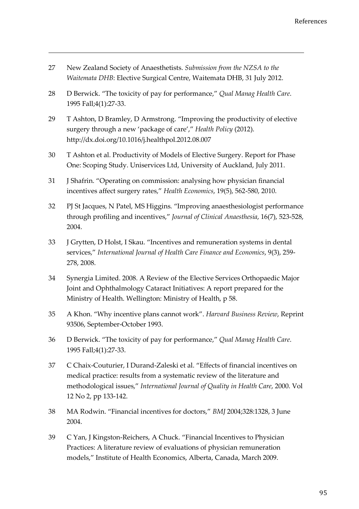27 New Zealand Society of Anaesthetists. *Submission from the NZSA to the Waitemata DHB*: Elective Surgical Centre, Waitemata DHB, 31 July 2012.

- 28 D Berwick. "The toxicity of pay for performance," *Qual Manag Health Care*. 1995 Fall;4(1):27-33.
- 29 T Ashton, D Bramley, D Armstrong. "Improving the productivity of elective surgery through a new 'package of care'," *Health Policy* (2012). http://dx.doi.org/10.1016/j.healthpol.2012.08.007
- 30 T Ashton et al. Productivity of Models of Elective Surgery. Report for Phase One: Scoping Study. Uniservices Ltd, University of Auckland, July 2011.
- 31 J Shafrin. "Operating on commission: analysing how physician financial incentives affect surgery rates," *Health Economics*, 19(5), 562-580, 2010.
- 32 PJ St Jacques, N Patel, MS Higgins. "Improving anaesthesiologist performance through profiling and incentives," *Journal of Clinical Anaesthesia*, 16(7), 523-528, 2004.
- 33 J Grytten, D Holst, I Skau. "Incentives and remuneration systems in dental services," *International Journal of Health Care Finance and Economics*, 9(3), 259- 278, 2008.
- 34 Synergia Limited. 2008. A Review of the Elective Services Orthopaedic Major Joint and Ophthalmology Cataract Initiatives: A report prepared for the Ministry of Health. Wellington: Ministry of Health, p 58.
- 35 A Khon. "Why incentive plans cannot work". *Harvard Business Review*, Reprint 93506, September-October 1993.
- 36 D Berwick. "The toxicity of pay for performance," *Qual Manag Health Care*. 1995 Fall;4(1):27-33.
- 37 C Chaix-Couturier, I Durand-Zaleski et al. "Effects of financial incentives on medical practice: results from a systematic review of the literature and methodological issues," *International Journal of Quality in Health Care*, 2000. Vol 12 No 2, pp 133-142.
- 38 MA Rodwin. "Financial incentives for doctors," *BMJ* 2004;328:1328, 3 June 2004.
- 39 C Yan, J Kingston-Reichers, A Chuck. "Financial Incentives to Physician Practices: A literature review of evaluations of physician remuneration models," Institute of Health Economics, Alberta, Canada, March 2009.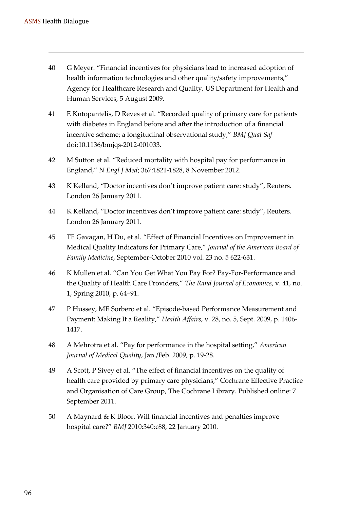- 40 G Meyer. "Financial incentives for physicians lead to increased adoption of health information technologies and other quality/safety improvements," Agency for Healthcare Research and Quality, US Department for Health and Human Services, 5 August 2009.
- 41 E Kntopantelis, D Reves et al. "Recorded quality of primary care for patients with diabetes in England before and after the introduction of a financial incentive scheme; a longitudinal observational study," *BMJ Qual Saf*  doi:10.1136/bmjqs-2012-001033.
- 42 M Sutton et al. "Reduced mortality with hospital pay for performance in England," *N Engl J Med*; 367:1821-1828, 8 November 2012.
- 43 K Kelland, "Doctor incentives don't improve patient care: study", Reuters. London 26 January 2011.
- 44 K Kelland, "Doctor incentives don't improve patient care: study", Reuters. London 26 January 2011.
- 45 TF Gavagan, H Du, et al. "Effect of Financial Incentives on Improvement in Medical Quality Indicators for Primary Care," *Journal of the American Board of Family Medicine*, September-October 2010 vol. 23 no. 5 622-631.
- 46 K Mullen et al. "Can You Get What You Pay For? Pay-For-Performance and the Quality of Health Care Providers," *The Rand Journal of Economics*, v. 41, no. 1, Spring 2010, p. 64–91.
- 47 P Hussey, ME Sorbero et al. "Episode-based Performance Measurement and Payment: Making It a Reality," *Health Affairs*, v. 28, no. 5, Sept. 2009, p. 1406- 1417.
- 48 A Mehrotra et al. "Pay for performance in the hospital setting," *American Journal of Medical Quality*, Jan./Feb. 2009, p. 19-28.
- 49 A Scott, P Sivey et al. "The effect of financial incentives on the quality of health care provided by primary care physicians," Cochrane Effective Practice and Organisation of Care Group, The Cochrane Library. Published online: 7 September 2011.
- 50 A Maynard & K Bloor. Will financial incentives and penalties improve hospital care?" *BMJ* 2010:340:c88, 22 January 2010.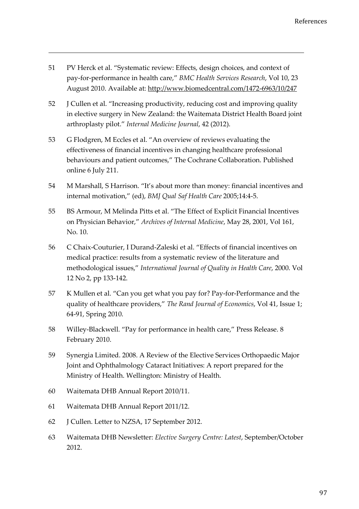51 PV Herck et al. "Systematic review: Effects, design choices, and context of pay-for-performance in health care," *BMC Health Services Research*, Vol 10, 23 August 2010. Available at:<http://www.biomedcentral.com/1472-6963/10/247>

- 52 J Cullen et al. "Increasing productivity, reducing cost and improving quality in elective surgery in New Zealand: the Waitemata District Health Board joint arthroplasty pilot." *Internal Medicine Journal*, 42 (2012).
- 53 G Flodgren, M Eccles et al. "An overview of reviews evaluating the effectiveness of financial incentives in changing healthcare professional behaviours and patient outcomes," The Cochrane Collaboration. Published online 6 July 211.
- 54 M Marshall, S Harrison. "It's about more than money: financial incentives and internal motivation," (ed), *BMJ Qual Saf Health Care* 2005;14:4-5.
- 55 BS Armour, M Melinda Pitts et al. "The Effect of Explicit Financial Incentives on Physician Behavior," *Archives of Internal Medicine*, May 28, 2001, Vol 161, No. 10.
- 56 C Chaix-Couturier, I Durand-Zaleski et al. "Effects of financial incentives on medical practice: results from a systematic review of the literature and methodological issues," *International Journal of Quality in Health Care*, 2000. Vol 12 No 2, pp 133-142.
- 57 K Mullen et al. "Can you get what you pay for? Pay-for-Performance and the quality of healthcare providers," *The Rand Journal of Economics*, Vol 41, Issue 1; 64-91, Spring 2010.
- 58 Willey-Blackwell. "Pay for performance in health care," Press Release. 8 February 2010.
- 59 Synergia Limited. 2008. A Review of the Elective Services Orthopaedic Major Joint and Ophthalmology Cataract Initiatives: A report prepared for the Ministry of Health. Wellington: Ministry of Health.
- 60 Waitemata DHB Annual Report 2010/11.
- 61 Waitemata DHB Annual Report 2011/12.
- 62 J Cullen. Letter to NZSA, 17 September 2012.
- 63 Waitemata DHB Newsletter: *Elective Surgery Centre: Latest*, September/October 2012.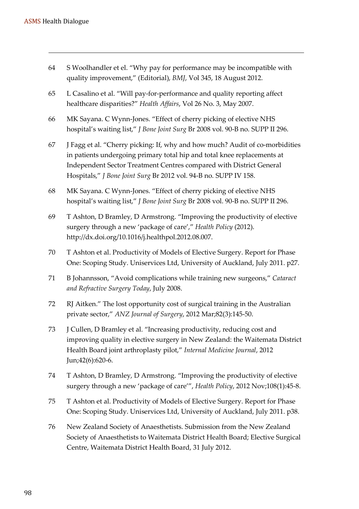- 64 S Woolhandler et el. "Why pay for performance may be incompatible with quality improvement," (Editorial), *BMJ*, Vol 345, 18 August 2012.
- 65 L Casalino et al. "Will pay-for-performance and quality reporting affect healthcare disparities?" *Health Affairs*, Vol 26 No. 3, May 2007.
- 66 MK Sayana. C Wynn-Jones. "Effect of cherry picking of elective NHS hospital's waiting list," *J Bone Joint Surg* Br 2008 vol. 90-B no. SUPP II 296.
- 67 J Fagg et al. "Cherry picking: If, why and how much? Audit of co-morbidities in patients undergoing primary total hip and total knee replacements at Independent Sector Treatment Centres compared with District General Hospitals," *J Bone Joint Surg* Br 2012 vol. 94-B no. SUPP IV 158.
- 68 MK Sayana. C Wynn-Jones. "Effect of cherry picking of elective NHS hospital's waiting list," *J Bone Joint Surg* Br 2008 vol. 90-B no. SUPP II 296.
- 69 T Ashton, D Bramley, D Armstrong. "Improving the productivity of elective surgery through a new 'package of care'," *Health Policy* (2012). http://dx.doi.org/10.1016/j.healthpol.2012.08.007.
- 70 T Ashton et al. Productivity of Models of Elective Surgery. Report for Phase One: Scoping Study. Uniservices Ltd, University of Auckland, July 2011. p27.
- 71 B Johannsson, "Avoid complications while training new surgeons," *Cataract and Refractive Surgery Today*, July 2008.
- 72 RJ Aitken." The lost opportunity cost of surgical training in the Australian private sector," *ANZ Journal of Surgery*, 2012 Mar;82(3):145-50.
- 73 J Cullen, D Bramley et al. "Increasing productivity, reducing cost and improving quality in elective surgery in New Zealand: the Waitemata District Health Board joint arthroplasty pilot," *Internal Medicine Journal*, 2012 Jun;42(6):620-6.
- 74 T Ashton, D Bramley, D Armstrong. "Improving the productivity of elective surgery through a new 'package of care'", *Health Policy*, 2012 Nov;108(1):45-8.
- 75 T Ashton et al. Productivity of Models of Elective Surgery. Report for Phase One: Scoping Study. Uniservices Ltd, University of Auckland, July 2011. p38.
- 76 New Zealand Society of Anaesthetists. Submission from the New Zealand Society of Anaesthetists to Waitemata District Health Board; Elective Surgical Centre, Waitemata District Health Board, 31 July 2012.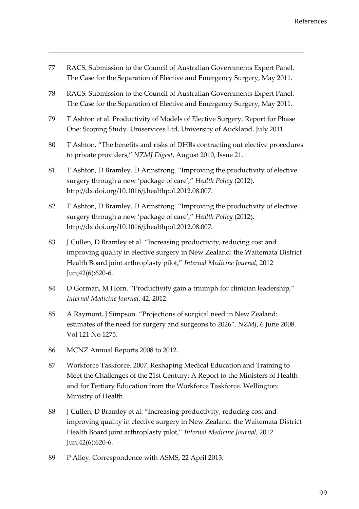- 77 RACS. Submission to the Council of Australian Governments Expert Panel. The Case for the Separation of Elective and Emergency Surgery, May 2011.
- 78 RACS. Submission to the Council of Australian Governments Expert Panel. The Case for the Separation of Elective and Emergency Surgery, May 2011.
- 79 T Ashton et al. Productivity of Models of Elective Surgery. Report for Phase One: Scoping Study. Uniservices Ltd, University of Auckland, July 2011.
- 80 T Ashton. "The benefits and risks of DHBs contracting out elective procedures to private providers," *NZMJ Digest*, August 2010, Issue 21.
- 81 T Ashton, D Bramley, D Armstrong. "Improving the productivity of elective surgery through a new 'package of care'," *Health Policy* (2012). http://dx.doi.org/10.1016/j.healthpol.2012.08.007.
- 82 T Ashton, D Bramley, D Armstrong. "Improving the productivity of elective surgery through a new 'package of care'," *Health Policy* (2012). http://dx.doi.org/10.1016/j.healthpol.2012.08.007.
- 83 J Cullen, D Bramley et al. "Increasing productivity, reducing cost and improving quality in elective surgery in New Zealand: the Waitemata District Health Board joint arthroplasty pilot," *Internal Medicine Journal*, 2012 Jun;42(6):620-6.
- 84 D Gorman, M Horn. "Productivity gain a triumph for clinician leadership," *Internal Medicine Journal*, 42, 2012.
- 85 A Raymont, J Simpson. "Projections of surgical need in New Zealand: estimates of the need for surgery and surgeons to 2026". *NZMJ*, 6 June 2008. Vol 121 No 1275.
- 86 MCNZ Annual Reports 2008 to 2012.

- 87 Workforce Taskforce. 2007. Reshaping Medical Education and Training to Meet the Challenges of the 21st Century: A Report to the Ministers of Health and for Tertiary Education from the Workforce Taskforce. Wellington: Ministry of Health.
- 88 J Cullen, D Bramley et al. "Increasing productivity, reducing cost and improving quality in elective surgery in New Zealand: the Waitemata District Health Board joint arthroplasty pilot," *Internal Medicine Journal*, 2012 Jun;42(6):620-6.
- 89 P Alley. Correspondence with ASMS, 22 April 2013.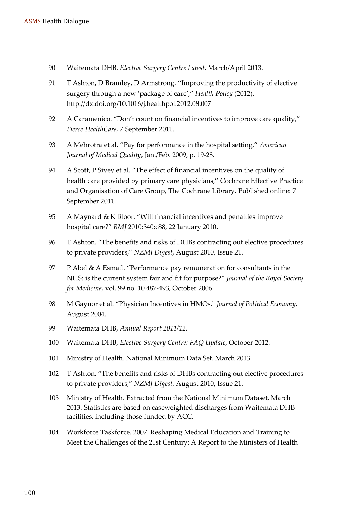- 90 Waitemata DHB. *Elective Surgery Centre Latest*. March/April 2013.
- 91 T Ashton, D Bramley, D Armstrong. "Improving the productivity of elective surgery through a new 'package of care'," *Health Policy* (2012). http://dx.doi.org/10.1016/j.healthpol.2012.08.007
- 92 A Caramenico. "Don't count on financial incentives to improve care quality," *Fierce HealthCare*, 7 September 2011.
- 93 A Mehrotra et al. "Pay for performance in the hospital setting," *American Journal of Medical Quality*, Jan./Feb. 2009, p. 19-28.
- 94 A Scott, P Sivey et al. "The effect of financial incentives on the quality of health care provided by primary care physicians," Cochrane Effective Practice and Organisation of Care Group, The Cochrane Library. Published online: 7 September 2011.
- 95 A Maynard & K Bloor. "Will financial incentives and penalties improve hospital care?" *BMJ* 2010:340:c88, 22 January 2010.
- 96 T Ashton. "The benefits and risks of DHBs contracting out elective procedures to private providers," *NZMJ Digest*, August 2010, Issue 21.
- 97 P Abel & A Esmail. "Performance pay remuneration for consultants in the NHS: is the current system fair and fit for purpose?" *Journal of the Royal Society for Medicine*, vol. 99 no. 10 487-493, October 2006.
- 98 M Gaynor et al. "Physician Incentives in HMOs." *Journal of Political Economy*, August 2004.
- 99 Waitemata DHB, *Annual Report 2011/12*.
- 100 Waitemata DHB, *Elective Surgery Centre: FAQ Update*, October 2012.
- 101 Ministry of Health. National Minimum Data Set. March 2013.
- 102 T Ashton. "The benefits and risks of DHBs contracting out elective procedures to private providers," *NZMJ Digest*, August 2010, Issue 21.
- 103 Ministry of Health. Extracted from the National Minimum Dataset, March 2013. Statistics are based on caseweighted discharges from Waitemata DHB facilities, including those funded by ACC.
- 104 Workforce Taskforce. 2007. Reshaping Medical Education and Training to Meet the Challenges of the 21st Century: A Report to the Ministers of Health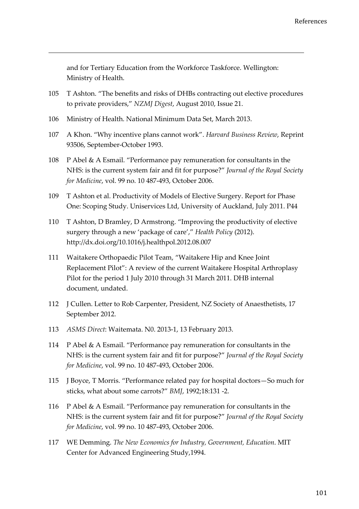and for Tertiary Education from the Workforce Taskforce. Wellington: Ministry of Health.

- 105 T Ashton. "The benefits and risks of DHBs contracting out elective procedures to private providers," *NZMJ Digest*, August 2010, Issue 21.
- 106 Ministry of Health. National Minimum Data Set, March 2013.

- 107 A Khon. "Why incentive plans cannot work". *Harvard Business Review*, Reprint 93506, September-October 1993.
- 108 P Abel & A Esmail. "Performance pay remuneration for consultants in the NHS: is the current system fair and fit for purpose?" *Journal of the Royal Society for Medicine*, vol. 99 no. 10 487-493, October 2006.
- 109 T Ashton et al. Productivity of Models of Elective Surgery. Report for Phase One: Scoping Study. Uniservices Ltd, University of Auckland, July 2011. P44
- 110 T Ashton, D Bramley, D Armstrong. "Improving the productivity of elective surgery through a new 'package of care'," *Health Policy* (2012). http://dx.doi.org/10.1016/j.healthpol.2012.08.007
- 111 Waitakere Orthopaedic Pilot Team, "Waitakere Hip and Knee Joint Replacement Pilot": A review of the current Waitakere Hospital Arthroplasy Pilot for the period 1 July 2010 through 31 March 2011. DHB internal document, undated.
- 112 J Cullen. Letter to Rob Carpenter, President, NZ Society of Anaesthetists, 17 September 2012.
- 113 *ASMS Direct*: Waitemata. N0. 2013-1, 13 February 2013.
- 114 P Abel & A Esmail. "Performance pay remuneration for consultants in the NHS: is the current system fair and fit for purpose?" *Journal of the Royal Society for Medicine*, vol. 99 no. 10 487-493, October 2006.
- 115 J Boyce, T Morris. "Performance related pay for hospital doctors—So much for sticks, what about some carrots?" *BMJ*, 1992;18:131 -2.
- 116 P Abel & A Esmail. "Performance pay remuneration for consultants in the NHS: is the current system fair and fit for purpose?" *Journal of the Royal Society for Medicine*, vol. 99 no. 10 487-493, October 2006.
- 117 WE Demming. *The New Economics for Industry, Government, Education*. MIT Center for Advanced Engineering Study,1994.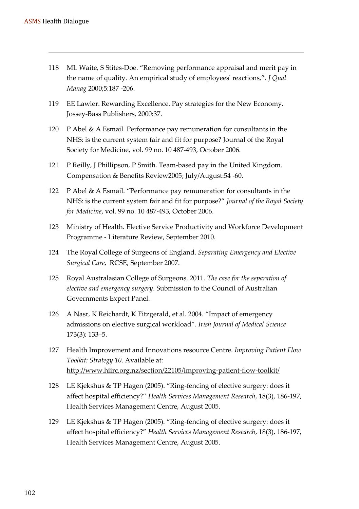- 118 ML Waite, S Stites-Doe. "Removing performance appraisal and merit pay in the name of quality. An empirical study of employees' reactions,". *J Qual Manag* 2000;5:187 -206.
- 119 EE Lawler. Rewarding Excellence. Pay strategies for the New Economy. Jossey-Bass Publishers, 2000:37.
- 120 P Abel & A Esmail. Performance pay remuneration for consultants in the NHS: is the current system fair and fit for purpose? Journal of the Royal Society for Medicine, vol. 99 no. 10 487-493, October 2006.
- 121 P Reilly, J Phillipson, P Smith. Team-based pay in the United Kingdom. Compensation & Benefits Review2005; July/August:54 -60.
- 122 P Abel & A Esmail. "Performance pay remuneration for consultants in the NHS: is the current system fair and fit for purpose?" *Journal of the Royal Society for Medicine*, vol. 99 no. 10 487-493, October 2006.
- 123 Ministry of Health. Elective Service Productivity and Workforce Development Programme - Literature Review, September 2010.
- 124 The Royal College of Surgeons of England. *Separating Emergency and Elective Surgical Care*, RCSE, September 2007.
- 125 Royal Australasian College of Surgeons. 2011. *The case for the separation of elective and emergency surgery*. Submission to the Council of Australian Governments Expert Panel.
- 126 A Nasr, K Reichardt, K Fitzgerald, et al. 2004. "Impact of emergency admissions on elective surgical workload". *Irish Journal of Medical Science* 173(3): 133–5.
- 127 Health Improvement and Innovations resource Centre. *Improving Patient Flow Toolkit: Strategy 10*. Available at: <http://www.hiirc.org.nz/section/22105/improving-patient-flow-toolkit/>
- 128 LE Kjekshus & TP Hagen (2005). "Ring-fencing of elective surgery: does it affect hospital efficiency?" *Health Services Management Research*, 18(3), 186-197, Health Services Management Centre, August 2005.
- 129 LE Kjekshus & TP Hagen (2005). "Ring-fencing of elective surgery: does it affect hospital efficiency?" *Health Services Management Research*, 18(3), 186-197, Health Services Management Centre, August 2005.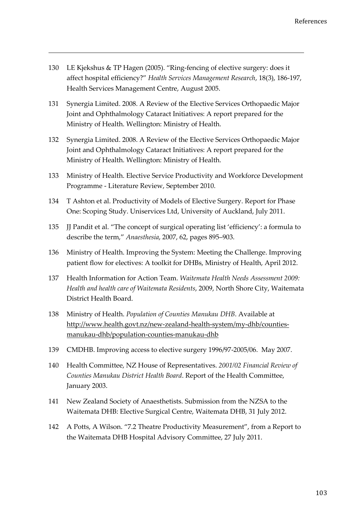130 LE Kjekshus & TP Hagen (2005). "Ring-fencing of elective surgery: does it affect hospital efficiency?" *Health Services Management Research*, 18(3), 186-197, Health Services Management Centre, August 2005.

- 131 Synergia Limited. 2008. A Review of the Elective Services Orthopaedic Major Joint and Ophthalmology Cataract Initiatives: A report prepared for the Ministry of Health. Wellington: Ministry of Health.
- 132 Synergia Limited. 2008. A Review of the Elective Services Orthopaedic Major Joint and Ophthalmology Cataract Initiatives: A report prepared for the Ministry of Health. Wellington: Ministry of Health.
- 133 Ministry of Health. Elective Service Productivity and Workforce Development Programme - Literature Review, September 2010.
- 134 T Ashton et al. Productivity of Models of Elective Surgery. Report for Phase One: Scoping Study. Uniservices Ltd, University of Auckland, July 2011.
- 135 JJ Pandit et al. "The concept of surgical operating list 'efficiency': a formula to describe the term," *Anaesthesia*, 2007, 62, pages 895–903.
- 136 Ministry of Health. Improving the System: Meeting the Challenge. Improving patient flow for electives: A toolkit for DHBs, Ministry of Health, April 2012.
- 137 Health Information for Action Team. *Waitemata Health Needs Assessment 2009: Health and health care of Waitemata Residents*, 2009, North Shore City, Waitemata District Health Board.
- 138 Ministry of Health. *Population of Counties Manukau DHB*. Available at [http://www.health.govt.nz/new-zealand-health-system/my-dhb/counties](http://www.health.govt.nz/new-zealand-health-system/my-dhb/counties-manukau-dhb/population-counties-manukau-dhb)[manukau-dhb/population-counties-manukau-dhb](http://www.health.govt.nz/new-zealand-health-system/my-dhb/counties-manukau-dhb/population-counties-manukau-dhb)
- 139 CMDHB. Improving access to elective surgery 1996/97-2005/06. May 2007.
- 140 Health Committee, NZ House of Representatives. *2001/02 Financial Review of Counties Manukau District Health Board*. Report of the Health Committee, January 2003.
- 141 New Zealand Society of Anaesthetists. Submission from the NZSA to the Waitemata DHB: Elective Surgical Centre, Waitemata DHB, 31 July 2012.
- 142 A Potts, A Wilson. "7.2 Theatre Productivity Measurement", from a Report to the Waitemata DHB Hospital Advisory Committee, 27 July 2011.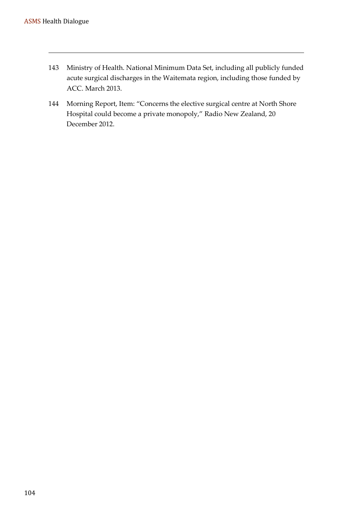- 143 Ministry of Health. National Minimum Data Set, including all publicly funded acute surgical discharges in the Waitemata region, including those funded by ACC. March 2013.
- 144 Morning Report, Item: "Concerns the elective surgical centre at North Shore Hospital could become a private monopoly," Radio New Zealand, 20 December 2012.